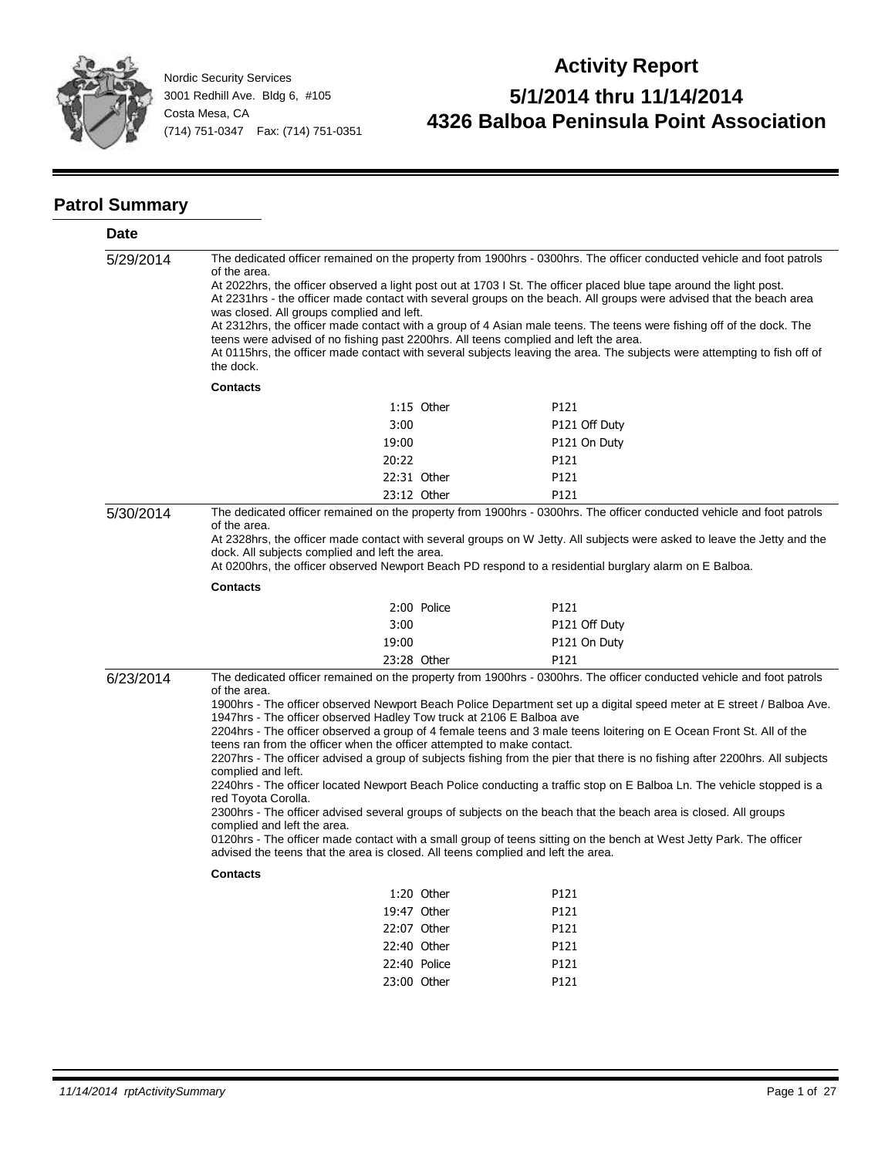

# **Activity Report 5/1/2014 thru 11/14/2014 4326 Balboa Peninsula Point Association**

#### **Patrol Summary**

| Date      |                                                                                                                                                                                                                                                                                                                                                                                                                                                                                                                                                                                                                                                                                                                                                                                           |              |                                                                                                                                                                                                                                                                                                                                                                                                                                                                                                                                                                                                                                                                                                                                                                                                                                                                          |  |
|-----------|-------------------------------------------------------------------------------------------------------------------------------------------------------------------------------------------------------------------------------------------------------------------------------------------------------------------------------------------------------------------------------------------------------------------------------------------------------------------------------------------------------------------------------------------------------------------------------------------------------------------------------------------------------------------------------------------------------------------------------------------------------------------------------------------|--------------|--------------------------------------------------------------------------------------------------------------------------------------------------------------------------------------------------------------------------------------------------------------------------------------------------------------------------------------------------------------------------------------------------------------------------------------------------------------------------------------------------------------------------------------------------------------------------------------------------------------------------------------------------------------------------------------------------------------------------------------------------------------------------------------------------------------------------------------------------------------------------|--|
| 5/29/2014 | The dedicated officer remained on the property from 1900hrs - 0300hrs. The officer conducted vehicle and foot patrols<br>of the area.<br>At 2022hrs, the officer observed a light post out at 1703 I St. The officer placed blue tape around the light post.<br>At 2231hrs - the officer made contact with several groups on the beach. All groups were advised that the beach area<br>was closed. All groups complied and left.<br>At 2312hrs, the officer made contact with a group of 4 Asian male teens. The teens were fishing off of the dock. The<br>teens were advised of no fishing past 2200hrs. All teens complied and left the area.<br>At 0115hrs, the officer made contact with several subjects leaving the area. The subjects were attempting to fish off of<br>the dock. |              |                                                                                                                                                                                                                                                                                                                                                                                                                                                                                                                                                                                                                                                                                                                                                                                                                                                                          |  |
|           | <b>Contacts</b>                                                                                                                                                                                                                                                                                                                                                                                                                                                                                                                                                                                                                                                                                                                                                                           |              |                                                                                                                                                                                                                                                                                                                                                                                                                                                                                                                                                                                                                                                                                                                                                                                                                                                                          |  |
|           |                                                                                                                                                                                                                                                                                                                                                                                                                                                                                                                                                                                                                                                                                                                                                                                           | $1:15$ Other | P121                                                                                                                                                                                                                                                                                                                                                                                                                                                                                                                                                                                                                                                                                                                                                                                                                                                                     |  |
|           | 3:00                                                                                                                                                                                                                                                                                                                                                                                                                                                                                                                                                                                                                                                                                                                                                                                      |              | P121 Off Duty                                                                                                                                                                                                                                                                                                                                                                                                                                                                                                                                                                                                                                                                                                                                                                                                                                                            |  |
|           | 19:00                                                                                                                                                                                                                                                                                                                                                                                                                                                                                                                                                                                                                                                                                                                                                                                     |              | P121 On Duty                                                                                                                                                                                                                                                                                                                                                                                                                                                                                                                                                                                                                                                                                                                                                                                                                                                             |  |
|           | 20:22                                                                                                                                                                                                                                                                                                                                                                                                                                                                                                                                                                                                                                                                                                                                                                                     |              | P121                                                                                                                                                                                                                                                                                                                                                                                                                                                                                                                                                                                                                                                                                                                                                                                                                                                                     |  |
|           |                                                                                                                                                                                                                                                                                                                                                                                                                                                                                                                                                                                                                                                                                                                                                                                           | 22:31 Other  | P121                                                                                                                                                                                                                                                                                                                                                                                                                                                                                                                                                                                                                                                                                                                                                                                                                                                                     |  |
|           |                                                                                                                                                                                                                                                                                                                                                                                                                                                                                                                                                                                                                                                                                                                                                                                           | 23:12 Other  | P121                                                                                                                                                                                                                                                                                                                                                                                                                                                                                                                                                                                                                                                                                                                                                                                                                                                                     |  |
| 5/30/2014 | The dedicated officer remained on the property from 1900hrs - 0300hrs. The officer conducted vehicle and foot patrols<br>of the area.<br>At 2328hrs, the officer made contact with several groups on W Jetty. All subjects were asked to leave the Jetty and the<br>dock. All subjects complied and left the area.<br>At 0200hrs, the officer observed Newport Beach PD respond to a residential burglary alarm on E Balboa.                                                                                                                                                                                                                                                                                                                                                              |              |                                                                                                                                                                                                                                                                                                                                                                                                                                                                                                                                                                                                                                                                                                                                                                                                                                                                          |  |
|           | <b>Contacts</b>                                                                                                                                                                                                                                                                                                                                                                                                                                                                                                                                                                                                                                                                                                                                                                           |              |                                                                                                                                                                                                                                                                                                                                                                                                                                                                                                                                                                                                                                                                                                                                                                                                                                                                          |  |
|           |                                                                                                                                                                                                                                                                                                                                                                                                                                                                                                                                                                                                                                                                                                                                                                                           | 2:00 Police  | P121                                                                                                                                                                                                                                                                                                                                                                                                                                                                                                                                                                                                                                                                                                                                                                                                                                                                     |  |
|           | 3:00                                                                                                                                                                                                                                                                                                                                                                                                                                                                                                                                                                                                                                                                                                                                                                                      |              | P121 Off Duty                                                                                                                                                                                                                                                                                                                                                                                                                                                                                                                                                                                                                                                                                                                                                                                                                                                            |  |
|           | 19:00                                                                                                                                                                                                                                                                                                                                                                                                                                                                                                                                                                                                                                                                                                                                                                                     |              | P121 On Duty                                                                                                                                                                                                                                                                                                                                                                                                                                                                                                                                                                                                                                                                                                                                                                                                                                                             |  |
|           |                                                                                                                                                                                                                                                                                                                                                                                                                                                                                                                                                                                                                                                                                                                                                                                           | 23:28 Other  | P121                                                                                                                                                                                                                                                                                                                                                                                                                                                                                                                                                                                                                                                                                                                                                                                                                                                                     |  |
| 6/23/2014 | of the area.<br>1947hrs - The officer observed Hadley Tow truck at 2106 E Balboa ave<br>teens ran from the officer when the officer attempted to make contact.<br>complied and left.<br>red Toyota Corolla.<br>complied and left the area.<br>advised the teens that the area is closed. All teens complied and left the area.<br>Contacts                                                                                                                                                                                                                                                                                                                                                                                                                                                |              | The dedicated officer remained on the property from 1900hrs - 0300hrs. The officer conducted vehicle and foot patrols<br>1900hrs - The officer observed Newport Beach Police Department set up a digital speed meter at E street / Balboa Ave.<br>2204hrs - The officer observed a group of 4 female teens and 3 male teens loitering on E Ocean Front St. All of the<br>2207hrs - The officer advised a group of subjects fishing from the pier that there is no fishing after 2200hrs. All subjects<br>2240hrs - The officer located Newport Beach Police conducting a traffic stop on E Balboa Ln. The vehicle stopped is a<br>2300hrs - The officer advised several groups of subjects on the beach that the beach area is closed. All groups<br>0120hrs - The officer made contact with a small group of teens sitting on the bench at West Jetty Park. The officer |  |
|           |                                                                                                                                                                                                                                                                                                                                                                                                                                                                                                                                                                                                                                                                                                                                                                                           | 1:20 Other   | P121                                                                                                                                                                                                                                                                                                                                                                                                                                                                                                                                                                                                                                                                                                                                                                                                                                                                     |  |
|           |                                                                                                                                                                                                                                                                                                                                                                                                                                                                                                                                                                                                                                                                                                                                                                                           | 19:47 Other  | P121                                                                                                                                                                                                                                                                                                                                                                                                                                                                                                                                                                                                                                                                                                                                                                                                                                                                     |  |
|           |                                                                                                                                                                                                                                                                                                                                                                                                                                                                                                                                                                                                                                                                                                                                                                                           | 22:07 Other  | P121                                                                                                                                                                                                                                                                                                                                                                                                                                                                                                                                                                                                                                                                                                                                                                                                                                                                     |  |
|           |                                                                                                                                                                                                                                                                                                                                                                                                                                                                                                                                                                                                                                                                                                                                                                                           | 22:40 Other  | P121                                                                                                                                                                                                                                                                                                                                                                                                                                                                                                                                                                                                                                                                                                                                                                                                                                                                     |  |
|           |                                                                                                                                                                                                                                                                                                                                                                                                                                                                                                                                                                                                                                                                                                                                                                                           | 22:40 Police | P121                                                                                                                                                                                                                                                                                                                                                                                                                                                                                                                                                                                                                                                                                                                                                                                                                                                                     |  |
|           |                                                                                                                                                                                                                                                                                                                                                                                                                                                                                                                                                                                                                                                                                                                                                                                           | 23:00 Other  | P121                                                                                                                                                                                                                                                                                                                                                                                                                                                                                                                                                                                                                                                                                                                                                                                                                                                                     |  |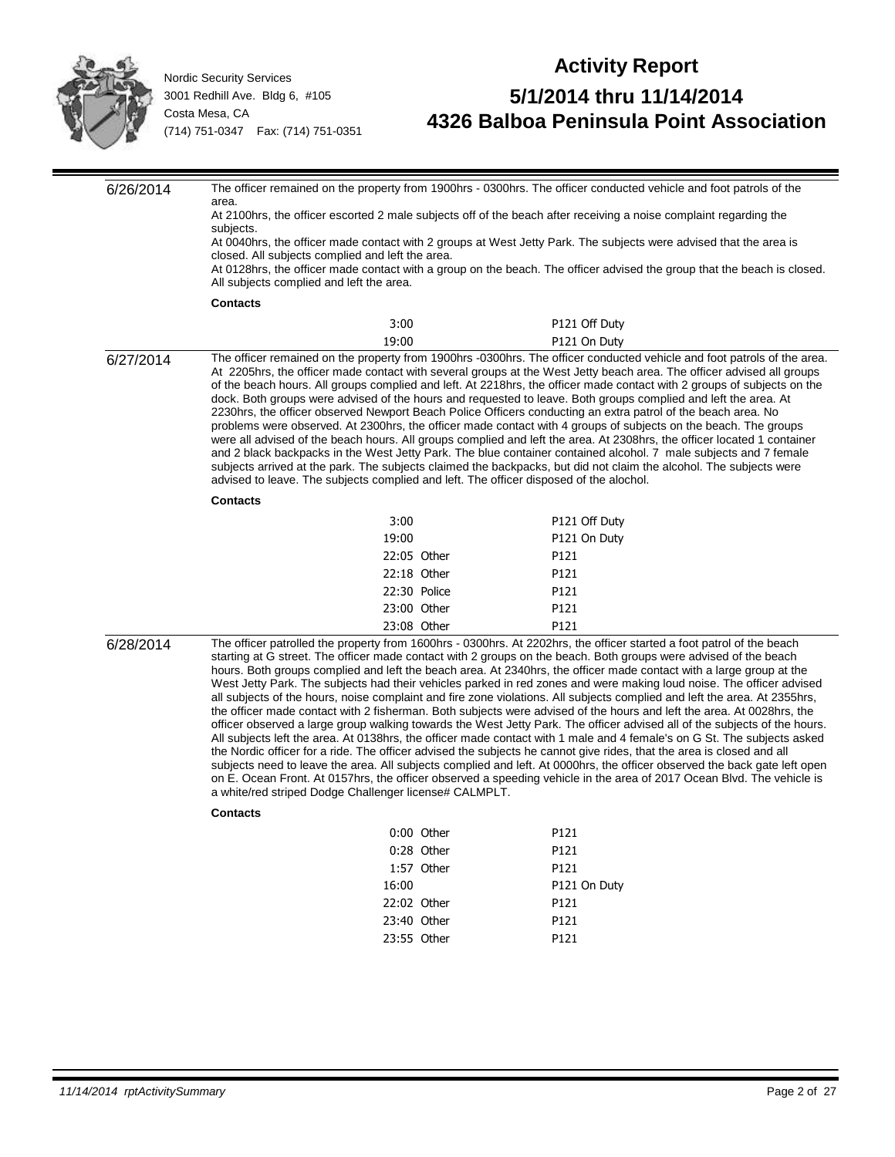

| 6/26/2014 |                                                                                                                                                                                                                                                                                                                                                                                                                                                                                                                                                                                                                                                                                                                                                                                                                                                                                                                                                                                                                                                                                                                                                                                                                                                                                                                                                                                                                                                 |              | The officer remained on the property from 1900hrs - 0300hrs. The officer conducted vehicle and foot patrols of the                                                                                                                                                                                                                                                                                                                                                                                                                                                                                                                                                                                                                                                                                                                                                                                                                                                         |
|-----------|-------------------------------------------------------------------------------------------------------------------------------------------------------------------------------------------------------------------------------------------------------------------------------------------------------------------------------------------------------------------------------------------------------------------------------------------------------------------------------------------------------------------------------------------------------------------------------------------------------------------------------------------------------------------------------------------------------------------------------------------------------------------------------------------------------------------------------------------------------------------------------------------------------------------------------------------------------------------------------------------------------------------------------------------------------------------------------------------------------------------------------------------------------------------------------------------------------------------------------------------------------------------------------------------------------------------------------------------------------------------------------------------------------------------------------------------------|--------------|----------------------------------------------------------------------------------------------------------------------------------------------------------------------------------------------------------------------------------------------------------------------------------------------------------------------------------------------------------------------------------------------------------------------------------------------------------------------------------------------------------------------------------------------------------------------------------------------------------------------------------------------------------------------------------------------------------------------------------------------------------------------------------------------------------------------------------------------------------------------------------------------------------------------------------------------------------------------------|
|           | area.                                                                                                                                                                                                                                                                                                                                                                                                                                                                                                                                                                                                                                                                                                                                                                                                                                                                                                                                                                                                                                                                                                                                                                                                                                                                                                                                                                                                                                           |              |                                                                                                                                                                                                                                                                                                                                                                                                                                                                                                                                                                                                                                                                                                                                                                                                                                                                                                                                                                            |
|           | At 2100hrs, the officer escorted 2 male subjects off of the beach after receiving a noise complaint regarding the<br>subjects.                                                                                                                                                                                                                                                                                                                                                                                                                                                                                                                                                                                                                                                                                                                                                                                                                                                                                                                                                                                                                                                                                                                                                                                                                                                                                                                  |              |                                                                                                                                                                                                                                                                                                                                                                                                                                                                                                                                                                                                                                                                                                                                                                                                                                                                                                                                                                            |
|           | At 0040hrs, the officer made contact with 2 groups at West Jetty Park. The subjects were advised that the area is                                                                                                                                                                                                                                                                                                                                                                                                                                                                                                                                                                                                                                                                                                                                                                                                                                                                                                                                                                                                                                                                                                                                                                                                                                                                                                                               |              |                                                                                                                                                                                                                                                                                                                                                                                                                                                                                                                                                                                                                                                                                                                                                                                                                                                                                                                                                                            |
|           | closed. All subjects complied and left the area.                                                                                                                                                                                                                                                                                                                                                                                                                                                                                                                                                                                                                                                                                                                                                                                                                                                                                                                                                                                                                                                                                                                                                                                                                                                                                                                                                                                                |              |                                                                                                                                                                                                                                                                                                                                                                                                                                                                                                                                                                                                                                                                                                                                                                                                                                                                                                                                                                            |
|           | All subjects complied and left the area.                                                                                                                                                                                                                                                                                                                                                                                                                                                                                                                                                                                                                                                                                                                                                                                                                                                                                                                                                                                                                                                                                                                                                                                                                                                                                                                                                                                                        |              | At 0128hrs, the officer made contact with a group on the beach. The officer advised the group that the beach is closed.                                                                                                                                                                                                                                                                                                                                                                                                                                                                                                                                                                                                                                                                                                                                                                                                                                                    |
|           | <b>Contacts</b>                                                                                                                                                                                                                                                                                                                                                                                                                                                                                                                                                                                                                                                                                                                                                                                                                                                                                                                                                                                                                                                                                                                                                                                                                                                                                                                                                                                                                                 |              |                                                                                                                                                                                                                                                                                                                                                                                                                                                                                                                                                                                                                                                                                                                                                                                                                                                                                                                                                                            |
|           | 3:00                                                                                                                                                                                                                                                                                                                                                                                                                                                                                                                                                                                                                                                                                                                                                                                                                                                                                                                                                                                                                                                                                                                                                                                                                                                                                                                                                                                                                                            |              | P121 Off Duty                                                                                                                                                                                                                                                                                                                                                                                                                                                                                                                                                                                                                                                                                                                                                                                                                                                                                                                                                              |
|           | 19:00                                                                                                                                                                                                                                                                                                                                                                                                                                                                                                                                                                                                                                                                                                                                                                                                                                                                                                                                                                                                                                                                                                                                                                                                                                                                                                                                                                                                                                           |              | P121 On Duty                                                                                                                                                                                                                                                                                                                                                                                                                                                                                                                                                                                                                                                                                                                                                                                                                                                                                                                                                               |
| 6/27/2014 |                                                                                                                                                                                                                                                                                                                                                                                                                                                                                                                                                                                                                                                                                                                                                                                                                                                                                                                                                                                                                                                                                                                                                                                                                                                                                                                                                                                                                                                 |              | The officer remained on the property from 1900hrs -0300hrs. The officer conducted vehicle and foot patrols of the area.                                                                                                                                                                                                                                                                                                                                                                                                                                                                                                                                                                                                                                                                                                                                                                                                                                                    |
|           | advised to leave. The subjects complied and left. The officer disposed of the alochol.                                                                                                                                                                                                                                                                                                                                                                                                                                                                                                                                                                                                                                                                                                                                                                                                                                                                                                                                                                                                                                                                                                                                                                                                                                                                                                                                                          |              | At 2205hrs, the officer made contact with several groups at the West Jetty beach area. The officer advised all groups<br>of the beach hours. All groups complied and left. At 2218hrs, the officer made contact with 2 groups of subjects on the<br>dock. Both groups were advised of the hours and requested to leave. Both groups complied and left the area. At<br>2230hrs, the officer observed Newport Beach Police Officers conducting an extra patrol of the beach area. No<br>problems were observed. At 2300hrs, the officer made contact with 4 groups of subjects on the beach. The groups<br>were all advised of the beach hours. All groups complied and left the area. At 2308hrs, the officer located 1 container<br>and 2 black backpacks in the West Jetty Park. The blue container contained alcohol. 7 male subjects and 7 female<br>subjects arrived at the park. The subjects claimed the backpacks, but did not claim the alcohol. The subjects were |
|           | <b>Contacts</b>                                                                                                                                                                                                                                                                                                                                                                                                                                                                                                                                                                                                                                                                                                                                                                                                                                                                                                                                                                                                                                                                                                                                                                                                                                                                                                                                                                                                                                 |              |                                                                                                                                                                                                                                                                                                                                                                                                                                                                                                                                                                                                                                                                                                                                                                                                                                                                                                                                                                            |
|           | 3:00                                                                                                                                                                                                                                                                                                                                                                                                                                                                                                                                                                                                                                                                                                                                                                                                                                                                                                                                                                                                                                                                                                                                                                                                                                                                                                                                                                                                                                            |              | P121 Off Duty                                                                                                                                                                                                                                                                                                                                                                                                                                                                                                                                                                                                                                                                                                                                                                                                                                                                                                                                                              |
|           | 19:00                                                                                                                                                                                                                                                                                                                                                                                                                                                                                                                                                                                                                                                                                                                                                                                                                                                                                                                                                                                                                                                                                                                                                                                                                                                                                                                                                                                                                                           |              | P121 On Duty                                                                                                                                                                                                                                                                                                                                                                                                                                                                                                                                                                                                                                                                                                                                                                                                                                                                                                                                                               |
|           |                                                                                                                                                                                                                                                                                                                                                                                                                                                                                                                                                                                                                                                                                                                                                                                                                                                                                                                                                                                                                                                                                                                                                                                                                                                                                                                                                                                                                                                 | 22:05 Other  | P121                                                                                                                                                                                                                                                                                                                                                                                                                                                                                                                                                                                                                                                                                                                                                                                                                                                                                                                                                                       |
|           |                                                                                                                                                                                                                                                                                                                                                                                                                                                                                                                                                                                                                                                                                                                                                                                                                                                                                                                                                                                                                                                                                                                                                                                                                                                                                                                                                                                                                                                 | 22:18 Other  | P121                                                                                                                                                                                                                                                                                                                                                                                                                                                                                                                                                                                                                                                                                                                                                                                                                                                                                                                                                                       |
|           |                                                                                                                                                                                                                                                                                                                                                                                                                                                                                                                                                                                                                                                                                                                                                                                                                                                                                                                                                                                                                                                                                                                                                                                                                                                                                                                                                                                                                                                 | 22:30 Police | P121                                                                                                                                                                                                                                                                                                                                                                                                                                                                                                                                                                                                                                                                                                                                                                                                                                                                                                                                                                       |
|           |                                                                                                                                                                                                                                                                                                                                                                                                                                                                                                                                                                                                                                                                                                                                                                                                                                                                                                                                                                                                                                                                                                                                                                                                                                                                                                                                                                                                                                                 | 23:00 Other  | P121                                                                                                                                                                                                                                                                                                                                                                                                                                                                                                                                                                                                                                                                                                                                                                                                                                                                                                                                                                       |
|           |                                                                                                                                                                                                                                                                                                                                                                                                                                                                                                                                                                                                                                                                                                                                                                                                                                                                                                                                                                                                                                                                                                                                                                                                                                                                                                                                                                                                                                                 | 23:08 Other  | P121                                                                                                                                                                                                                                                                                                                                                                                                                                                                                                                                                                                                                                                                                                                                                                                                                                                                                                                                                                       |
| 6/28/2014 | The officer patrolled the property from 1600hrs - 0300hrs. At 2202hrs, the officer started a foot patrol of the beach<br>starting at G street. The officer made contact with 2 groups on the beach. Both groups were advised of the beach<br>hours. Both groups complied and left the beach area. At 2340hrs, the officer made contact with a large group at the<br>West Jetty Park. The subjects had their vehicles parked in red zones and were making loud noise. The officer advised<br>all subjects of the hours, noise complaint and fire zone violations. All subjects complied and left the area. At 2355hrs,<br>the officer made contact with 2 fisherman. Both subjects were advised of the hours and left the area. At 0028hrs, the<br>officer observed a large group walking towards the West Jetty Park. The officer advised all of the subjects of the hours.<br>All subjects left the area. At 0138hrs, the officer made contact with 1 male and 4 female's on G St. The subjects asked<br>the Nordic officer for a ride. The officer advised the subjects he cannot give rides, that the area is closed and all<br>subjects need to leave the area. All subjects complied and left. At 0000hrs, the officer observed the back gate left open<br>on E. Ocean Front. At 0157hrs, the officer observed a speeding vehicle in the area of 2017 Ocean Blvd. The vehicle is<br>a white/red striped Dodge Challenger license# CALMPLT. |              |                                                                                                                                                                                                                                                                                                                                                                                                                                                                                                                                                                                                                                                                                                                                                                                                                                                                                                                                                                            |
|           | <b>Contacts</b>                                                                                                                                                                                                                                                                                                                                                                                                                                                                                                                                                                                                                                                                                                                                                                                                                                                                                                                                                                                                                                                                                                                                                                                                                                                                                                                                                                                                                                 |              |                                                                                                                                                                                                                                                                                                                                                                                                                                                                                                                                                                                                                                                                                                                                                                                                                                                                                                                                                                            |
|           |                                                                                                                                                                                                                                                                                                                                                                                                                                                                                                                                                                                                                                                                                                                                                                                                                                                                                                                                                                                                                                                                                                                                                                                                                                                                                                                                                                                                                                                 | 0:00 Other   | P121                                                                                                                                                                                                                                                                                                                                                                                                                                                                                                                                                                                                                                                                                                                                                                                                                                                                                                                                                                       |
|           |                                                                                                                                                                                                                                                                                                                                                                                                                                                                                                                                                                                                                                                                                                                                                                                                                                                                                                                                                                                                                                                                                                                                                                                                                                                                                                                                                                                                                                                 | 0:28 Other   | P121                                                                                                                                                                                                                                                                                                                                                                                                                                                                                                                                                                                                                                                                                                                                                                                                                                                                                                                                                                       |
|           |                                                                                                                                                                                                                                                                                                                                                                                                                                                                                                                                                                                                                                                                                                                                                                                                                                                                                                                                                                                                                                                                                                                                                                                                                                                                                                                                                                                                                                                 | 1:57 Other   | P121                                                                                                                                                                                                                                                                                                                                                                                                                                                                                                                                                                                                                                                                                                                                                                                                                                                                                                                                                                       |
|           | 16:00                                                                                                                                                                                                                                                                                                                                                                                                                                                                                                                                                                                                                                                                                                                                                                                                                                                                                                                                                                                                                                                                                                                                                                                                                                                                                                                                                                                                                                           |              | P121 On Duty                                                                                                                                                                                                                                                                                                                                                                                                                                                                                                                                                                                                                                                                                                                                                                                                                                                                                                                                                               |
|           |                                                                                                                                                                                                                                                                                                                                                                                                                                                                                                                                                                                                                                                                                                                                                                                                                                                                                                                                                                                                                                                                                                                                                                                                                                                                                                                                                                                                                                                 | 22:02 Other  | P121                                                                                                                                                                                                                                                                                                                                                                                                                                                                                                                                                                                                                                                                                                                                                                                                                                                                                                                                                                       |
|           |                                                                                                                                                                                                                                                                                                                                                                                                                                                                                                                                                                                                                                                                                                                                                                                                                                                                                                                                                                                                                                                                                                                                                                                                                                                                                                                                                                                                                                                 | 23:40 Other  | P121                                                                                                                                                                                                                                                                                                                                                                                                                                                                                                                                                                                                                                                                                                                                                                                                                                                                                                                                                                       |
|           |                                                                                                                                                                                                                                                                                                                                                                                                                                                                                                                                                                                                                                                                                                                                                                                                                                                                                                                                                                                                                                                                                                                                                                                                                                                                                                                                                                                                                                                 | 23:55 Other  | P121                                                                                                                                                                                                                                                                                                                                                                                                                                                                                                                                                                                                                                                                                                                                                                                                                                                                                                                                                                       |
|           |                                                                                                                                                                                                                                                                                                                                                                                                                                                                                                                                                                                                                                                                                                                                                                                                                                                                                                                                                                                                                                                                                                                                                                                                                                                                                                                                                                                                                                                 |              |                                                                                                                                                                                                                                                                                                                                                                                                                                                                                                                                                                                                                                                                                                                                                                                                                                                                                                                                                                            |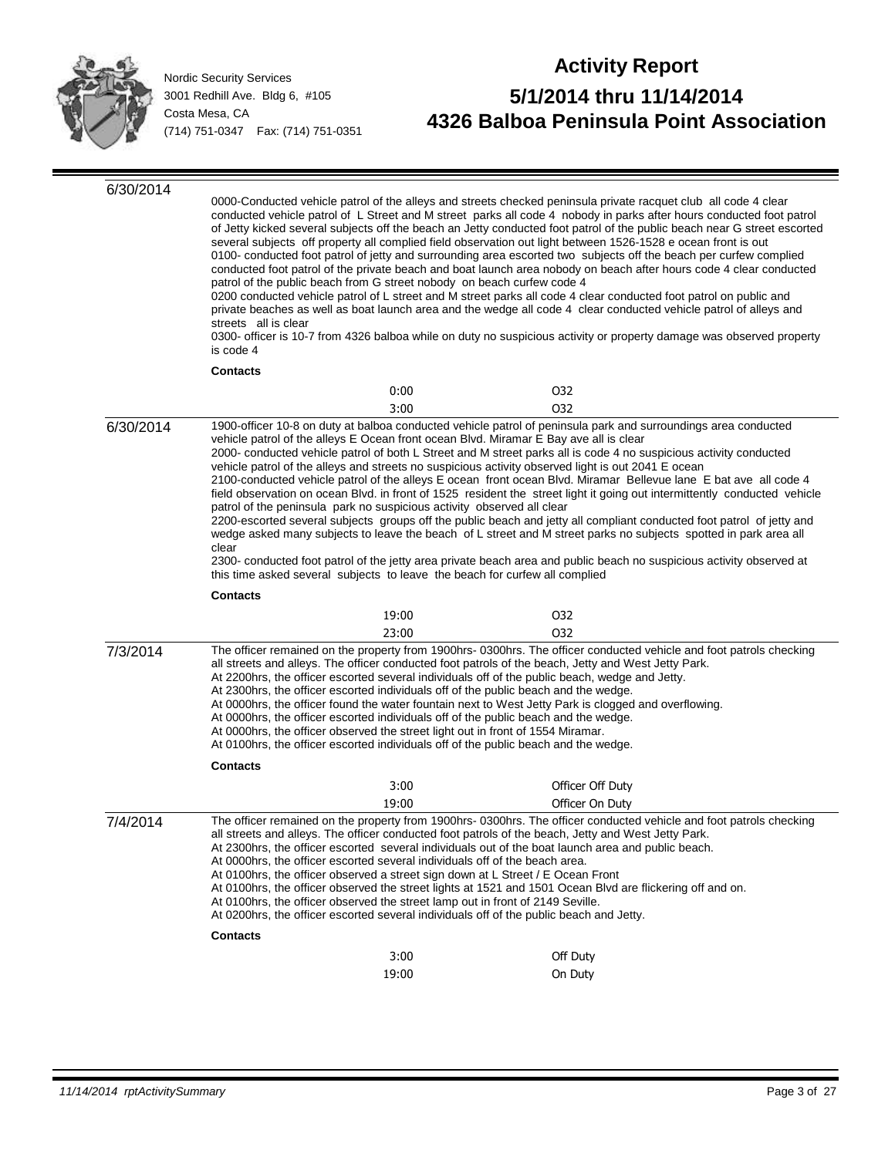

| 6/30/2014 | 0000-Conducted vehicle patrol of the alleys and streets checked peninsula private racquet club all code 4 clear<br>conducted vehicle patrol of L Street and M street parks all code 4 nobody in parks after hours conducted foot patrol<br>of Jetty kicked several subjects off the beach an Jetty conducted foot patrol of the public beach near G street escorted<br>several subjects off property all complied field observation out light between 1526-1528 e ocean front is out<br>0100- conducted foot patrol of jetty and surrounding area escorted two subjects off the beach per curfew complied<br>conducted foot patrol of the private beach and boat launch area nobody on beach after hours code 4 clear conducted<br>patrol of the public beach from G street nobody on beach curfew code 4<br>0200 conducted vehicle patrol of L street and M street parks all code 4 clear conducted foot patrol on public and<br>private beaches as well as boat launch area and the wedge all code 4 clear conducted vehicle patrol of alleys and<br>streets all is clear<br>0300- officer is 10-7 from 4326 balboa while on duty no suspicious activity or property damage was observed property<br>is code 4 |       |                                                                                                                                                                                                                                                                                                                                                                                                                                                                                                                                                                                                                                                                                                                                                                                                                                                                                                                                                                                                                                                          |
|-----------|------------------------------------------------------------------------------------------------------------------------------------------------------------------------------------------------------------------------------------------------------------------------------------------------------------------------------------------------------------------------------------------------------------------------------------------------------------------------------------------------------------------------------------------------------------------------------------------------------------------------------------------------------------------------------------------------------------------------------------------------------------------------------------------------------------------------------------------------------------------------------------------------------------------------------------------------------------------------------------------------------------------------------------------------------------------------------------------------------------------------------------------------------------------------------------------------------------------|-------|----------------------------------------------------------------------------------------------------------------------------------------------------------------------------------------------------------------------------------------------------------------------------------------------------------------------------------------------------------------------------------------------------------------------------------------------------------------------------------------------------------------------------------------------------------------------------------------------------------------------------------------------------------------------------------------------------------------------------------------------------------------------------------------------------------------------------------------------------------------------------------------------------------------------------------------------------------------------------------------------------------------------------------------------------------|
|           | <b>Contacts</b>                                                                                                                                                                                                                                                                                                                                                                                                                                                                                                                                                                                                                                                                                                                                                                                                                                                                                                                                                                                                                                                                                                                                                                                                  |       |                                                                                                                                                                                                                                                                                                                                                                                                                                                                                                                                                                                                                                                                                                                                                                                                                                                                                                                                                                                                                                                          |
|           |                                                                                                                                                                                                                                                                                                                                                                                                                                                                                                                                                                                                                                                                                                                                                                                                                                                                                                                                                                                                                                                                                                                                                                                                                  | 0:00  | 032                                                                                                                                                                                                                                                                                                                                                                                                                                                                                                                                                                                                                                                                                                                                                                                                                                                                                                                                                                                                                                                      |
|           |                                                                                                                                                                                                                                                                                                                                                                                                                                                                                                                                                                                                                                                                                                                                                                                                                                                                                                                                                                                                                                                                                                                                                                                                                  | 3:00  | 032                                                                                                                                                                                                                                                                                                                                                                                                                                                                                                                                                                                                                                                                                                                                                                                                                                                                                                                                                                                                                                                      |
| 6/30/2014 | patrol of the peninsula park no suspicious activity observed all clear<br>clear<br>this time asked several subjects to leave the beach for curfew all complied<br><b>Contacts</b>                                                                                                                                                                                                                                                                                                                                                                                                                                                                                                                                                                                                                                                                                                                                                                                                                                                                                                                                                                                                                                |       | 1900-officer 10-8 on duty at balboa conducted vehicle patrol of peninsula park and surroundings area conducted<br>vehicle patrol of the alleys E Ocean front ocean Blvd. Miramar E Bay ave all is clear<br>2000- conducted vehicle patrol of both L Street and M street parks all is code 4 no suspicious activity conducted<br>vehicle patrol of the alleys and streets no suspicious activity observed light is out 2041 E ocean<br>2100-conducted vehicle patrol of the alleys E ocean front ocean Blvd. Miramar Bellevue lane E bat ave all code 4<br>field observation on ocean Blvd. in front of 1525 resident the street light it going out intermittently conducted vehicle<br>2200-escorted several subjects groups off the public beach and jetty all compliant conducted foot patrol of jetty and<br>wedge asked many subjects to leave the beach of L street and M street parks no subjects spotted in park area all<br>2300- conducted foot patrol of the jetty area private beach area and public beach no suspicious activity observed at |
|           |                                                                                                                                                                                                                                                                                                                                                                                                                                                                                                                                                                                                                                                                                                                                                                                                                                                                                                                                                                                                                                                                                                                                                                                                                  | 19:00 | 032                                                                                                                                                                                                                                                                                                                                                                                                                                                                                                                                                                                                                                                                                                                                                                                                                                                                                                                                                                                                                                                      |
|           |                                                                                                                                                                                                                                                                                                                                                                                                                                                                                                                                                                                                                                                                                                                                                                                                                                                                                                                                                                                                                                                                                                                                                                                                                  | 23:00 | 032                                                                                                                                                                                                                                                                                                                                                                                                                                                                                                                                                                                                                                                                                                                                                                                                                                                                                                                                                                                                                                                      |
| 7/3/2014  | At 0000hrs, the officer observed the street light out in front of 1554 Miramar.                                                                                                                                                                                                                                                                                                                                                                                                                                                                                                                                                                                                                                                                                                                                                                                                                                                                                                                                                                                                                                                                                                                                  |       | The officer remained on the property from 1900hrs-0300hrs. The officer conducted vehicle and foot patrols checking<br>all streets and alleys. The officer conducted foot patrols of the beach, Jetty and West Jetty Park.<br>At 2200hrs, the officer escorted several individuals off of the public beach, wedge and Jetty.<br>At 2300hrs, the officer escorted individuals off of the public beach and the wedge.<br>At 0000hrs, the officer found the water fountain next to West Jetty Park is clogged and overflowing.<br>At 0000hrs, the officer escorted individuals off of the public beach and the wedge.<br>At 0100hrs, the officer escorted individuals off of the public beach and the wedge.                                                                                                                                                                                                                                                                                                                                                 |
|           | <b>Contacts</b>                                                                                                                                                                                                                                                                                                                                                                                                                                                                                                                                                                                                                                                                                                                                                                                                                                                                                                                                                                                                                                                                                                                                                                                                  |       |                                                                                                                                                                                                                                                                                                                                                                                                                                                                                                                                                                                                                                                                                                                                                                                                                                                                                                                                                                                                                                                          |
|           |                                                                                                                                                                                                                                                                                                                                                                                                                                                                                                                                                                                                                                                                                                                                                                                                                                                                                                                                                                                                                                                                                                                                                                                                                  | 3:00  | Officer Off Duty                                                                                                                                                                                                                                                                                                                                                                                                                                                                                                                                                                                                                                                                                                                                                                                                                                                                                                                                                                                                                                         |
|           |                                                                                                                                                                                                                                                                                                                                                                                                                                                                                                                                                                                                                                                                                                                                                                                                                                                                                                                                                                                                                                                                                                                                                                                                                  | 19:00 | Officer On Duty                                                                                                                                                                                                                                                                                                                                                                                                                                                                                                                                                                                                                                                                                                                                                                                                                                                                                                                                                                                                                                          |
| 7/4/2014  | At 0000hrs, the officer escorted several individuals off of the beach area.<br>At 0100hrs, the officer observed a street sign down at L Street / E Ocean Front<br>At 0100hrs, the officer observed the street lamp out in front of 2149 Seville.                                                                                                                                                                                                                                                                                                                                                                                                                                                                                                                                                                                                                                                                                                                                                                                                                                                                                                                                                                 |       | The officer remained on the property from 1900hrs-0300hrs. The officer conducted vehicle and foot patrols checking<br>all streets and alleys. The officer conducted foot patrols of the beach, Jetty and West Jetty Park.<br>At 2300hrs, the officer escorted several individuals out of the boat launch area and public beach.<br>At 0100hrs, the officer observed the street lights at 1521 and 1501 Ocean Blvd are flickering off and on.<br>At 0200hrs, the officer escorted several individuals off of the public beach and Jetty.                                                                                                                                                                                                                                                                                                                                                                                                                                                                                                                  |
|           | <b>Contacts</b>                                                                                                                                                                                                                                                                                                                                                                                                                                                                                                                                                                                                                                                                                                                                                                                                                                                                                                                                                                                                                                                                                                                                                                                                  |       |                                                                                                                                                                                                                                                                                                                                                                                                                                                                                                                                                                                                                                                                                                                                                                                                                                                                                                                                                                                                                                                          |
|           |                                                                                                                                                                                                                                                                                                                                                                                                                                                                                                                                                                                                                                                                                                                                                                                                                                                                                                                                                                                                                                                                                                                                                                                                                  | 3:00  | Off Duty                                                                                                                                                                                                                                                                                                                                                                                                                                                                                                                                                                                                                                                                                                                                                                                                                                                                                                                                                                                                                                                 |
|           |                                                                                                                                                                                                                                                                                                                                                                                                                                                                                                                                                                                                                                                                                                                                                                                                                                                                                                                                                                                                                                                                                                                                                                                                                  | 19:00 | On Duty                                                                                                                                                                                                                                                                                                                                                                                                                                                                                                                                                                                                                                                                                                                                                                                                                                                                                                                                                                                                                                                  |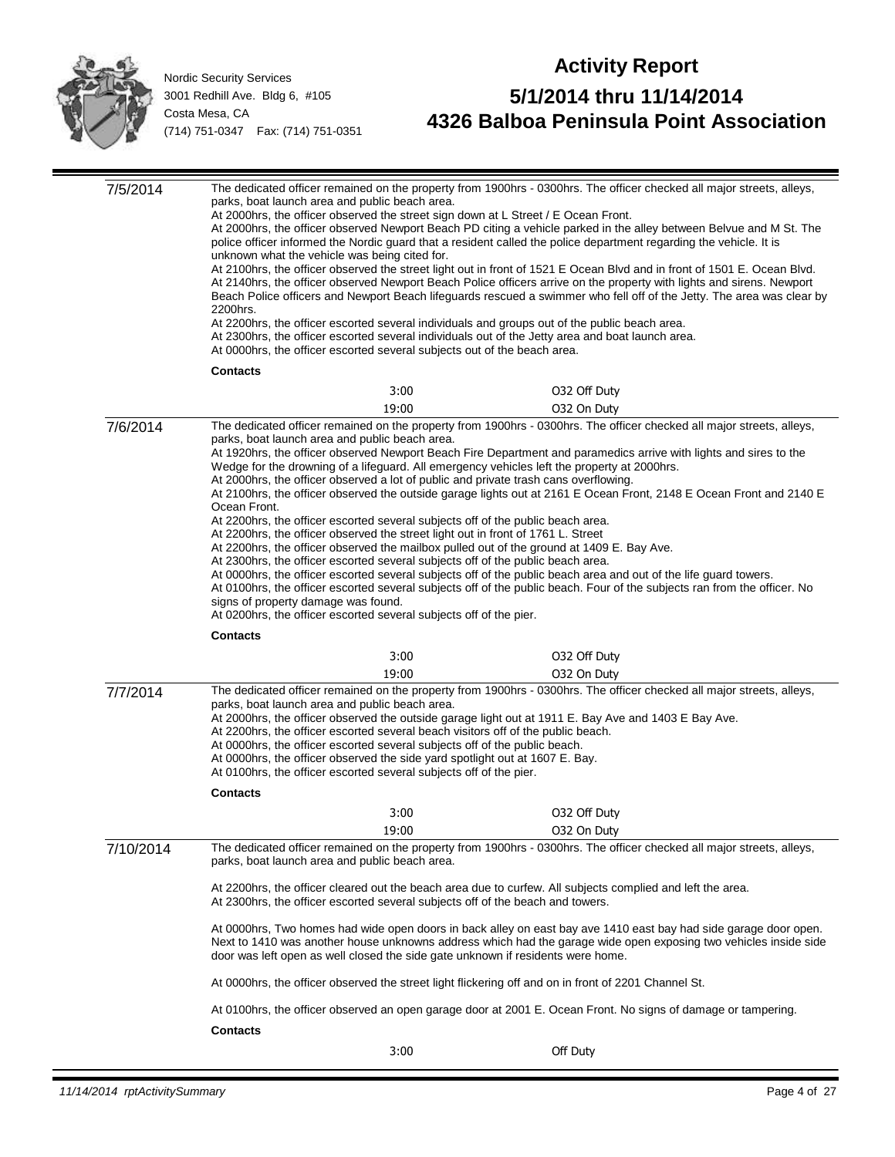

| 7/5/2014  | The dedicated officer remained on the property from 1900hrs - 0300hrs. The officer checked all major streets, alleys,<br>parks, boat launch area and public beach area.<br>At 2000hrs, the officer observed the street sign down at L Street / E Ocean Front.<br>At 2000hrs, the officer observed Newport Beach PD citing a vehicle parked in the alley between Belvue and M St. The<br>police officer informed the Nordic guard that a resident called the police department regarding the vehicle. It is<br>unknown what the vehicle was being cited for.<br>At 2100hrs, the officer observed the street light out in front of 1521 E Ocean Blvd and in front of 1501 E. Ocean Blvd.<br>At 2140hrs, the officer observed Newport Beach Police officers arrive on the property with lights and sirens. Newport<br>Beach Police officers and Newport Beach lifeguards rescued a swimmer who fell off of the Jetty. The area was clear by<br>2200hrs.<br>At 2200hrs, the officer escorted several individuals and groups out of the public beach area.<br>At 2300hrs, the officer escorted several individuals out of the Jetty area and boat launch area.<br>At 0000hrs, the officer escorted several subjects out of the beach area. |                                                                                                                                                                                                                                                                                                                              |                                                                                                                                                                                                                                                                                                                                                                                                                                                                                                                                                                                                                                                                                                                                                                                                                                                                                                       |  |  |
|-----------|---------------------------------------------------------------------------------------------------------------------------------------------------------------------------------------------------------------------------------------------------------------------------------------------------------------------------------------------------------------------------------------------------------------------------------------------------------------------------------------------------------------------------------------------------------------------------------------------------------------------------------------------------------------------------------------------------------------------------------------------------------------------------------------------------------------------------------------------------------------------------------------------------------------------------------------------------------------------------------------------------------------------------------------------------------------------------------------------------------------------------------------------------------------------------------------------------------------------------------------|------------------------------------------------------------------------------------------------------------------------------------------------------------------------------------------------------------------------------------------------------------------------------------------------------------------------------|-------------------------------------------------------------------------------------------------------------------------------------------------------------------------------------------------------------------------------------------------------------------------------------------------------------------------------------------------------------------------------------------------------------------------------------------------------------------------------------------------------------------------------------------------------------------------------------------------------------------------------------------------------------------------------------------------------------------------------------------------------------------------------------------------------------------------------------------------------------------------------------------------------|--|--|
|           | <b>Contacts</b>                                                                                                                                                                                                                                                                                                                                                                                                                                                                                                                                                                                                                                                                                                                                                                                                                                                                                                                                                                                                                                                                                                                                                                                                                       |                                                                                                                                                                                                                                                                                                                              |                                                                                                                                                                                                                                                                                                                                                                                                                                                                                                                                                                                                                                                                                                                                                                                                                                                                                                       |  |  |
|           |                                                                                                                                                                                                                                                                                                                                                                                                                                                                                                                                                                                                                                                                                                                                                                                                                                                                                                                                                                                                                                                                                                                                                                                                                                       | 3:00                                                                                                                                                                                                                                                                                                                         | 032 Off Duty                                                                                                                                                                                                                                                                                                                                                                                                                                                                                                                                                                                                                                                                                                                                                                                                                                                                                          |  |  |
|           |                                                                                                                                                                                                                                                                                                                                                                                                                                                                                                                                                                                                                                                                                                                                                                                                                                                                                                                                                                                                                                                                                                                                                                                                                                       | 19:00                                                                                                                                                                                                                                                                                                                        | 032 On Duty                                                                                                                                                                                                                                                                                                                                                                                                                                                                                                                                                                                                                                                                                                                                                                                                                                                                                           |  |  |
| 7/6/2014  | parks, boat launch area and public beach area.<br>Ocean Front.<br>signs of property damage was found.<br><b>Contacts</b>                                                                                                                                                                                                                                                                                                                                                                                                                                                                                                                                                                                                                                                                                                                                                                                                                                                                                                                                                                                                                                                                                                              | At 2200hrs, the officer escorted several subjects off of the public beach area.<br>At 2200hrs, the officer observed the street light out in front of 1761 L. Street<br>At 2300hrs, the officer escorted several subjects off of the public beach area.<br>At 0200hrs, the officer escorted several subjects off of the pier. | The dedicated officer remained on the property from 1900hrs - 0300hrs. The officer checked all major streets, alleys,<br>At 1920hrs, the officer observed Newport Beach Fire Department and paramedics arrive with lights and sires to the<br>Wedge for the drowning of a lifeguard. All emergency vehicles left the property at 2000hrs.<br>At 2000hrs, the officer observed a lot of public and private trash cans overflowing.<br>At 2100hrs, the officer observed the outside garage lights out at 2161 E Ocean Front, 2148 E Ocean Front and 2140 E<br>At 2200hrs, the officer observed the mailbox pulled out of the ground at 1409 E. Bay Ave.<br>At 0000hrs, the officer escorted several subjects off of the public beach area and out of the life guard towers.<br>At 0100hrs, the officer escorted several subjects off of the public beach. Four of the subjects ran from the officer. No |  |  |
|           |                                                                                                                                                                                                                                                                                                                                                                                                                                                                                                                                                                                                                                                                                                                                                                                                                                                                                                                                                                                                                                                                                                                                                                                                                                       | 3:00                                                                                                                                                                                                                                                                                                                         | 032 Off Duty                                                                                                                                                                                                                                                                                                                                                                                                                                                                                                                                                                                                                                                                                                                                                                                                                                                                                          |  |  |
|           |                                                                                                                                                                                                                                                                                                                                                                                                                                                                                                                                                                                                                                                                                                                                                                                                                                                                                                                                                                                                                                                                                                                                                                                                                                       | 19:00                                                                                                                                                                                                                                                                                                                        | 032 On Duty                                                                                                                                                                                                                                                                                                                                                                                                                                                                                                                                                                                                                                                                                                                                                                                                                                                                                           |  |  |
| 7/7/2014  | The dedicated officer remained on the property from 1900hrs - 0300hrs. The officer checked all major streets, alleys,<br>parks, boat launch area and public beach area.<br>At 2000hrs, the officer observed the outside garage light out at 1911 E. Bay Ave and 1403 E Bay Ave.<br>At 2200hrs, the officer escorted several beach visitors off of the public beach.<br>At 0000hrs, the officer escorted several subjects off of the public beach.<br>At 0000hrs, the officer observed the side yard spotlight out at 1607 E. Bay.<br>At 0100hrs, the officer escorted several subjects off of the pier.                                                                                                                                                                                                                                                                                                                                                                                                                                                                                                                                                                                                                               |                                                                                                                                                                                                                                                                                                                              |                                                                                                                                                                                                                                                                                                                                                                                                                                                                                                                                                                                                                                                                                                                                                                                                                                                                                                       |  |  |
|           | <b>Contacts</b>                                                                                                                                                                                                                                                                                                                                                                                                                                                                                                                                                                                                                                                                                                                                                                                                                                                                                                                                                                                                                                                                                                                                                                                                                       |                                                                                                                                                                                                                                                                                                                              |                                                                                                                                                                                                                                                                                                                                                                                                                                                                                                                                                                                                                                                                                                                                                                                                                                                                                                       |  |  |
|           |                                                                                                                                                                                                                                                                                                                                                                                                                                                                                                                                                                                                                                                                                                                                                                                                                                                                                                                                                                                                                                                                                                                                                                                                                                       | 3:00                                                                                                                                                                                                                                                                                                                         | 032 Off Duty                                                                                                                                                                                                                                                                                                                                                                                                                                                                                                                                                                                                                                                                                                                                                                                                                                                                                          |  |  |
|           |                                                                                                                                                                                                                                                                                                                                                                                                                                                                                                                                                                                                                                                                                                                                                                                                                                                                                                                                                                                                                                                                                                                                                                                                                                       | 19:00                                                                                                                                                                                                                                                                                                                        | 032 On Duty                                                                                                                                                                                                                                                                                                                                                                                                                                                                                                                                                                                                                                                                                                                                                                                                                                                                                           |  |  |
| 7/10/2014 | parks, boat launch area and public beach area.                                                                                                                                                                                                                                                                                                                                                                                                                                                                                                                                                                                                                                                                                                                                                                                                                                                                                                                                                                                                                                                                                                                                                                                        |                                                                                                                                                                                                                                                                                                                              | The dedicated officer remained on the property from 1900hrs - 0300hrs. The officer checked all major streets, alleys,                                                                                                                                                                                                                                                                                                                                                                                                                                                                                                                                                                                                                                                                                                                                                                                 |  |  |
|           |                                                                                                                                                                                                                                                                                                                                                                                                                                                                                                                                                                                                                                                                                                                                                                                                                                                                                                                                                                                                                                                                                                                                                                                                                                       | At 2200hrs, the officer cleared out the beach area due to curfew. All subjects complied and left the area.<br>At 2300hrs, the officer escorted several subjects off of the beach and towers.                                                                                                                                 |                                                                                                                                                                                                                                                                                                                                                                                                                                                                                                                                                                                                                                                                                                                                                                                                                                                                                                       |  |  |
|           |                                                                                                                                                                                                                                                                                                                                                                                                                                                                                                                                                                                                                                                                                                                                                                                                                                                                                                                                                                                                                                                                                                                                                                                                                                       |                                                                                                                                                                                                                                                                                                                              | At 0000hrs, Two homes had wide open doors in back alley on east bay ave 1410 east bay had side garage door open.<br>Next to 1410 was another house unknowns address which had the garage wide open exposing two vehicles inside side<br>door was left open as well closed the side gate unknown if residents were home.                                                                                                                                                                                                                                                                                                                                                                                                                                                                                                                                                                               |  |  |
|           |                                                                                                                                                                                                                                                                                                                                                                                                                                                                                                                                                                                                                                                                                                                                                                                                                                                                                                                                                                                                                                                                                                                                                                                                                                       |                                                                                                                                                                                                                                                                                                                              | At 0000hrs, the officer observed the street light flickering off and on in front of 2201 Channel St.                                                                                                                                                                                                                                                                                                                                                                                                                                                                                                                                                                                                                                                                                                                                                                                                  |  |  |
|           |                                                                                                                                                                                                                                                                                                                                                                                                                                                                                                                                                                                                                                                                                                                                                                                                                                                                                                                                                                                                                                                                                                                                                                                                                                       |                                                                                                                                                                                                                                                                                                                              | At 0100hrs, the officer observed an open garage door at 2001 E. Ocean Front. No signs of damage or tampering.                                                                                                                                                                                                                                                                                                                                                                                                                                                                                                                                                                                                                                                                                                                                                                                         |  |  |
|           | <b>Contacts</b>                                                                                                                                                                                                                                                                                                                                                                                                                                                                                                                                                                                                                                                                                                                                                                                                                                                                                                                                                                                                                                                                                                                                                                                                                       |                                                                                                                                                                                                                                                                                                                              |                                                                                                                                                                                                                                                                                                                                                                                                                                                                                                                                                                                                                                                                                                                                                                                                                                                                                                       |  |  |
|           |                                                                                                                                                                                                                                                                                                                                                                                                                                                                                                                                                                                                                                                                                                                                                                                                                                                                                                                                                                                                                                                                                                                                                                                                                                       | 3:00                                                                                                                                                                                                                                                                                                                         | Off Duty                                                                                                                                                                                                                                                                                                                                                                                                                                                                                                                                                                                                                                                                                                                                                                                                                                                                                              |  |  |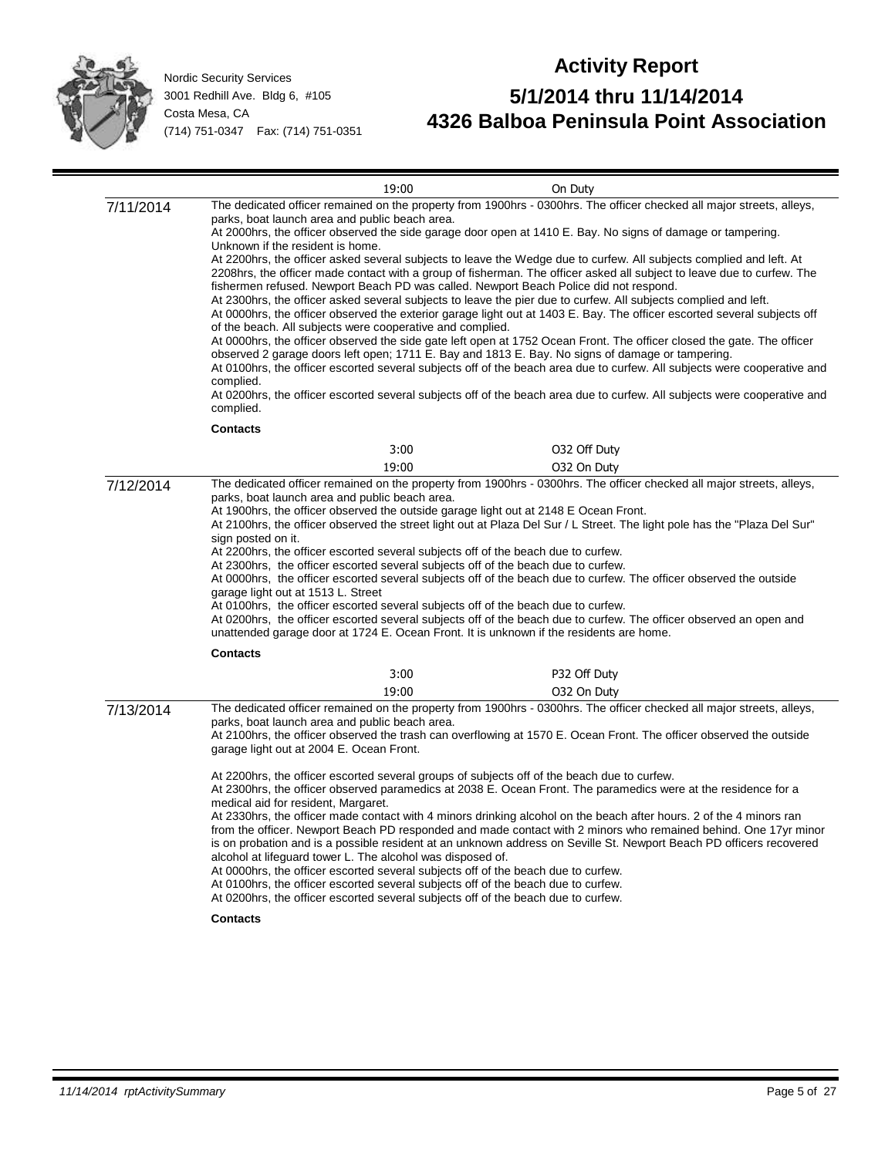

| 19:00                                                                                                                                                | On Duty                                                                                                                                                                                                                                                                                                                                                                                                                                                                                                                                                                                                                                                                                                                                                                                                                                                                                                                                                                                                                                                                                                                                                                                                                                                                                                                |
|------------------------------------------------------------------------------------------------------------------------------------------------------|------------------------------------------------------------------------------------------------------------------------------------------------------------------------------------------------------------------------------------------------------------------------------------------------------------------------------------------------------------------------------------------------------------------------------------------------------------------------------------------------------------------------------------------------------------------------------------------------------------------------------------------------------------------------------------------------------------------------------------------------------------------------------------------------------------------------------------------------------------------------------------------------------------------------------------------------------------------------------------------------------------------------------------------------------------------------------------------------------------------------------------------------------------------------------------------------------------------------------------------------------------------------------------------------------------------------|
| parks, boat launch area and public beach area.<br>Unknown if the resident is home.<br>complied.                                                      | The dedicated officer remained on the property from 1900hrs - 0300hrs. The officer checked all major streets, alleys,<br>At 2000hrs, the officer observed the side garage door open at 1410 E. Bay. No signs of damage or tampering.<br>At 2200hrs, the officer asked several subjects to leave the Wedge due to curfew. All subjects complied and left. At<br>2208hrs, the officer made contact with a group of fisherman. The officer asked all subject to leave due to curfew. The<br>At 2300hrs, the officer asked several subjects to leave the pier due to curfew. All subjects complied and left.<br>At 0000hrs, the officer observed the exterior garage light out at 1403 E. Bay. The officer escorted several subjects off<br>At 0000hrs, the officer observed the side gate left open at 1752 Ocean Front. The officer closed the gate. The officer<br>At 0100hrs, the officer escorted several subjects off of the beach area due to curfew. All subjects were cooperative and<br>At 0200hrs, the officer escorted several subjects off of the beach area due to curfew. All subjects were cooperative and                                                                                                                                                                                                 |
|                                                                                                                                                      |                                                                                                                                                                                                                                                                                                                                                                                                                                                                                                                                                                                                                                                                                                                                                                                                                                                                                                                                                                                                                                                                                                                                                                                                                                                                                                                        |
|                                                                                                                                                      | 032 Off Duty                                                                                                                                                                                                                                                                                                                                                                                                                                                                                                                                                                                                                                                                                                                                                                                                                                                                                                                                                                                                                                                                                                                                                                                                                                                                                                           |
| 19:00                                                                                                                                                | 032 On Duty                                                                                                                                                                                                                                                                                                                                                                                                                                                                                                                                                                                                                                                                                                                                                                                                                                                                                                                                                                                                                                                                                                                                                                                                                                                                                                            |
| parks, boat launch area and public beach area.<br>sign posted on it.<br>garage light out at 1513 L. Street                                           | At 2100hrs, the officer observed the street light out at Plaza Del Sur / L Street. The light pole has the "Plaza Del Sur"<br>At 0000hrs, the officer escorted several subjects off of the beach due to curfew. The officer observed the outside<br>At 0200hrs, the officer escorted several subjects off of the beach due to curfew. The officer observed an open and                                                                                                                                                                                                                                                                                                                                                                                                                                                                                                                                                                                                                                                                                                                                                                                                                                                                                                                                                  |
| <b>Contacts</b>                                                                                                                                      |                                                                                                                                                                                                                                                                                                                                                                                                                                                                                                                                                                                                                                                                                                                                                                                                                                                                                                                                                                                                                                                                                                                                                                                                                                                                                                                        |
|                                                                                                                                                      | P32 Off Duty                                                                                                                                                                                                                                                                                                                                                                                                                                                                                                                                                                                                                                                                                                                                                                                                                                                                                                                                                                                                                                                                                                                                                                                                                                                                                                           |
| parks, boat launch area and public beach area.<br>garage light out at 2004 E. Ocean Front.<br>medical aid for resident, Margaret.<br><b>Contacts</b> | 032 On Duty<br>The dedicated officer remained on the property from 1900hrs - 0300hrs. The officer checked all major streets, alleys,<br>At 2100hrs, the officer observed the trash can overflowing at 1570 E. Ocean Front. The officer observed the outside<br>At 2300hrs, the officer observed paramedics at 2038 E. Ocean Front. The paramedics were at the residence for a<br>At 2330hrs, the officer made contact with 4 minors drinking alcohol on the beach after hours. 2 of the 4 minors ran<br>from the officer. Newport Beach PD responded and made contact with 2 minors who remained behind. One 17yr minor<br>is on probation and is a possible resident at an unknown address on Seville St. Newport Beach PD officers recovered                                                                                                                                                                                                                                                                                                                                                                                                                                                                                                                                                                         |
|                                                                                                                                                      | fishermen refused. Newport Beach PD was called. Newport Beach Police did not respond.<br>of the beach. All subjects were cooperative and complied.<br>observed 2 garage doors left open; 1711 E. Bay and 1813 E. Bay. No signs of damage or tampering.<br>complied.<br><b>Contacts</b><br>3:00<br>The dedicated officer remained on the property from 1900hrs - 0300hrs. The officer checked all major streets, alleys,<br>At 1900hrs, the officer observed the outside garage light out at 2148 E Ocean Front.<br>At 2200hrs, the officer escorted several subjects off of the beach due to curfew.<br>At 2300hrs, the officer escorted several subjects off of the beach due to curfew.<br>At 0100hrs, the officer escorted several subjects off of the beach due to curfew.<br>unattended garage door at 1724 E. Ocean Front. It is unknown if the residents are home.<br>3:00<br>19:00<br>At 2200hrs, the officer escorted several groups of subjects off of the beach due to curfew.<br>alcohol at lifeguard tower L. The alcohol was disposed of.<br>At 0000hrs, the officer escorted several subjects off of the beach due to curfew.<br>At 0100hrs, the officer escorted several subjects off of the beach due to curfew.<br>At 0200hrs, the officer escorted several subjects off of the beach due to curfew. |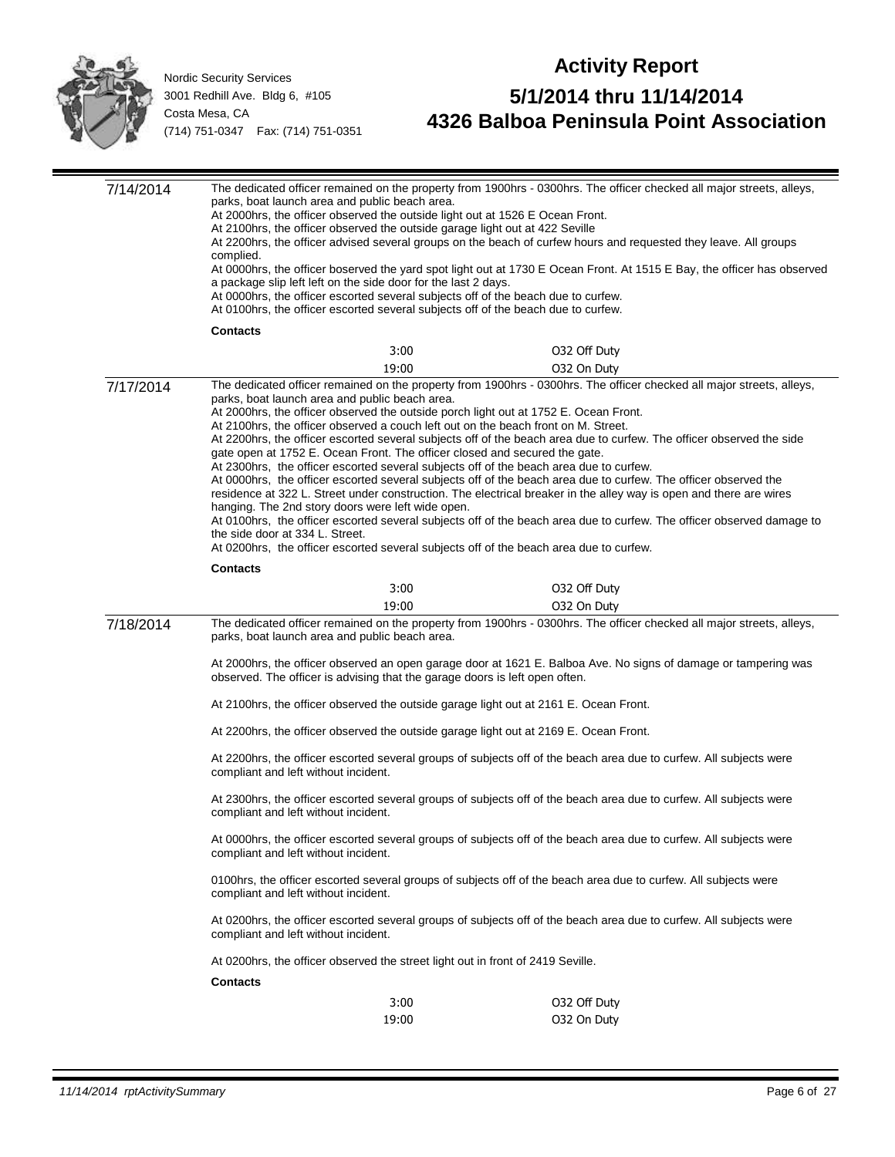

| 7/14/2014 | parks, boat launch area and public beach area.<br>At 2000hrs, the officer observed the outside light out at 1526 E Ocean Front.<br>At 2100hrs, the officer observed the outside garage light out at 422 Seville<br>complied.<br>a package slip left left on the side door for the last 2 days.<br>At 0000hrs, the officer escorted several subjects off of the beach due to curfew.<br>At 0100hrs, the officer escorted several subjects off of the beach due to curfew.                     |               | The dedicated officer remained on the property from 1900hrs - 0300hrs. The officer checked all major streets, alleys,<br>At 2200hrs, the officer advised several groups on the beach of curfew hours and requested they leave. All groups<br>At 0000hrs, the officer boserved the yard spot light out at 1730 E Ocean Front. At 1515 E Bay, the officer has observed                                                                                                                                                                                                                                            |  |  |
|-----------|----------------------------------------------------------------------------------------------------------------------------------------------------------------------------------------------------------------------------------------------------------------------------------------------------------------------------------------------------------------------------------------------------------------------------------------------------------------------------------------------|---------------|-----------------------------------------------------------------------------------------------------------------------------------------------------------------------------------------------------------------------------------------------------------------------------------------------------------------------------------------------------------------------------------------------------------------------------------------------------------------------------------------------------------------------------------------------------------------------------------------------------------------|--|--|
|           | <b>Contacts</b>                                                                                                                                                                                                                                                                                                                                                                                                                                                                              |               |                                                                                                                                                                                                                                                                                                                                                                                                                                                                                                                                                                                                                 |  |  |
|           |                                                                                                                                                                                                                                                                                                                                                                                                                                                                                              | 3:00          | 032 Off Duty                                                                                                                                                                                                                                                                                                                                                                                                                                                                                                                                                                                                    |  |  |
|           |                                                                                                                                                                                                                                                                                                                                                                                                                                                                                              | 19:00         | 032 On Duty                                                                                                                                                                                                                                                                                                                                                                                                                                                                                                                                                                                                     |  |  |
| 7/17/2014 | parks, boat launch area and public beach area.<br>At 2000hrs, the officer observed the outside porch light out at 1752 E. Ocean Front.<br>At 2100hrs, the officer observed a couch left out on the beach front on M. Street.<br>gate open at 1752 E. Ocean Front. The officer closed and secured the gate.<br>At 2300hrs, the officer escorted several subjects off of the beach area due to curfew.<br>hanging. The 2nd story doors were left wide open.<br>the side door at 334 L. Street. |               | The dedicated officer remained on the property from 1900hrs - 0300hrs. The officer checked all major streets, alleys,<br>At 2200hrs, the officer escorted several subjects off of the beach area due to curfew. The officer observed the side<br>At 0000hrs, the officer escorted several subjects off of the beach area due to curfew. The officer observed the<br>residence at 322 L. Street under construction. The electrical breaker in the alley way is open and there are wires<br>At 0100hrs, the officer escorted several subjects off of the beach area due to curfew. The officer observed damage to |  |  |
|           | At 0200hrs, the officer escorted several subjects off of the beach area due to curfew.                                                                                                                                                                                                                                                                                                                                                                                                       |               |                                                                                                                                                                                                                                                                                                                                                                                                                                                                                                                                                                                                                 |  |  |
|           | <b>Contacts</b>                                                                                                                                                                                                                                                                                                                                                                                                                                                                              |               |                                                                                                                                                                                                                                                                                                                                                                                                                                                                                                                                                                                                                 |  |  |
|           |                                                                                                                                                                                                                                                                                                                                                                                                                                                                                              | 3:00<br>19:00 | 032 Off Duty                                                                                                                                                                                                                                                                                                                                                                                                                                                                                                                                                                                                    |  |  |
| 7/18/2014 |                                                                                                                                                                                                                                                                                                                                                                                                                                                                                              |               | 032 On Duty<br>The dedicated officer remained on the property from 1900hrs - 0300hrs. The officer checked all major streets, alleys,                                                                                                                                                                                                                                                                                                                                                                                                                                                                            |  |  |
|           | parks, boat launch area and public beach area.                                                                                                                                                                                                                                                                                                                                                                                                                                               |               |                                                                                                                                                                                                                                                                                                                                                                                                                                                                                                                                                                                                                 |  |  |
|           | At 2000hrs, the officer observed an open garage door at 1621 E. Balboa Ave. No signs of damage or tampering was<br>observed. The officer is advising that the garage doors is left open often.                                                                                                                                                                                                                                                                                               |               |                                                                                                                                                                                                                                                                                                                                                                                                                                                                                                                                                                                                                 |  |  |
|           | At 2100hrs, the officer observed the outside garage light out at 2161 E. Ocean Front.                                                                                                                                                                                                                                                                                                                                                                                                        |               |                                                                                                                                                                                                                                                                                                                                                                                                                                                                                                                                                                                                                 |  |  |
|           | At 2200hrs, the officer observed the outside garage light out at 2169 E. Ocean Front.                                                                                                                                                                                                                                                                                                                                                                                                        |               |                                                                                                                                                                                                                                                                                                                                                                                                                                                                                                                                                                                                                 |  |  |
|           | At 2200hrs, the officer escorted several groups of subjects off of the beach area due to curfew. All subjects were<br>compliant and left without incident.                                                                                                                                                                                                                                                                                                                                   |               |                                                                                                                                                                                                                                                                                                                                                                                                                                                                                                                                                                                                                 |  |  |
|           | At 2300hrs, the officer escorted several groups of subjects off of the beach area due to curfew. All subjects were<br>compliant and left without incident.                                                                                                                                                                                                                                                                                                                                   |               |                                                                                                                                                                                                                                                                                                                                                                                                                                                                                                                                                                                                                 |  |  |
|           | At 0000hrs, the officer escorted several groups of subjects off of the beach area due to curfew. All subjects were<br>compliant and left without incident.                                                                                                                                                                                                                                                                                                                                   |               |                                                                                                                                                                                                                                                                                                                                                                                                                                                                                                                                                                                                                 |  |  |
|           | 0100hrs, the officer escorted several groups of subjects off of the beach area due to curfew. All subjects were<br>compliant and left without incident.                                                                                                                                                                                                                                                                                                                                      |               |                                                                                                                                                                                                                                                                                                                                                                                                                                                                                                                                                                                                                 |  |  |
|           | compliant and left without incident.                                                                                                                                                                                                                                                                                                                                                                                                                                                         |               | At 0200hrs, the officer escorted several groups of subjects off of the beach area due to curfew. All subjects were                                                                                                                                                                                                                                                                                                                                                                                                                                                                                              |  |  |
|           | At 0200hrs, the officer observed the street light out in front of 2419 Seville.                                                                                                                                                                                                                                                                                                                                                                                                              |               |                                                                                                                                                                                                                                                                                                                                                                                                                                                                                                                                                                                                                 |  |  |
|           | <b>Contacts</b>                                                                                                                                                                                                                                                                                                                                                                                                                                                                              |               |                                                                                                                                                                                                                                                                                                                                                                                                                                                                                                                                                                                                                 |  |  |
|           |                                                                                                                                                                                                                                                                                                                                                                                                                                                                                              | 3:00<br>19:00 | 032 Off Duty<br>032 On Duty                                                                                                                                                                                                                                                                                                                                                                                                                                                                                                                                                                                     |  |  |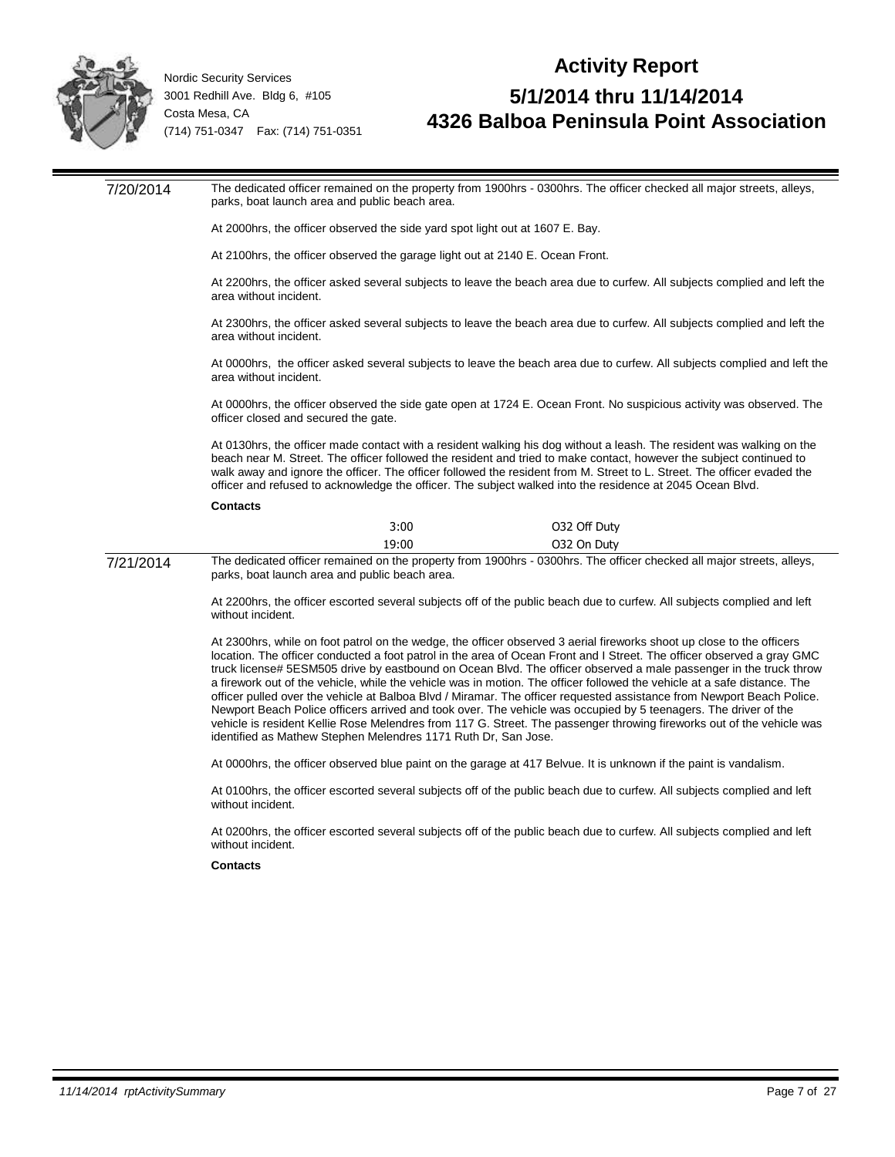

#### **Activity Report 5/1/2014 thru 11/14/2014 4326 Balboa Peninsula Point Association**

7/20/2014 The dedicated officer remained on the property from 1900hrs - 0300hrs. The officer checked all major streets, alleys, parks, boat launch area and public beach area. At 2000hrs, the officer observed the side yard spot light out at 1607 E. Bay. At 2100hrs, the officer observed the garage light out at 2140 E. Ocean Front. At 2200hrs, the officer asked several subjects to leave the beach area due to curfew. All subjects complied and left the area without incident. At 2300hrs, the officer asked several subjects to leave the beach area due to curfew. All subjects complied and left the area without incident. At 0000hrs, the officer asked several subjects to leave the beach area due to curfew. All subjects complied and left the area without incident. At 0000hrs, the officer observed the side gate open at 1724 E. Ocean Front. No suspicious activity was observed. The officer closed and secured the gate. At 0130hrs, the officer made contact with a resident walking his dog without a leash. The resident was walking on the beach near M. Street. The officer followed the resident and tried to make contact, however the subject continued to walk away and ignore the officer. The officer followed the resident from M. Street to L. Street. The officer evaded the officer and refused to acknowledge the officer. The subject walked into the residence at 2045 Ocean Blvd. **Contacts** 3:00 O32 Off Duty 19:00 O32 On Duty 7/21/2014 The dedicated officer remained on the property from 1900hrs - 0300hrs. The officer checked all major streets, alleys, parks, boat launch area and public beach area. At 2200hrs, the officer escorted several subjects off of the public beach due to curfew. All subjects complied and left without incident. At 2300hrs, while on foot patrol on the wedge, the officer observed 3 aerial fireworks shoot up close to the officers location. The officer conducted a foot patrol in the area of Ocean Front and I Street. The officer observed a gray GMC truck license# 5ESM505 drive by eastbound on Ocean Blvd. The officer observed a male passenger in the truck throw a firework out of the vehicle, while the vehicle was in motion. The officer followed the vehicle at a safe distance. The officer pulled over the vehicle at Balboa Blvd / Miramar. The officer requested assistance from Newport Beach Police. Newport Beach Police officers arrived and took over. The vehicle was occupied by 5 teenagers. The driver of the vehicle is resident Kellie Rose Melendres from 117 G. Street. The passenger throwing fireworks out of the vehicle was identified as Mathew Stephen Melendres 1171 Ruth Dr, San Jose. At 0000hrs, the officer observed blue paint on the garage at 417 Belvue. It is unknown if the paint is vandalism. At 0100hrs, the officer escorted several subjects off of the public beach due to curfew. All subjects complied and left without incident. At 0200hrs, the officer escorted several subjects off of the public beach due to curfew. All subjects complied and left without incident. **Contacts**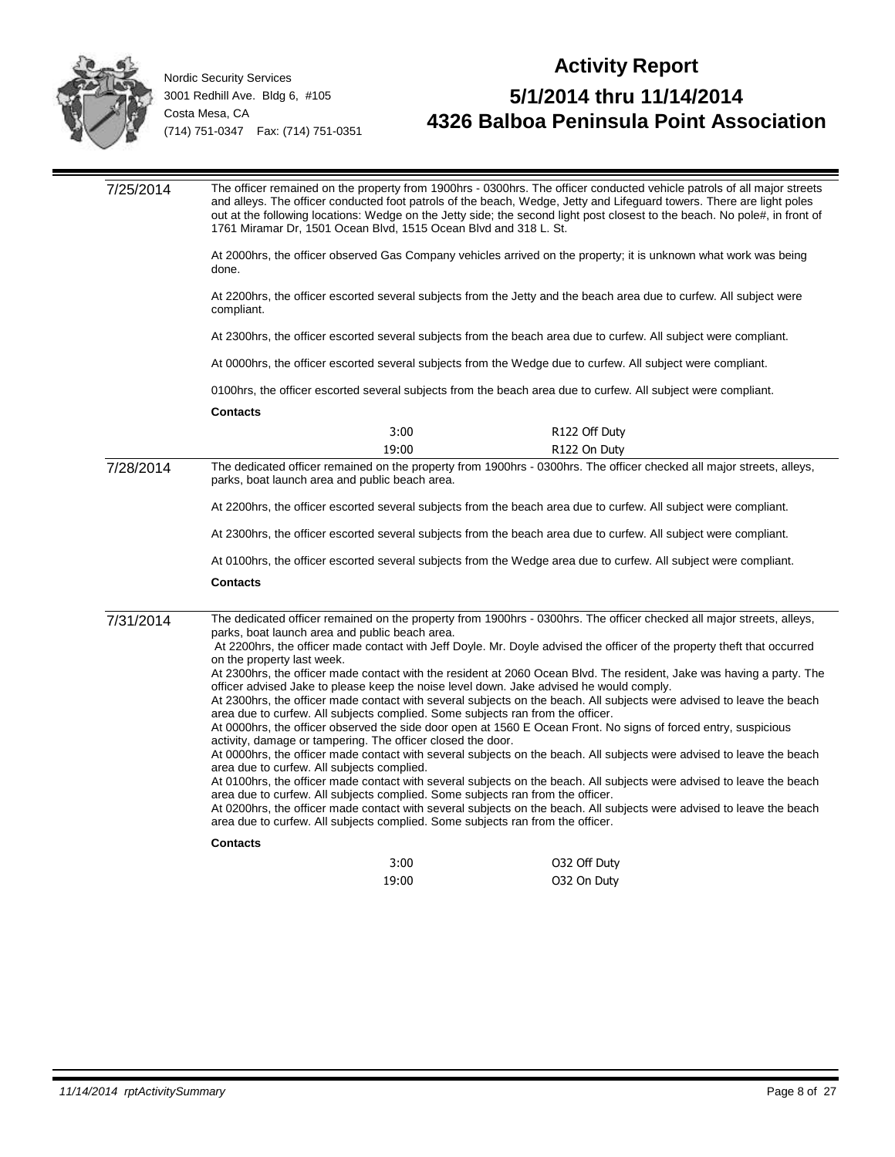

| 7/25/2014 | The officer remained on the property from 1900hrs - 0300hrs. The officer conducted vehicle patrols of all major streets<br>and alleys. The officer conducted foot patrols of the beach, Wedge, Jetty and Lifeguard towers. There are light poles<br>out at the following locations: Wedge on the Jetty side; the second light post closest to the beach. No pole#, in front of<br>1761 Miramar Dr, 1501 Ocean Blvd, 1515 Ocean Blvd and 318 L. St. |  |  |
|-----------|----------------------------------------------------------------------------------------------------------------------------------------------------------------------------------------------------------------------------------------------------------------------------------------------------------------------------------------------------------------------------------------------------------------------------------------------------|--|--|
|           | At 2000hrs, the officer observed Gas Company vehicles arrived on the property; it is unknown what work was being<br>done.                                                                                                                                                                                                                                                                                                                          |  |  |
|           | At 2200hrs, the officer escorted several subjects from the Jetty and the beach area due to curfew. All subject were<br>compliant.                                                                                                                                                                                                                                                                                                                  |  |  |
|           | At 2300hrs, the officer escorted several subjects from the beach area due to curfew. All subject were compliant.                                                                                                                                                                                                                                                                                                                                   |  |  |
|           | At 0000hrs, the officer escorted several subjects from the Wedge due to curfew. All subject were compliant.                                                                                                                                                                                                                                                                                                                                        |  |  |
|           | 0100hrs, the officer escorted several subjects from the beach area due to curfew. All subject were compliant.                                                                                                                                                                                                                                                                                                                                      |  |  |
|           | <b>Contacts</b>                                                                                                                                                                                                                                                                                                                                                                                                                                    |  |  |
|           | 3:00<br>R122 Off Duty                                                                                                                                                                                                                                                                                                                                                                                                                              |  |  |
|           | 19:00<br>R122 On Duty                                                                                                                                                                                                                                                                                                                                                                                                                              |  |  |
| 7/28/2014 | The dedicated officer remained on the property from 1900hrs - 0300hrs. The officer checked all major streets, alleys,<br>parks, boat launch area and public beach area.                                                                                                                                                                                                                                                                            |  |  |
|           | At 2200hrs, the officer escorted several subjects from the beach area due to curfew. All subject were compliant.                                                                                                                                                                                                                                                                                                                                   |  |  |
|           | At 2300hrs, the officer escorted several subjects from the beach area due to curfew. All subject were compliant.                                                                                                                                                                                                                                                                                                                                   |  |  |
|           | At 0100hrs, the officer escorted several subjects from the Wedge area due to curfew. All subject were compliant.                                                                                                                                                                                                                                                                                                                                   |  |  |
|           | <b>Contacts</b>                                                                                                                                                                                                                                                                                                                                                                                                                                    |  |  |
| 7/31/2014 | The dedicated officer remained on the property from 1900hrs - 0300hrs. The officer checked all major streets, alleys,<br>parks, boat launch area and public beach area.<br>At 2200hrs, the officer made contact with Jeff Doyle. Mr. Doyle advised the officer of the property theft that occurred                                                                                                                                                 |  |  |
|           | on the property last week.<br>At 2300hrs, the officer made contact with the resident at 2060 Ocean Blvd. The resident, Jake was having a party. The                                                                                                                                                                                                                                                                                                |  |  |
|           | officer advised Jake to please keep the noise level down. Jake advised he would comply.<br>At 2300hrs, the officer made contact with several subjects on the beach. All subjects were advised to leave the beach                                                                                                                                                                                                                                   |  |  |
|           | area due to curfew. All subjects complied. Some subjects ran from the officer.<br>At 0000hrs, the officer observed the side door open at 1560 E Ocean Front. No signs of forced entry, suspicious                                                                                                                                                                                                                                                  |  |  |
|           | activity, damage or tampering. The officer closed the door.                                                                                                                                                                                                                                                                                                                                                                                        |  |  |
|           | At 0000hrs, the officer made contact with several subjects on the beach. All subjects were advised to leave the beach<br>area due to curfew. All subjects complied.                                                                                                                                                                                                                                                                                |  |  |
|           | At 0100hrs, the officer made contact with several subjects on the beach. All subjects were advised to leave the beach                                                                                                                                                                                                                                                                                                                              |  |  |
|           | area due to curfew. All subjects complied. Some subjects ran from the officer.<br>At 0200hrs, the officer made contact with several subjects on the beach. All subjects were advised to leave the beach<br>area due to curfew. All subjects complied. Some subjects ran from the officer.                                                                                                                                                          |  |  |
|           | <b>Contacts</b>                                                                                                                                                                                                                                                                                                                                                                                                                                    |  |  |
|           | 3:00<br>032 Off Duty                                                                                                                                                                                                                                                                                                                                                                                                                               |  |  |
|           | 19:00<br>032 On Duty                                                                                                                                                                                                                                                                                                                                                                                                                               |  |  |
|           |                                                                                                                                                                                                                                                                                                                                                                                                                                                    |  |  |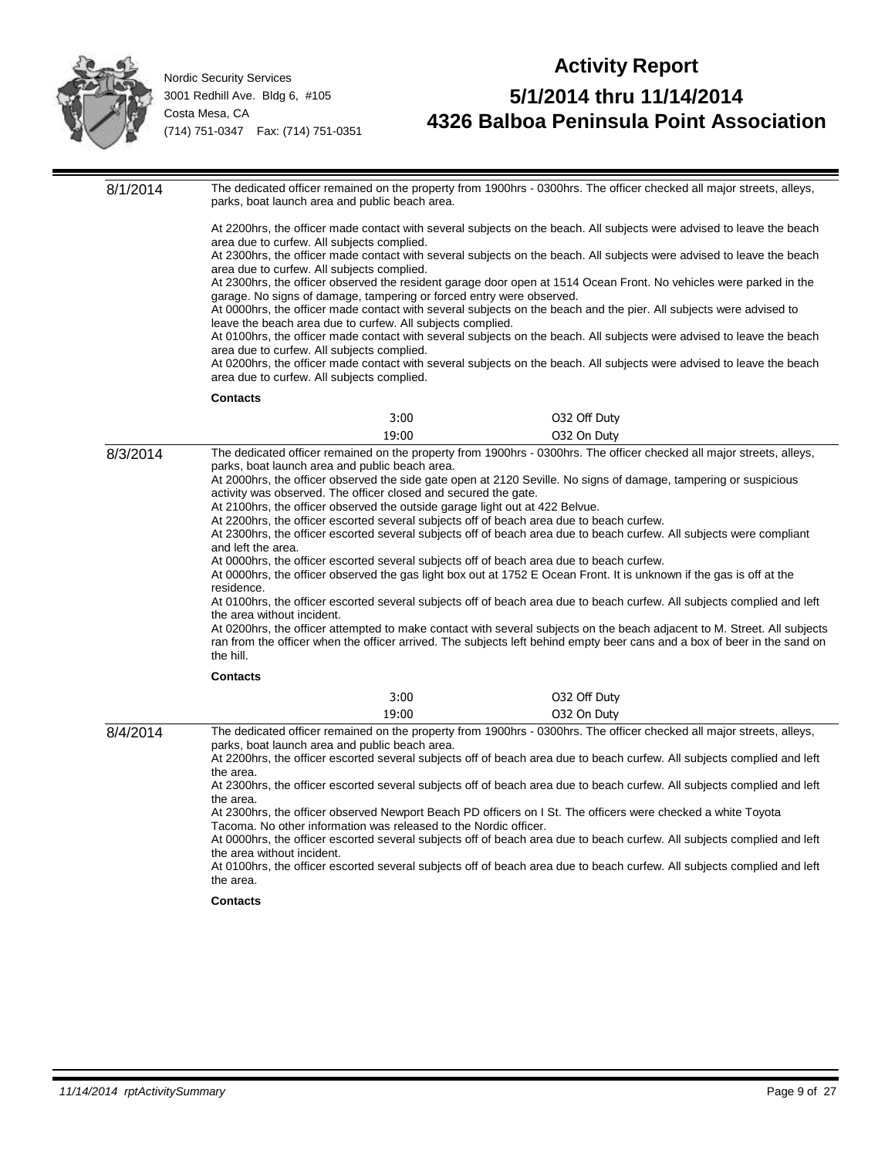

## **Activity Report 5/1/2014 thru 11/14/2014 4326 Balboa Peninsula Point Association**

8/1/2014 The dedicated officer remained on the property from 1900hrs - 0300hrs. The officer checked all major streets, alleys, parks, boat launch area and public beach area. At 2200hrs, the officer made contact with several subjects on the beach. All subjects were advised to leave the beach area due to curfew. All subjects complied. At 2300hrs, the officer made contact with several subjects on the beach. All subjects were advised to leave the beach area due to curfew. All subjects complied. At 2300hrs, the officer observed the resident garage door open at 1514 Ocean Front. No vehicles were parked in the garage. No signs of damage, tampering or forced entry were observed. At 0000hrs, the officer made contact with several subjects on the beach and the pier. All subjects were advised to leave the beach area due to curfew. All subjects complied. At 0100hrs, the officer made contact with several subjects on the beach. All subjects were advised to leave the beach area due to curfew. All subjects complied. At 0200hrs, the officer made contact with several subjects on the beach. All subjects were advised to leave the beach area due to curfew. All subjects complied. **Contacts** 3:00 O32 Off Duty 19:00 O32 On Duty 8/3/2014 The dedicated officer remained on the property from 1900hrs - 0300hrs. The officer checked all major streets, alleys, parks, boat launch area and public beach area. At 2000hrs, the officer observed the side gate open at 2120 Seville. No signs of damage, tampering or suspicious activity was observed. The officer closed and secured the gate. At 2100hrs, the officer observed the outside garage light out at 422 Belvue. At 2200hrs, the officer escorted several subjects off of beach area due to beach curfew. At 2300hrs, the officer escorted several subjects off of beach area due to beach curfew. All subjects were compliant and left the area. At 0000hrs, the officer escorted several subjects off of beach area due to beach curfew. At 0000hrs, the officer observed the gas light box out at 1752 E Ocean Front. It is unknown if the gas is off at the residence. At 0100hrs, the officer escorted several subjects off of beach area due to beach curfew. All subjects complied and left the area without incident. At 0200hrs, the officer attempted to make contact with several subjects on the beach adjacent to M. Street. All subjects ran from the officer when the officer arrived. The subjects left behind empty beer cans and a box of beer in the sand on the hill. **Contacts** 3:00 O32 Off Duty 19:00 O32 On Duty 8/4/2014 The dedicated officer remained on the property from 1900hrs - 0300hrs. The officer checked all major streets, alleys, parks, boat launch area and public beach area. At 2200hrs, the officer escorted several subjects off of beach area due to beach curfew. All subjects complied and left the area. At 2300hrs, the officer escorted several subjects off of beach area due to beach curfew. All subjects complied and left the area. At 2300hrs, the officer observed Newport Beach PD officers on I St. The officers were checked a white Toyota Tacoma. No other information was released to the Nordic officer. At 0000hrs, the officer escorted several subjects off of beach area due to beach curfew. All subjects complied and left the area without incident. At 0100hrs, the officer escorted several subjects off of beach area due to beach curfew. All subjects complied and left the area. **Contacts**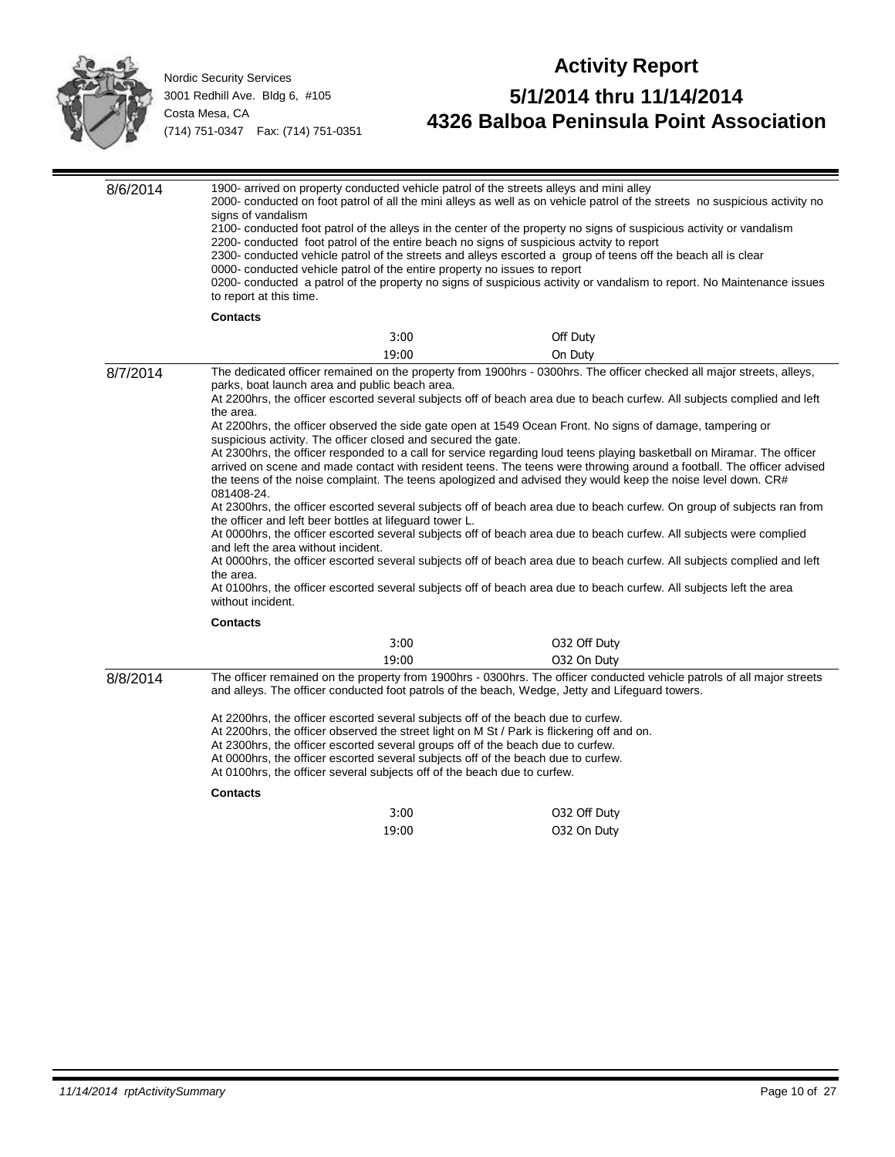

| 8/6/2014 | signs of vandalism                                                                                                                                                                                                                                                                                                                                      |                                                                           | 1900- arrived on property conducted vehicle patrol of the streets alleys and mini alley<br>2000- conducted on foot patrol of all the mini alleys as well as on vehicle patrol of the streets no suspicious activity no<br>2100- conducted foot patrol of the alleys in the center of the property no signs of suspicious activity or vandalism<br>2200- conducted foot patrol of the entire beach no signs of suspicious actvity to report<br>2300- conducted vehicle patrol of the streets and alleys escorted a group of teens off the beach all is clear |  |
|----------|---------------------------------------------------------------------------------------------------------------------------------------------------------------------------------------------------------------------------------------------------------------------------------------------------------------------------------------------------------|---------------------------------------------------------------------------|-------------------------------------------------------------------------------------------------------------------------------------------------------------------------------------------------------------------------------------------------------------------------------------------------------------------------------------------------------------------------------------------------------------------------------------------------------------------------------------------------------------------------------------------------------------|--|
|          | to report at this time.                                                                                                                                                                                                                                                                                                                                 | 0000- conducted vehicle patrol of the entire property no issues to report | 0200- conducted a patrol of the property no signs of suspicious activity or vandalism to report. No Maintenance issues                                                                                                                                                                                                                                                                                                                                                                                                                                      |  |
|          | <b>Contacts</b>                                                                                                                                                                                                                                                                                                                                         |                                                                           |                                                                                                                                                                                                                                                                                                                                                                                                                                                                                                                                                             |  |
|          |                                                                                                                                                                                                                                                                                                                                                         | 3:00                                                                      | Off Duty                                                                                                                                                                                                                                                                                                                                                                                                                                                                                                                                                    |  |
|          |                                                                                                                                                                                                                                                                                                                                                         | 19:00                                                                     | On Duty                                                                                                                                                                                                                                                                                                                                                                                                                                                                                                                                                     |  |
| 8/7/2014 |                                                                                                                                                                                                                                                                                                                                                         | parks, boat launch area and public beach area.                            | The dedicated officer remained on the property from 1900hrs - 0300hrs. The officer checked all major streets, alleys,<br>At 2200hrs, the officer escorted several subjects off of beach area due to beach curfew. All subjects complied and left                                                                                                                                                                                                                                                                                                            |  |
|          | the area.                                                                                                                                                                                                                                                                                                                                               | suspicious activity. The officer closed and secured the gate.             | At 2200hrs, the officer observed the side gate open at 1549 Ocean Front. No signs of damage, tampering or                                                                                                                                                                                                                                                                                                                                                                                                                                                   |  |
|          | 081408-24.                                                                                                                                                                                                                                                                                                                                              |                                                                           | At 2300hrs, the officer responded to a call for service regarding loud teens playing basketball on Miramar. The officer<br>arrived on scene and made contact with resident teens. The teens were throwing around a football. The officer advised<br>the teens of the noise complaint. The teens apologized and advised they would keep the noise level down. CR#                                                                                                                                                                                            |  |
|          | At 2300hrs, the officer escorted several subjects off of beach area due to beach curfew. On group of subjects ran from<br>the officer and left beer bottles at lifeguard tower L.<br>At 0000hrs, the officer escorted several subjects off of beach area due to beach curfew. All subjects were complied                                                |                                                                           |                                                                                                                                                                                                                                                                                                                                                                                                                                                                                                                                                             |  |
|          | and left the area without incident.<br>the area.                                                                                                                                                                                                                                                                                                        |                                                                           | At 0000hrs, the officer escorted several subjects off of beach area due to beach curfew. All subjects complied and left<br>At 0100hrs, the officer escorted several subjects off of beach area due to beach curfew. All subjects left the area                                                                                                                                                                                                                                                                                                              |  |
|          | without incident.                                                                                                                                                                                                                                                                                                                                       |                                                                           |                                                                                                                                                                                                                                                                                                                                                                                                                                                                                                                                                             |  |
|          | <b>Contacts</b>                                                                                                                                                                                                                                                                                                                                         |                                                                           |                                                                                                                                                                                                                                                                                                                                                                                                                                                                                                                                                             |  |
|          |                                                                                                                                                                                                                                                                                                                                                         | 3:00                                                                      | 032 Off Duty                                                                                                                                                                                                                                                                                                                                                                                                                                                                                                                                                |  |
|          |                                                                                                                                                                                                                                                                                                                                                         | 19:00                                                                     | 032 On Duty                                                                                                                                                                                                                                                                                                                                                                                                                                                                                                                                                 |  |
| 8/8/2014 |                                                                                                                                                                                                                                                                                                                                                         |                                                                           | The officer remained on the property from 1900hrs - 0300hrs. The officer conducted vehicle patrols of all major streets<br>and alleys. The officer conducted foot patrols of the beach, Wedge, Jetty and Lifeguard towers.                                                                                                                                                                                                                                                                                                                                  |  |
|          | At 2200hrs, the officer escorted several subjects off of the beach due to curfew.<br>At 2200hrs, the officer observed the street light on M St / Park is flickering off and on.<br>At 2300hrs, the officer escorted several groups off of the beach due to curfew.<br>At 0000hrs, the officer escorted several subjects off of the beach due to curfew. |                                                                           |                                                                                                                                                                                                                                                                                                                                                                                                                                                                                                                                                             |  |
|          |                                                                                                                                                                                                                                                                                                                                                         | At 0100 hrs, the officer several subjects off of the beach due to curfew. |                                                                                                                                                                                                                                                                                                                                                                                                                                                                                                                                                             |  |
|          | <b>Contacts</b>                                                                                                                                                                                                                                                                                                                                         |                                                                           |                                                                                                                                                                                                                                                                                                                                                                                                                                                                                                                                                             |  |
|          |                                                                                                                                                                                                                                                                                                                                                         | 3:00                                                                      | 032 Off Duty                                                                                                                                                                                                                                                                                                                                                                                                                                                                                                                                                |  |
|          |                                                                                                                                                                                                                                                                                                                                                         | 19:00                                                                     | 032 On Duty                                                                                                                                                                                                                                                                                                                                                                                                                                                                                                                                                 |  |
|          |                                                                                                                                                                                                                                                                                                                                                         |                                                                           |                                                                                                                                                                                                                                                                                                                                                                                                                                                                                                                                                             |  |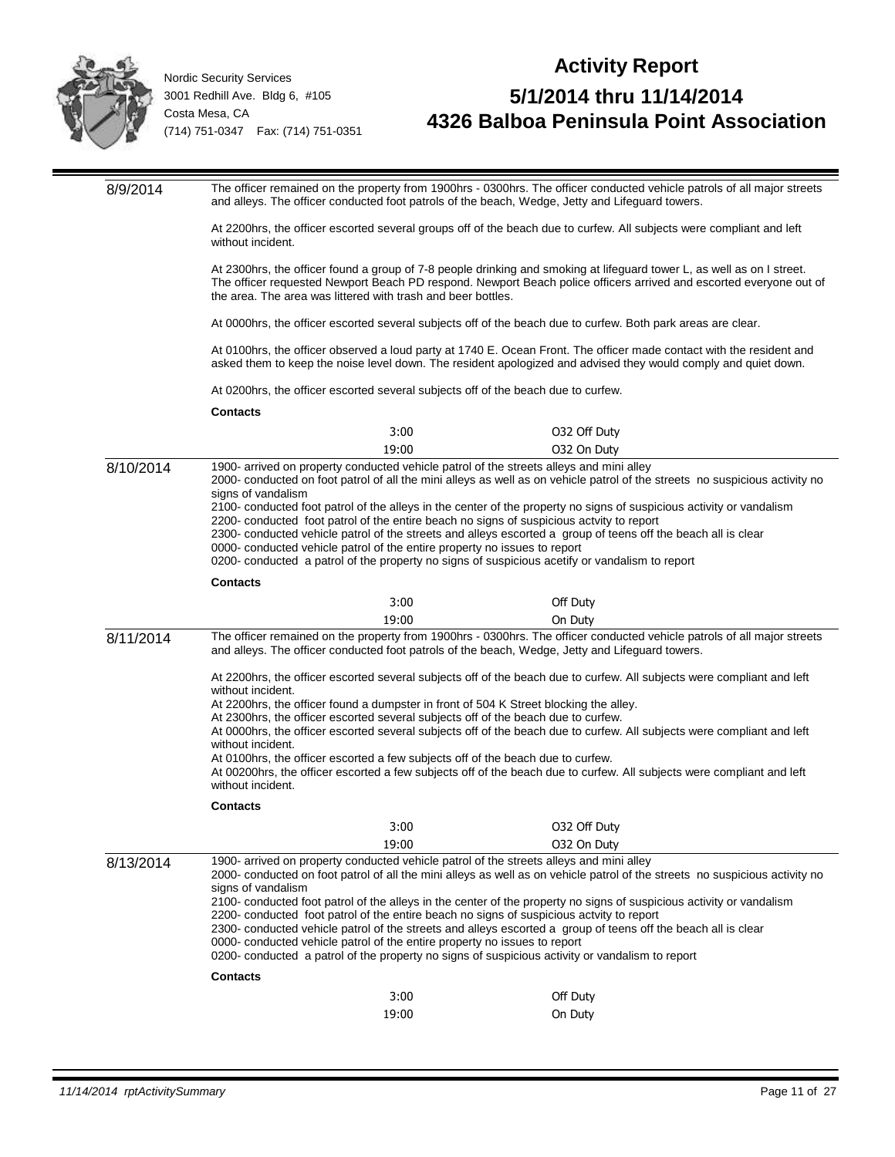

| The officer remained on the property from 1900hrs - 0300hrs. The officer conducted vehicle patrols of all major streets<br>8/9/2014<br>and alleys. The officer conducted foot patrols of the beach, Wedge, Jetty and Lifeguard towers. |                                                                                                                                                                                                                                                                                                                                                                                                                                                                                                                                                                                                                                                                                                                                                                   |       |                                                                                                                                                                                                                                                                                                                                                                                                                                                                    |  |
|----------------------------------------------------------------------------------------------------------------------------------------------------------------------------------------------------------------------------------------|-------------------------------------------------------------------------------------------------------------------------------------------------------------------------------------------------------------------------------------------------------------------------------------------------------------------------------------------------------------------------------------------------------------------------------------------------------------------------------------------------------------------------------------------------------------------------------------------------------------------------------------------------------------------------------------------------------------------------------------------------------------------|-------|--------------------------------------------------------------------------------------------------------------------------------------------------------------------------------------------------------------------------------------------------------------------------------------------------------------------------------------------------------------------------------------------------------------------------------------------------------------------|--|
|                                                                                                                                                                                                                                        | At 2200hrs, the officer escorted several groups off of the beach due to curfew. All subjects were compliant and left<br>without incident.                                                                                                                                                                                                                                                                                                                                                                                                                                                                                                                                                                                                                         |       |                                                                                                                                                                                                                                                                                                                                                                                                                                                                    |  |
|                                                                                                                                                                                                                                        | the area. The area was littered with trash and beer bottles.                                                                                                                                                                                                                                                                                                                                                                                                                                                                                                                                                                                                                                                                                                      |       | At 2300hrs, the officer found a group of 7-8 people drinking and smoking at lifeguard tower L, as well as on I street.<br>The officer requested Newport Beach PD respond. Newport Beach police officers arrived and escorted everyone out of                                                                                                                                                                                                                       |  |
|                                                                                                                                                                                                                                        |                                                                                                                                                                                                                                                                                                                                                                                                                                                                                                                                                                                                                                                                                                                                                                   |       | At 0000hrs, the officer escorted several subjects off of the beach due to curfew. Both park areas are clear.                                                                                                                                                                                                                                                                                                                                                       |  |
|                                                                                                                                                                                                                                        |                                                                                                                                                                                                                                                                                                                                                                                                                                                                                                                                                                                                                                                                                                                                                                   |       | At 0100hrs, the officer observed a loud party at 1740 E. Ocean Front. The officer made contact with the resident and<br>asked them to keep the noise level down. The resident apologized and advised they would comply and quiet down.                                                                                                                                                                                                                             |  |
|                                                                                                                                                                                                                                        | At 0200hrs, the officer escorted several subjects off of the beach due to curfew.                                                                                                                                                                                                                                                                                                                                                                                                                                                                                                                                                                                                                                                                                 |       |                                                                                                                                                                                                                                                                                                                                                                                                                                                                    |  |
|                                                                                                                                                                                                                                        | <b>Contacts</b>                                                                                                                                                                                                                                                                                                                                                                                                                                                                                                                                                                                                                                                                                                                                                   |       |                                                                                                                                                                                                                                                                                                                                                                                                                                                                    |  |
|                                                                                                                                                                                                                                        |                                                                                                                                                                                                                                                                                                                                                                                                                                                                                                                                                                                                                                                                                                                                                                   | 3:00  | 032 Off Duty                                                                                                                                                                                                                                                                                                                                                                                                                                                       |  |
|                                                                                                                                                                                                                                        |                                                                                                                                                                                                                                                                                                                                                                                                                                                                                                                                                                                                                                                                                                                                                                   | 19:00 | 032 On Duty                                                                                                                                                                                                                                                                                                                                                                                                                                                        |  |
| 8/10/2014                                                                                                                                                                                                                              | signs of vandalism                                                                                                                                                                                                                                                                                                                                                                                                                                                                                                                                                                                                                                                                                                                                                |       | 1900- arrived on property conducted vehicle patrol of the streets alleys and mini alley<br>2000- conducted on foot patrol of all the mini alleys as well as on vehicle patrol of the streets no suspicious activity no<br>2100- conducted foot patrol of the alleys in the center of the property no signs of suspicious activity or vandalism<br>2200- conducted foot patrol of the entire beach no signs of suspicious actvity to report                         |  |
|                                                                                                                                                                                                                                        | 0000- conducted vehicle patrol of the entire property no issues to report                                                                                                                                                                                                                                                                                                                                                                                                                                                                                                                                                                                                                                                                                         |       | 2300- conducted vehicle patrol of the streets and alleys escorted a group of teens off the beach all is clear<br>0200- conducted a patrol of the property no signs of suspicious acetify or vandalism to report                                                                                                                                                                                                                                                    |  |
|                                                                                                                                                                                                                                        | <b>Contacts</b>                                                                                                                                                                                                                                                                                                                                                                                                                                                                                                                                                                                                                                                                                                                                                   |       |                                                                                                                                                                                                                                                                                                                                                                                                                                                                    |  |
|                                                                                                                                                                                                                                        |                                                                                                                                                                                                                                                                                                                                                                                                                                                                                                                                                                                                                                                                                                                                                                   | 3:00  | Off Duty                                                                                                                                                                                                                                                                                                                                                                                                                                                           |  |
|                                                                                                                                                                                                                                        |                                                                                                                                                                                                                                                                                                                                                                                                                                                                                                                                                                                                                                                                                                                                                                   | 19:00 | On Duty                                                                                                                                                                                                                                                                                                                                                                                                                                                            |  |
| 8/11/2014                                                                                                                                                                                                                              | The officer remained on the property from 1900hrs - 0300hrs. The officer conducted vehicle patrols of all major streets<br>and alleys. The officer conducted foot patrols of the beach, Wedge, Jetty and Lifeguard towers.                                                                                                                                                                                                                                                                                                                                                                                                                                                                                                                                        |       |                                                                                                                                                                                                                                                                                                                                                                                                                                                                    |  |
|                                                                                                                                                                                                                                        | without incident.<br>At 2300hrs, the officer escorted several subjects off of the beach due to curfew.<br>without incident.<br>At 0100hrs, the officer escorted a few subjects off of the beach due to curfew.<br>without incident.                                                                                                                                                                                                                                                                                                                                                                                                                                                                                                                               |       | At 2200hrs, the officer escorted several subjects off of the beach due to curfew. All subjects were compliant and left<br>At 2200hrs, the officer found a dumpster in front of 504 K Street blocking the alley.<br>At 0000hrs, the officer escorted several subjects off of the beach due to curfew. All subjects were compliant and left<br>At 00200hrs, the officer escorted a few subjects off of the beach due to curfew. All subjects were compliant and left |  |
|                                                                                                                                                                                                                                        | <b>Contacts</b>                                                                                                                                                                                                                                                                                                                                                                                                                                                                                                                                                                                                                                                                                                                                                   |       |                                                                                                                                                                                                                                                                                                                                                                                                                                                                    |  |
|                                                                                                                                                                                                                                        |                                                                                                                                                                                                                                                                                                                                                                                                                                                                                                                                                                                                                                                                                                                                                                   | 3:00  | 032 Off Duty                                                                                                                                                                                                                                                                                                                                                                                                                                                       |  |
|                                                                                                                                                                                                                                        |                                                                                                                                                                                                                                                                                                                                                                                                                                                                                                                                                                                                                                                                                                                                                                   | 19:00 | 032 On Duty                                                                                                                                                                                                                                                                                                                                                                                                                                                        |  |
| 8/13/2014                                                                                                                                                                                                                              | 1900- arrived on property conducted vehicle patrol of the streets alleys and mini alley<br>2000- conducted on foot patrol of all the mini alleys as well as on vehicle patrol of the streets no suspicious activity no<br>signs of vandalism<br>2100- conducted foot patrol of the alleys in the center of the property no signs of suspicious activity or vandalism<br>2200- conducted foot patrol of the entire beach no signs of suspicious actvity to report<br>2300- conducted vehicle patrol of the streets and alleys escorted a group of teens off the beach all is clear<br>0000- conducted vehicle patrol of the entire property no issues to report<br>0200- conducted a patrol of the property no signs of suspicious activity or vandalism to report |       |                                                                                                                                                                                                                                                                                                                                                                                                                                                                    |  |
|                                                                                                                                                                                                                                        | <b>Contacts</b>                                                                                                                                                                                                                                                                                                                                                                                                                                                                                                                                                                                                                                                                                                                                                   |       |                                                                                                                                                                                                                                                                                                                                                                                                                                                                    |  |
|                                                                                                                                                                                                                                        |                                                                                                                                                                                                                                                                                                                                                                                                                                                                                                                                                                                                                                                                                                                                                                   | 3:00  | Off Duty                                                                                                                                                                                                                                                                                                                                                                                                                                                           |  |
|                                                                                                                                                                                                                                        |                                                                                                                                                                                                                                                                                                                                                                                                                                                                                                                                                                                                                                                                                                                                                                   | 19:00 | On Duty                                                                                                                                                                                                                                                                                                                                                                                                                                                            |  |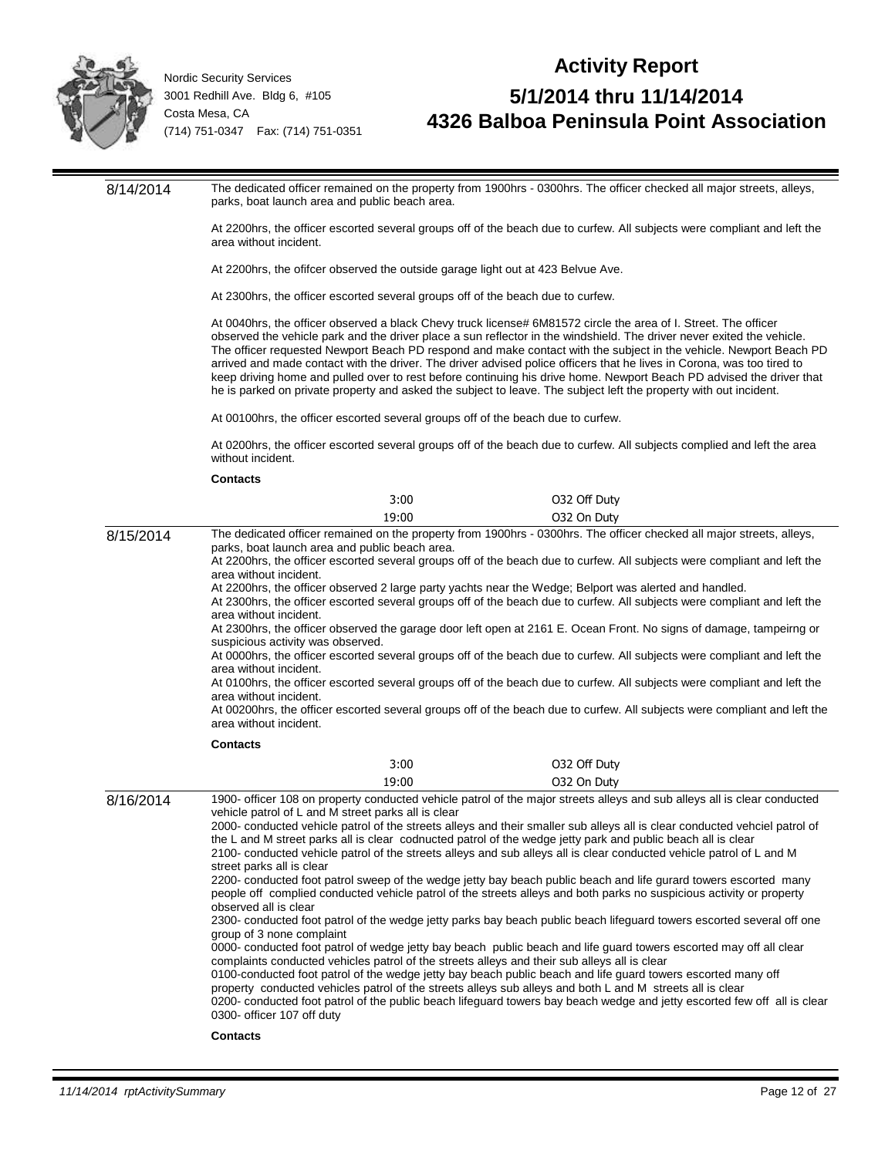

### **Activity Report 5/1/2014 thru 11/14/2014 4326 Balboa Peninsula Point Association**

8/14/2014 The dedicated officer remained on the property from 1900hrs - 0300hrs. The officer checked all major streets, alleys, parks, boat launch area and public beach area. At 2200hrs, the officer escorted several groups off of the beach due to curfew. All subjects were compliant and left the area without incident. At 2200hrs, the ofifcer observed the outside garage light out at 423 Belvue Ave. At 2300hrs, the officer escorted several groups off of the beach due to curfew. At 0040hrs, the officer observed a black Chevy truck license# 6M81572 circle the area of I. Street. The officer observed the vehicle park and the driver place a sun reflector in the windshield. The driver never exited the vehicle. The officer requested Newport Beach PD respond and make contact with the subject in the vehicle. Newport Beach PD arrived and made contact with the driver. The driver advised police officers that he lives in Corona, was too tired to keep driving home and pulled over to rest before continuing his drive home. Newport Beach PD advised the driver that he is parked on private property and asked the subject to leave. The subject left the property with out incident. At 00100hrs, the officer escorted several groups off of the beach due to curfew. At 0200hrs, the officer escorted several groups off of the beach due to curfew. All subjects complied and left the area without incident. **Contacts** 3:00 O32 Off Duty 19:00 O32 On Duty 8/15/2014 The dedicated officer remained on the property from 1900hrs - 0300hrs. The officer checked all major streets, alleys, parks, boat launch area and public beach area. At 2200hrs, the officer escorted several groups off of the beach due to curfew. All subjects were compliant and left the area without incident. At 2200hrs, the officer observed 2 large party yachts near the Wedge; Belport was alerted and handled. At 2300hrs, the officer escorted several groups off of the beach due to curfew. All subjects were compliant and left the area without incident. At 2300hrs, the officer observed the garage door left open at 2161 E. Ocean Front. No signs of damage, tampeirng or suspicious activity was observed. At 0000hrs, the officer escorted several groups off of the beach due to curfew. All subjects were compliant and left the area without incident. At 0100hrs, the officer escorted several groups off of the beach due to curfew. All subjects were compliant and left the area without incident. At 00200hrs, the officer escorted several groups off of the beach due to curfew. All subjects were compliant and left the area without incident. **Contacts** 3:00 O32 Off Duty 19:00 O32 On Duty 8/16/2014 1900- officer 108 on property conducted vehicle patrol of the major streets alleys and sub alleys all is clear conducted vehicle patrol of L and M street parks all is clear 2000- conducted vehicle patrol of the streets alleys and their smaller sub alleys all is clear conducted vehciel patrol of the L and M street parks all is clear codnucted patrol of the wedge jetty park and public beach all is clear 2100- conducted vehicle patrol of the streets alleys and sub alleys all is clear conducted vehicle patrol of L and M street parks all is clear 2200- conducted foot patrol sweep of the wedge jetty bay beach public beach and life gurard towers escorted many people off complied conducted vehicle patrol of the streets alleys and both parks no suspicious activity or property observed all is clear 2300- conducted foot patrol of the wedge jetty parks bay beach public beach lifeguard towers escorted several off one group of 3 none complaint 0000- conducted foot patrol of wedge jetty bay beach public beach and life guard towers escorted may off all clear complaints conducted vehicles patrol of the streets alleys and their sub alleys all is clear 0100-conducted foot patrol of the wedge jetty bay beach public beach and life guard towers escorted many off property conducted vehicles patrol of the streets alleys sub alleys and both L and M streets all is clear 0200- conducted foot patrol of the public beach lifeguard towers bay beach wedge and jetty escorted few off all is clear 0300- officer 107 off duty

#### **Contacts**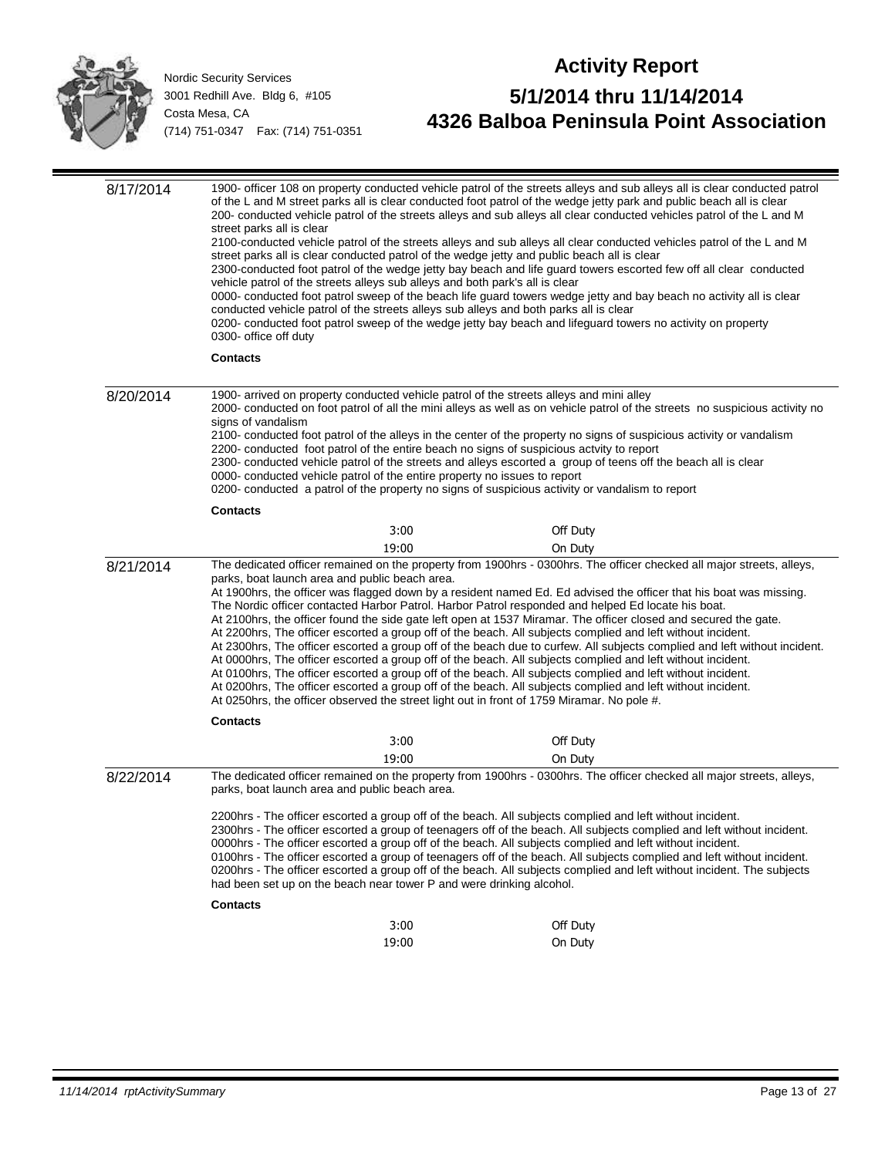

| 8/17/2014 | street parks all is clear<br>vehicle patrol of the streets alleys sub alleys and both park's all is clear<br>conducted vehicle patrol of the streets alleys sub alleys and both parks all is clear<br>0300- office off duty | 1900- officer 108 on property conducted vehicle patrol of the streets alleys and sub alleys all is clear conducted patrol<br>of the L and M street parks all is clear conducted foot patrol of the wedge jetty park and public beach all is clear<br>200- conducted vehicle patrol of the streets alleys and sub alleys all clear conducted vehicles patrol of the L and M<br>2100-conducted vehicle patrol of the streets alleys and sub alleys all clear conducted vehicles patrol of the L and M<br>street parks all is clear conducted patrol of the wedge jetty and public beach all is clear<br>2300-conducted foot patrol of the wedge jetty bay beach and life guard towers escorted few off all clear conducted<br>0000- conducted foot patrol sweep of the beach life guard towers wedge jetty and bay beach no activity all is clear<br>0200- conducted foot patrol sweep of the wedge jetty bay beach and lifeguard towers no activity on property                                                                                                                                                                                              |
|-----------|-----------------------------------------------------------------------------------------------------------------------------------------------------------------------------------------------------------------------------|-------------------------------------------------------------------------------------------------------------------------------------------------------------------------------------------------------------------------------------------------------------------------------------------------------------------------------------------------------------------------------------------------------------------------------------------------------------------------------------------------------------------------------------------------------------------------------------------------------------------------------------------------------------------------------------------------------------------------------------------------------------------------------------------------------------------------------------------------------------------------------------------------------------------------------------------------------------------------------------------------------------------------------------------------------------------------------------------------------------------------------------------------------------|
|           | <b>Contacts</b>                                                                                                                                                                                                             |                                                                                                                                                                                                                                                                                                                                                                                                                                                                                                                                                                                                                                                                                                                                                                                                                                                                                                                                                                                                                                                                                                                                                             |
| 8/20/2014 | 1900- arrived on property conducted vehicle patrol of the streets alleys and mini alley<br>signs of vandalism<br>0000- conducted vehicle patrol of the entire property no issues to report                                  | 2000- conducted on foot patrol of all the mini alleys as well as on vehicle patrol of the streets no suspicious activity no<br>2100- conducted foot patrol of the alleys in the center of the property no signs of suspicious activity or vandalism<br>2200- conducted foot patrol of the entire beach no signs of suspicious actvity to report<br>2300- conducted vehicle patrol of the streets and alleys escorted a group of teens off the beach all is clear<br>0200- conducted a patrol of the property no signs of suspicious activity or vandalism to report                                                                                                                                                                                                                                                                                                                                                                                                                                                                                                                                                                                         |
|           | <b>Contacts</b>                                                                                                                                                                                                             |                                                                                                                                                                                                                                                                                                                                                                                                                                                                                                                                                                                                                                                                                                                                                                                                                                                                                                                                                                                                                                                                                                                                                             |
|           | 3:00                                                                                                                                                                                                                        | Off Duty                                                                                                                                                                                                                                                                                                                                                                                                                                                                                                                                                                                                                                                                                                                                                                                                                                                                                                                                                                                                                                                                                                                                                    |
|           | 19:00                                                                                                                                                                                                                       | On Duty                                                                                                                                                                                                                                                                                                                                                                                                                                                                                                                                                                                                                                                                                                                                                                                                                                                                                                                                                                                                                                                                                                                                                     |
| 8/21/2014 | parks, boat launch area and public beach area.                                                                                                                                                                              | The dedicated officer remained on the property from 1900hrs - 0300hrs. The officer checked all major streets, alleys,<br>At 1900hrs, the officer was flagged down by a resident named Ed. Ed advised the officer that his boat was missing.<br>The Nordic officer contacted Harbor Patrol. Harbor Patrol responded and helped Ed locate his boat.<br>At 2100hrs, the officer found the side gate left open at 1537 Miramar. The officer closed and secured the gate.<br>At 2200hrs, The officer escorted a group off of the beach. All subjects complied and left without incident.<br>At 2300hrs, The officer escorted a group off of the beach due to curfew. All subjects complied and left without incident.<br>At 0000hrs, The officer escorted a group off of the beach. All subjects complied and left without incident.<br>At 0100hrs, The officer escorted a group off of the beach. All subjects complied and left without incident.<br>At 0200hrs, The officer escorted a group off of the beach. All subjects complied and left without incident.<br>At 0250hrs, the officer observed the street light out in front of 1759 Miramar. No pole #. |
|           | <b>Contacts</b>                                                                                                                                                                                                             |                                                                                                                                                                                                                                                                                                                                                                                                                                                                                                                                                                                                                                                                                                                                                                                                                                                                                                                                                                                                                                                                                                                                                             |
|           | 3:00                                                                                                                                                                                                                        | Off Duty                                                                                                                                                                                                                                                                                                                                                                                                                                                                                                                                                                                                                                                                                                                                                                                                                                                                                                                                                                                                                                                                                                                                                    |
|           | 19:00                                                                                                                                                                                                                       | On Duty                                                                                                                                                                                                                                                                                                                                                                                                                                                                                                                                                                                                                                                                                                                                                                                                                                                                                                                                                                                                                                                                                                                                                     |
| 8/22/2014 | parks, boat launch area and public beach area.                                                                                                                                                                              | The dedicated officer remained on the property from 1900hrs - 0300hrs. The officer checked all major streets, alleys,                                                                                                                                                                                                                                                                                                                                                                                                                                                                                                                                                                                                                                                                                                                                                                                                                                                                                                                                                                                                                                       |
|           | had been set up on the beach near tower P and were drinking alcohol.                                                                                                                                                        | 2200hrs - The officer escorted a group off of the beach. All subjects complied and left without incident.<br>2300hrs - The officer escorted a group of teenagers off of the beach. All subjects complied and left without incident.<br>0000hrs - The officer escorted a group off of the beach. All subjects complied and left without incident.<br>0100hrs - The officer escorted a group of teenagers off of the beach. All subjects complied and left without incident.<br>0200hrs - The officer escorted a group off of the beach. All subjects complied and left without incident. The subjects                                                                                                                                                                                                                                                                                                                                                                                                                                                                                                                                                        |
|           | <b>Contacts</b>                                                                                                                                                                                                             |                                                                                                                                                                                                                                                                                                                                                                                                                                                                                                                                                                                                                                                                                                                                                                                                                                                                                                                                                                                                                                                                                                                                                             |
|           | 3:00                                                                                                                                                                                                                        | Off Duty                                                                                                                                                                                                                                                                                                                                                                                                                                                                                                                                                                                                                                                                                                                                                                                                                                                                                                                                                                                                                                                                                                                                                    |
|           | 19:00                                                                                                                                                                                                                       | On Duty                                                                                                                                                                                                                                                                                                                                                                                                                                                                                                                                                                                                                                                                                                                                                                                                                                                                                                                                                                                                                                                                                                                                                     |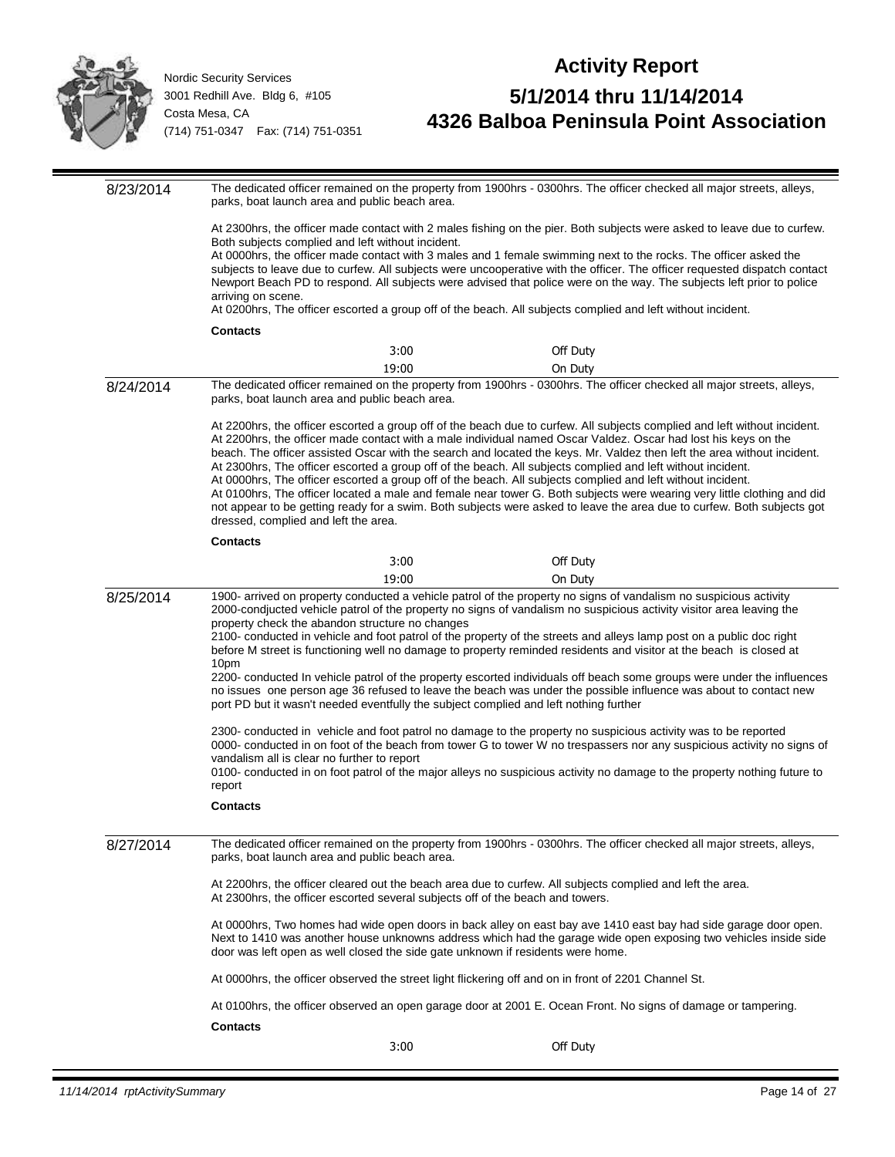

# **Activity Report 5/1/2014 thru 11/14/2014 4326 Balboa Peninsula Point Association**

8/23/2014 The dedicated officer remained on the property from 1900hrs - 0300hrs. The officer checked all major streets, alleys, parks, boat launch area and public beach area. At 2300hrs, the officer made contact with 2 males fishing on the pier. Both subjects were asked to leave due to curfew. Both subjects complied and left without incident. At 0000hrs, the officer made contact with 3 males and 1 female swimming next to the rocks. The officer asked the subjects to leave due to curfew. All subjects were uncooperative with the officer. The officer requested dispatch contact Newport Beach PD to respond. All subjects were advised that police were on the way. The subjects left prior to police arriving on scene. At 0200hrs, The officer escorted a group off of the beach. All subjects complied and left without incident. **Contacts** 3:00 Off Duty 19:00 On Duty 8/24/2014 The dedicated officer remained on the property from 1900hrs - 0300hrs. The officer checked all major streets, alleys, parks, boat launch area and public beach area. At 2200hrs, the officer escorted a group off of the beach due to curfew. All subjects complied and left without incident. At 2200hrs, the officer made contact with a male individual named Oscar Valdez. Oscar had lost his keys on the beach. The officer assisted Oscar with the search and located the keys. Mr. Valdez then left the area without incident. At 2300hrs, The officer escorted a group off of the beach. All subjects complied and left without incident. At 0000hrs, The officer escorted a group off of the beach. All subjects complied and left without incident. At 0100hrs, The officer located a male and female near tower G. Both subjects were wearing very little clothing and did not appear to be getting ready for a swim. Both subjects were asked to leave the area due to curfew. Both subjects got dressed, complied and left the area. **Contacts** 3:00 Off Duty 19:00 On Duty 8/25/2014 1900- arrived on property conducted a vehicle patrol of the property no signs of vandalism no suspicious activity 2000-condjucted vehicle patrol of the property no signs of vandalism no suspicious activity visitor area leaving the property check the abandon structure no changes 2100- conducted in vehicle and foot patrol of the property of the streets and alleys lamp post on a public doc right before M street is functioning well no damage to property reminded residents and visitor at the beach is closed at 10pm 2200- conducted In vehicle patrol of the property escorted individuals off beach some groups were under the influences no issues one person age 36 refused to leave the beach was under the possible influence was about to contact new port PD but it wasn't needed eventfully the subject complied and left nothing further 2300- conducted in vehicle and foot patrol no damage to the property no suspicious activity was to be reported 0000- conducted in on foot of the beach from tower G to tower W no trespassers nor any suspicious activity no signs of vandalism all is clear no further to report 0100- conducted in on foot patrol of the major alleys no suspicious activity no damage to the property nothing future to report **Contacts** 8/27/2014 The dedicated officer remained on the property from 1900hrs - 0300hrs. The officer checked all major streets, alleys, parks, boat launch area and public beach area. At 2200hrs, the officer cleared out the beach area due to curfew. All subjects complied and left the area. At 2300hrs, the officer escorted several subjects off of the beach and towers. At 0000hrs, Two homes had wide open doors in back alley on east bay ave 1410 east bay had side garage door open. Next to 1410 was another house unknowns address which had the garage wide open exposing two vehicles inside side door was left open as well closed the side gate unknown if residents were home. At 0000hrs, the officer observed the street light flickering off and on in front of 2201 Channel St. At 0100hrs, the officer observed an open garage door at 2001 E. Ocean Front. No signs of damage or tampering. **Contacts** 3:00 Off Duty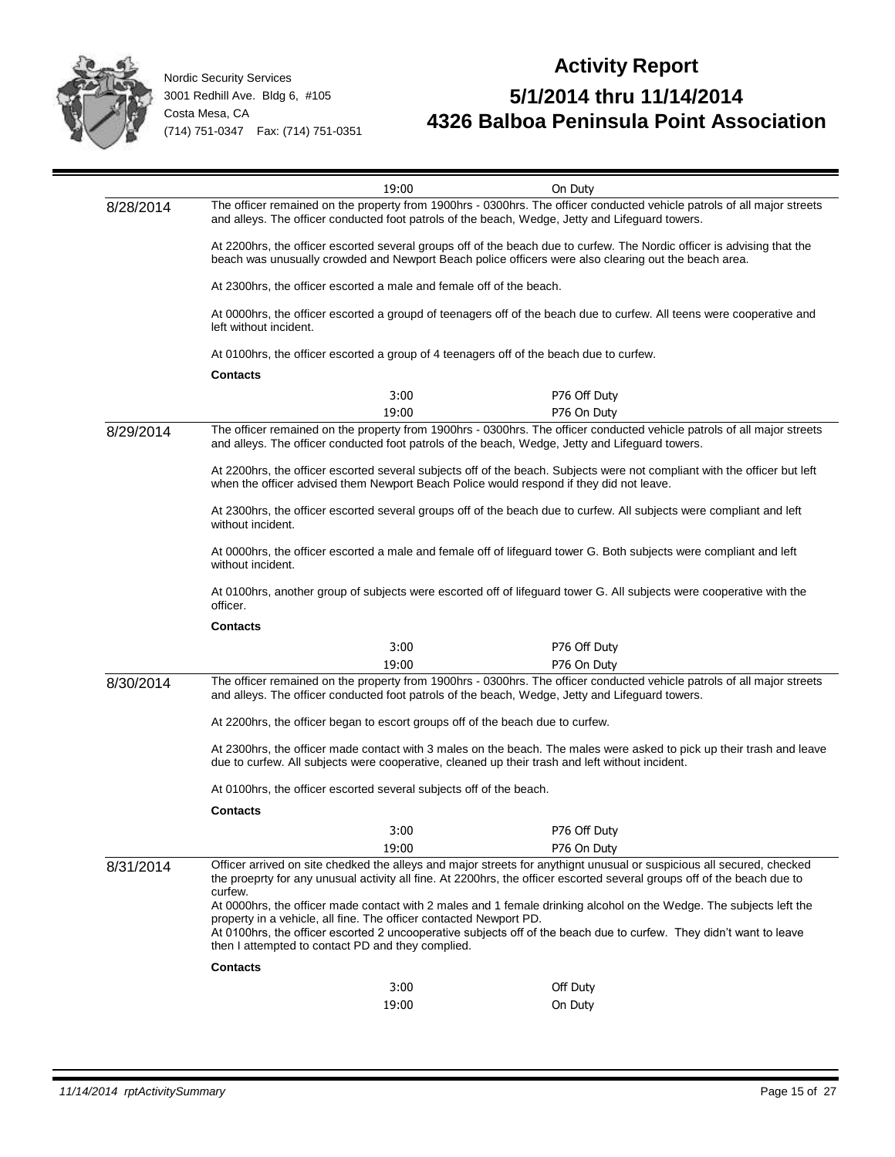

|                                                                                         | 19:00                                                                                                                                                                                                                                                       | On Duty                                                                                                                                                                                                                                    |  |  |
|-----------------------------------------------------------------------------------------|-------------------------------------------------------------------------------------------------------------------------------------------------------------------------------------------------------------------------------------------------------------|--------------------------------------------------------------------------------------------------------------------------------------------------------------------------------------------------------------------------------------------|--|--|
| 8/28/2014                                                                               |                                                                                                                                                                                                                                                             | The officer remained on the property from 1900hrs - 0300hrs. The officer conducted vehicle patrols of all major streets<br>and alleys. The officer conducted foot patrols of the beach, Wedge, Jetty and Lifeguard towers.                 |  |  |
|                                                                                         |                                                                                                                                                                                                                                                             | At 2200hrs, the officer escorted several groups off of the beach due to curfew. The Nordic officer is advising that the<br>beach was unusually crowded and Newport Beach police officers were also clearing out the beach area.            |  |  |
|                                                                                         | At 2300 hrs, the officer escorted a male and female off of the beach.                                                                                                                                                                                       |                                                                                                                                                                                                                                            |  |  |
|                                                                                         | At 0000hrs, the officer escorted a groupd of teenagers off of the beach due to curfew. All teens were cooperative and                                                                                                                                       |                                                                                                                                                                                                                                            |  |  |
| At 0100hrs, the officer escorted a group of 4 teenagers off of the beach due to curfew. |                                                                                                                                                                                                                                                             |                                                                                                                                                                                                                                            |  |  |
|                                                                                         | <b>Contacts</b>                                                                                                                                                                                                                                             |                                                                                                                                                                                                                                            |  |  |
|                                                                                         | 3:00                                                                                                                                                                                                                                                        | P76 Off Duty                                                                                                                                                                                                                               |  |  |
|                                                                                         | 19:00                                                                                                                                                                                                                                                       | P76 On Duty                                                                                                                                                                                                                                |  |  |
| 8/29/2014                                                                               |                                                                                                                                                                                                                                                             | The officer remained on the property from 1900hrs - 0300hrs. The officer conducted vehicle patrols of all major streets<br>and alleys. The officer conducted foot patrols of the beach, Wedge, Jetty and Lifeguard towers.                 |  |  |
|                                                                                         | when the officer advised them Newport Beach Police would respond if they did not leave.                                                                                                                                                                     | At 2200hrs, the officer escorted several subjects off of the beach. Subjects were not compliant with the officer but left                                                                                                                  |  |  |
|                                                                                         | without incident.                                                                                                                                                                                                                                           | At 2300hrs, the officer escorted several groups off of the beach due to curfew. All subjects were compliant and left                                                                                                                       |  |  |
|                                                                                         | At 0000hrs, the officer escorted a male and female off of lifeguard tower G. Both subjects were compliant and left<br>without incident.                                                                                                                     |                                                                                                                                                                                                                                            |  |  |
|                                                                                         | At 0100hrs, another group of subjects were escorted off of lifeguard tower G. All subjects were cooperative with the<br>officer.                                                                                                                            |                                                                                                                                                                                                                                            |  |  |
|                                                                                         | <b>Contacts</b>                                                                                                                                                                                                                                             |                                                                                                                                                                                                                                            |  |  |
|                                                                                         | 3:00                                                                                                                                                                                                                                                        | P76 Off Duty                                                                                                                                                                                                                               |  |  |
|                                                                                         | 19:00                                                                                                                                                                                                                                                       | P76 On Duty                                                                                                                                                                                                                                |  |  |
| 8/30/2014                                                                               |                                                                                                                                                                                                                                                             | The officer remained on the property from 1900hrs - 0300hrs. The officer conducted vehicle patrols of all major streets<br>and alleys. The officer conducted foot patrols of the beach, Wedge, Jetty and Lifeguard towers.                 |  |  |
|                                                                                         | At 2200hrs, the officer began to escort groups off of the beach due to curfew.                                                                                                                                                                              |                                                                                                                                                                                                                                            |  |  |
|                                                                                         | At 2300hrs, the officer made contact with 3 males on the beach. The males were asked to pick up their trash and leave<br>due to curfew. All subjects were cooperative, cleaned up their trash and left without incident.                                    |                                                                                                                                                                                                                                            |  |  |
|                                                                                         | At 0100hrs, the officer escorted several subjects off of the beach.                                                                                                                                                                                         |                                                                                                                                                                                                                                            |  |  |
|                                                                                         | <b>Contacts</b>                                                                                                                                                                                                                                             |                                                                                                                                                                                                                                            |  |  |
|                                                                                         | 3:00                                                                                                                                                                                                                                                        | P76 Off Duty                                                                                                                                                                                                                               |  |  |
|                                                                                         | 19:00                                                                                                                                                                                                                                                       | P76 On Duty                                                                                                                                                                                                                                |  |  |
| 8/31/2014                                                                               | Officer arrived on site chedked the alleys and major streets for anythignt unusual or suspicious all secured, checked<br>the proeprty for any unusual activity all fine. At 2200hrs, the officer escorted several groups off of the beach due to<br>curfew. |                                                                                                                                                                                                                                            |  |  |
|                                                                                         | property in a vehicle, all fine. The officer contacted Newport PD.                                                                                                                                                                                          | At 0000hrs, the officer made contact with 2 males and 1 female drinking alcohol on the Wedge. The subjects left the<br>At 0100hrs, the officer escorted 2 uncooperative subjects off of the beach due to curfew. They didn't want to leave |  |  |
|                                                                                         | then I attempted to contact PD and they complied.                                                                                                                                                                                                           |                                                                                                                                                                                                                                            |  |  |
|                                                                                         | <b>Contacts</b>                                                                                                                                                                                                                                             |                                                                                                                                                                                                                                            |  |  |
|                                                                                         | 3:00                                                                                                                                                                                                                                                        | Off Duty                                                                                                                                                                                                                                   |  |  |
|                                                                                         | 19:00                                                                                                                                                                                                                                                       | On Duty                                                                                                                                                                                                                                    |  |  |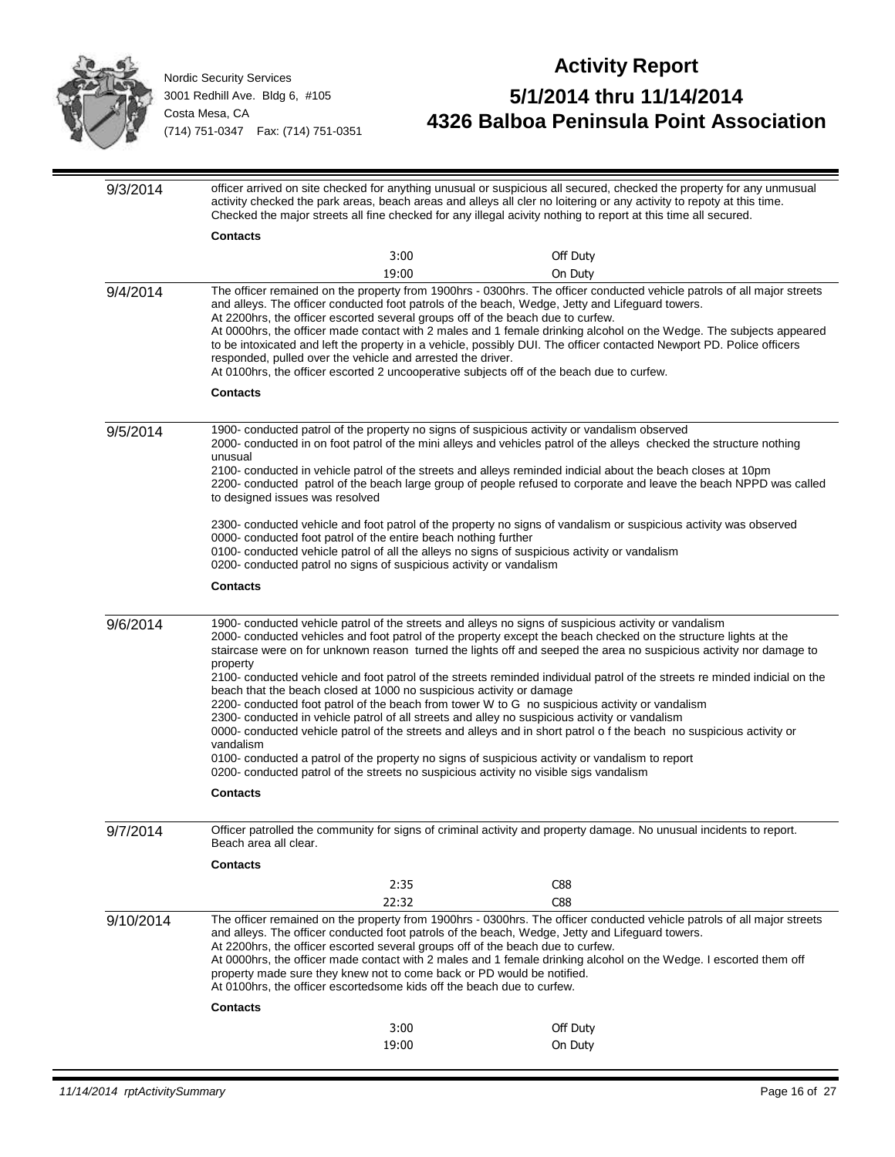

| 9/3/2014  | officer arrived on site checked for anything unusual or suspicious all secured, checked the property for any unmusual<br>activity checked the park areas, beach areas and alleys all cler no loitering or any activity to repoty at this time.<br>Checked the major streets all fine checked for any illegal acivity nothing to report at this time all secured.                                                                                                                                                                                                                                                                                                                                                                                                                                                                                                                                                                                                                                                                                                                                                           |       |                                                                                                                                                                                                                                                                                                                                                                         |
|-----------|----------------------------------------------------------------------------------------------------------------------------------------------------------------------------------------------------------------------------------------------------------------------------------------------------------------------------------------------------------------------------------------------------------------------------------------------------------------------------------------------------------------------------------------------------------------------------------------------------------------------------------------------------------------------------------------------------------------------------------------------------------------------------------------------------------------------------------------------------------------------------------------------------------------------------------------------------------------------------------------------------------------------------------------------------------------------------------------------------------------------------|-------|-------------------------------------------------------------------------------------------------------------------------------------------------------------------------------------------------------------------------------------------------------------------------------------------------------------------------------------------------------------------------|
|           | <b>Contacts</b>                                                                                                                                                                                                                                                                                                                                                                                                                                                                                                                                                                                                                                                                                                                                                                                                                                                                                                                                                                                                                                                                                                            |       |                                                                                                                                                                                                                                                                                                                                                                         |
|           |                                                                                                                                                                                                                                                                                                                                                                                                                                                                                                                                                                                                                                                                                                                                                                                                                                                                                                                                                                                                                                                                                                                            | 3:00  | Off Duty                                                                                                                                                                                                                                                                                                                                                                |
|           |                                                                                                                                                                                                                                                                                                                                                                                                                                                                                                                                                                                                                                                                                                                                                                                                                                                                                                                                                                                                                                                                                                                            | 19:00 | On Duty                                                                                                                                                                                                                                                                                                                                                                 |
| 9/4/2014  | and alleys. The officer conducted foot patrols of the beach, Wedge, Jetty and Lifeguard towers.<br>At 2200hrs, the officer escorted several groups off of the beach due to curfew.<br>responded, pulled over the vehicle and arrested the driver.<br>At 0100hrs, the officer escorted 2 uncooperative subjects off of the beach due to curfew.<br><b>Contacts</b>                                                                                                                                                                                                                                                                                                                                                                                                                                                                                                                                                                                                                                                                                                                                                          |       | The officer remained on the property from 1900hrs - 0300hrs. The officer conducted vehicle patrols of all major streets<br>At 0000hrs, the officer made contact with 2 males and 1 female drinking alcohol on the Wedge. The subjects appeared<br>to be intoxicated and left the property in a vehicle, possibly DUI. The officer contacted Newport PD. Police officers |
|           |                                                                                                                                                                                                                                                                                                                                                                                                                                                                                                                                                                                                                                                                                                                                                                                                                                                                                                                                                                                                                                                                                                                            |       |                                                                                                                                                                                                                                                                                                                                                                         |
| 9/5/2014  | 1900- conducted patrol of the property no signs of suspicious activity or vandalism observed<br>unusual<br>to designed issues was resolved                                                                                                                                                                                                                                                                                                                                                                                                                                                                                                                                                                                                                                                                                                                                                                                                                                                                                                                                                                                 |       | 2000- conducted in on foot patrol of the mini alleys and vehicles patrol of the alleys checked the structure nothing<br>2100- conducted in vehicle patrol of the streets and alleys reminded indicial about the beach closes at 10pm<br>2200- conducted patrol of the beach large group of people refused to corporate and leave the beach NPPD was called              |
|           | 0000- conducted foot patrol of the entire beach nothing further<br>0100- conducted vehicle patrol of all the alleys no signs of suspicious activity or vandalism<br>0200- conducted patrol no signs of suspicious activity or vandalism                                                                                                                                                                                                                                                                                                                                                                                                                                                                                                                                                                                                                                                                                                                                                                                                                                                                                    |       | 2300- conducted vehicle and foot patrol of the property no signs of vandalism or suspicious activity was observed                                                                                                                                                                                                                                                       |
|           | <b>Contacts</b>                                                                                                                                                                                                                                                                                                                                                                                                                                                                                                                                                                                                                                                                                                                                                                                                                                                                                                                                                                                                                                                                                                            |       |                                                                                                                                                                                                                                                                                                                                                                         |
| 9/6/2014  | 1900- conducted vehicle patrol of the streets and alleys no signs of suspicious activity or vandalism<br>2000- conducted vehicles and foot patrol of the property except the beach checked on the structure lights at the<br>staircase were on for unknown reason turned the lights off and seeped the area no suspicious activity nor damage to<br>property<br>2100- conducted vehicle and foot patrol of the streets reminded individual patrol of the streets re minded indicial on the<br>beach that the beach closed at 1000 no suspicious activity or damage<br>2200- conducted foot patrol of the beach from tower W to G no suspicious activity or vandalism<br>2300- conducted in vehicle patrol of all streets and alley no suspicious activity or vandalism<br>0000- conducted vehicle patrol of the streets and alleys and in short patrol of the beach no suspicious activity or<br>vandalism<br>0100- conducted a patrol of the property no signs of suspicious activity or vandalism to report<br>0200- conducted patrol of the streets no suspicious activity no visible sigs vandalism<br><b>Contacts</b> |       |                                                                                                                                                                                                                                                                                                                                                                         |
| 9/7/2014  | Beach area all clear.                                                                                                                                                                                                                                                                                                                                                                                                                                                                                                                                                                                                                                                                                                                                                                                                                                                                                                                                                                                                                                                                                                      |       | Officer patrolled the community for signs of criminal activity and property damage. No unusual incidents to report.                                                                                                                                                                                                                                                     |
|           | <b>Contacts</b>                                                                                                                                                                                                                                                                                                                                                                                                                                                                                                                                                                                                                                                                                                                                                                                                                                                                                                                                                                                                                                                                                                            |       |                                                                                                                                                                                                                                                                                                                                                                         |
|           |                                                                                                                                                                                                                                                                                                                                                                                                                                                                                                                                                                                                                                                                                                                                                                                                                                                                                                                                                                                                                                                                                                                            | 2:35  | C88                                                                                                                                                                                                                                                                                                                                                                     |
| 9/10/2014 | 22:32<br>C88<br>The officer remained on the property from 1900hrs - 0300hrs. The officer conducted vehicle patrols of all major streets<br>and alleys. The officer conducted foot patrols of the beach, Wedge, Jetty and Lifeguard towers.<br>At 2200hrs, the officer escorted several groups off of the beach due to curfew.<br>At 0000hrs, the officer made contact with 2 males and 1 female drinking alcohol on the Wedge. I escorted them off<br>property made sure they knew not to come back or PD would be notified.<br>At 0100hrs, the officer escortedsome kids off the beach due to curfew.                                                                                                                                                                                                                                                                                                                                                                                                                                                                                                                     |       |                                                                                                                                                                                                                                                                                                                                                                         |
|           | <b>Contacts</b>                                                                                                                                                                                                                                                                                                                                                                                                                                                                                                                                                                                                                                                                                                                                                                                                                                                                                                                                                                                                                                                                                                            | 3:00  | Off Duty                                                                                                                                                                                                                                                                                                                                                                |
|           |                                                                                                                                                                                                                                                                                                                                                                                                                                                                                                                                                                                                                                                                                                                                                                                                                                                                                                                                                                                                                                                                                                                            | 19:00 | On Duty                                                                                                                                                                                                                                                                                                                                                                 |
|           |                                                                                                                                                                                                                                                                                                                                                                                                                                                                                                                                                                                                                                                                                                                                                                                                                                                                                                                                                                                                                                                                                                                            |       |                                                                                                                                                                                                                                                                                                                                                                         |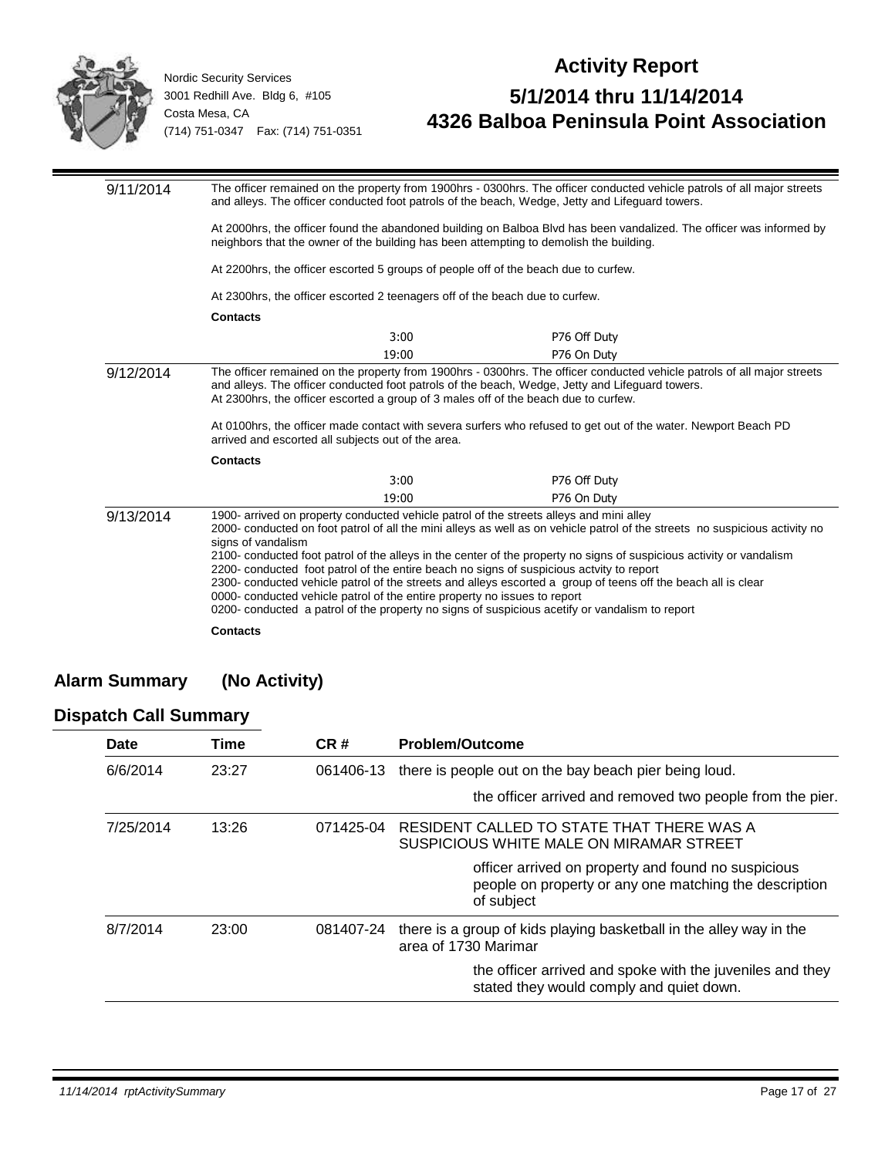

#### **Activity Report 5/1/2014 thru 11/14/2014 4326 Balboa Peninsula Point Association**

| 9/11/2014 | The officer remained on the property from 1900hrs - 0300hrs. The officer conducted vehicle patrols of all major streets<br>and alleys. The officer conducted foot patrols of the beach, Wedge, Jetty and Lifeguard towers. |       |                                                                                                                                                                                                                                                                                                                                                                                                                                                                                                                                                                    |
|-----------|----------------------------------------------------------------------------------------------------------------------------------------------------------------------------------------------------------------------------|-------|--------------------------------------------------------------------------------------------------------------------------------------------------------------------------------------------------------------------------------------------------------------------------------------------------------------------------------------------------------------------------------------------------------------------------------------------------------------------------------------------------------------------------------------------------------------------|
|           |                                                                                                                                                                                                                            |       | At 2000hrs, the officer found the abandoned building on Balboa Blvd has been vandalized. The officer was informed by<br>neighbors that the owner of the building has been attempting to demolish the building.                                                                                                                                                                                                                                                                                                                                                     |
|           |                                                                                                                                                                                                                            |       | At 2200 hrs, the officer escorted 5 groups of people off of the beach due to curfew.                                                                                                                                                                                                                                                                                                                                                                                                                                                                               |
|           | At 2300hrs, the officer escorted 2 teenagers off of the beach due to curfew.                                                                                                                                               |       |                                                                                                                                                                                                                                                                                                                                                                                                                                                                                                                                                                    |
|           | <b>Contacts</b>                                                                                                                                                                                                            |       |                                                                                                                                                                                                                                                                                                                                                                                                                                                                                                                                                                    |
|           |                                                                                                                                                                                                                            | 3:00  | P76 Off Duty                                                                                                                                                                                                                                                                                                                                                                                                                                                                                                                                                       |
|           |                                                                                                                                                                                                                            | 19:00 | P76 On Duty                                                                                                                                                                                                                                                                                                                                                                                                                                                                                                                                                        |
| 9/12/2014 | arrived and escorted all subjects out of the area.                                                                                                                                                                         |       | The officer remained on the property from 1900hrs - 0300hrs. The officer conducted vehicle patrols of all major streets<br>and alleys. The officer conducted foot patrols of the beach, Wedge, Jetty and Lifeguard towers.<br>At 2300hrs, the officer escorted a group of 3 males off of the beach due to curfew.<br>At 0100hrs, the officer made contact with severa surfers who refused to get out of the water. Newport Beach PD                                                                                                                                |
|           | <b>Contacts</b>                                                                                                                                                                                                            |       |                                                                                                                                                                                                                                                                                                                                                                                                                                                                                                                                                                    |
|           |                                                                                                                                                                                                                            | 3:00  | P76 Off Duty                                                                                                                                                                                                                                                                                                                                                                                                                                                                                                                                                       |
| 9/13/2014 |                                                                                                                                                                                                                            | 19:00 | P76 On Duty<br>1900- arrived on property conducted vehicle patrol of the streets alleys and mini alley                                                                                                                                                                                                                                                                                                                                                                                                                                                             |
|           | signs of vandalism<br>0000- conducted vehicle patrol of the entire property no issues to report                                                                                                                            |       | 2000- conducted on foot patrol of all the mini alleys as well as on vehicle patrol of the streets no suspicious activity no<br>2100- conducted foot patrol of the alleys in the center of the property no signs of suspicious activity or vandalism<br>2200- conducted foot patrol of the entire beach no signs of suspicious actvity to report<br>2300- conducted vehicle patrol of the streets and alleys escorted a group of teens off the beach all is clear<br>0200- conducted a patrol of the property no signs of suspicious acetify or vandalism to report |
|           | <b>Contacts</b>                                                                                                                                                                                                            |       |                                                                                                                                                                                                                                                                                                                                                                                                                                                                                                                                                                    |

#### **Alarm Summary (No Activity)**

#### **Dispatch Call Summary**

| Date      | Time  | CR#       | <b>Problem/Outcome</b>                                                                                                      |
|-----------|-------|-----------|-----------------------------------------------------------------------------------------------------------------------------|
| 6/6/2014  | 23:27 | 061406-13 | there is people out on the bay beach pier being loud.                                                                       |
|           |       |           | the officer arrived and removed two people from the pier.                                                                   |
| 7/25/2014 | 13:26 | 071425-04 | RESIDENT CALLED TO STATE THAT THERE WAS A<br>SUSPICIOUS WHITE MALE ON MIRAMAR STREET                                        |
|           |       |           | officer arrived on property and found no suspicious<br>people on property or any one matching the description<br>of subject |
| 8/7/2014  | 23:00 | 081407-24 | there is a group of kids playing basketball in the alley way in the<br>area of 1730 Marimar                                 |
|           |       |           | the officer arrived and spoke with the juveniles and they<br>stated they would comply and quiet down.                       |
|           |       |           |                                                                                                                             |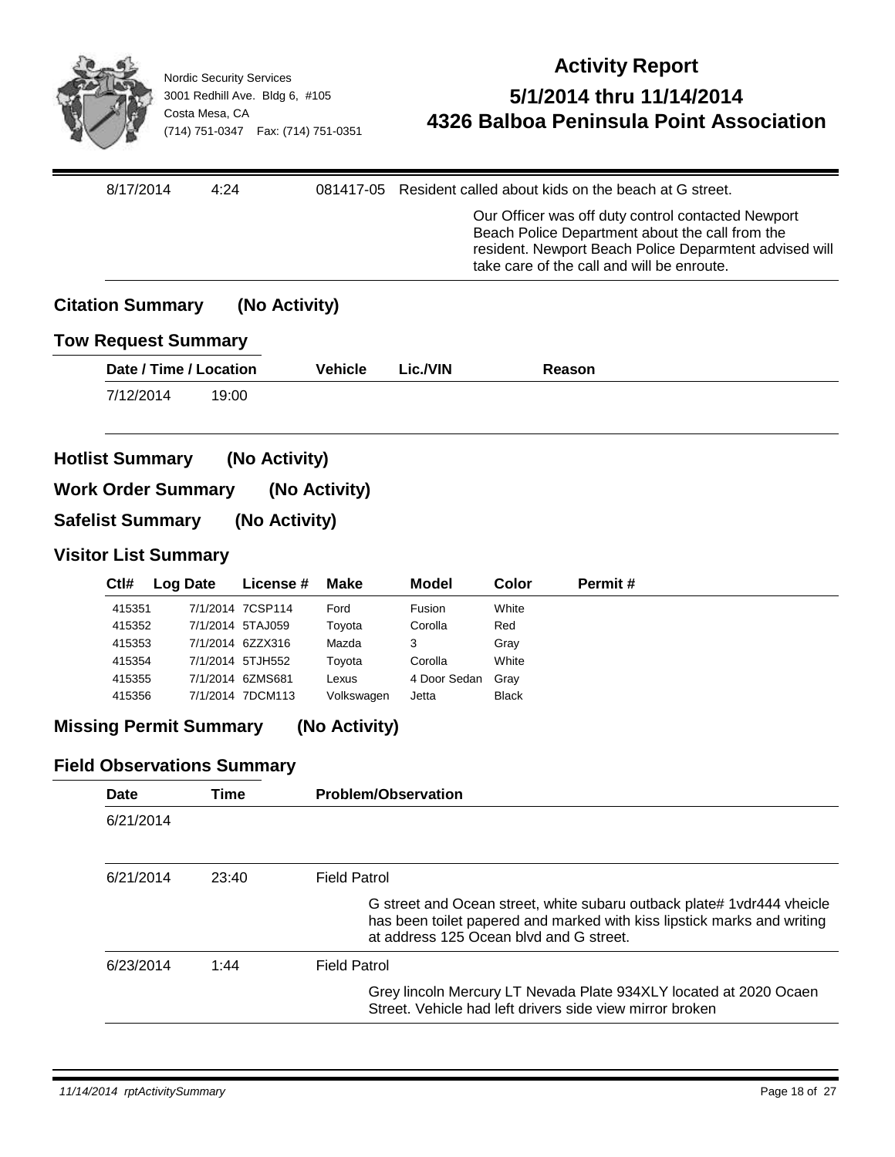

| 8/17/2014               | 4:24                                                     |                                      |                             |                       |                      | 081417-05 Resident called about kids on the beach at G street.                                                                                                                                                |  |
|-------------------------|----------------------------------------------------------|--------------------------------------|-----------------------------|-----------------------|----------------------|---------------------------------------------------------------------------------------------------------------------------------------------------------------------------------------------------------------|--|
|                         |                                                          |                                      |                             |                       |                      | Our Officer was off duty control contacted Newport<br>Beach Police Department about the call from the<br>resident. Newport Beach Police Deparmtent advised will<br>take care of the call and will be enroute. |  |
| <b>Citation Summary</b> |                                                          | (No Activity)                        |                             |                       |                      |                                                                                                                                                                                                               |  |
|                         | <b>Tow Request Summary</b>                               |                                      |                             |                       |                      |                                                                                                                                                                                                               |  |
|                         | Date / Time / Location                                   |                                      | <b>Vehicle</b>              | Lic./VIN              |                      | Reason                                                                                                                                                                                                        |  |
| 7/12/2014               | 19:00                                                    |                                      |                             |                       |                      |                                                                                                                                                                                                               |  |
| <b>Hotlist Summary</b>  |                                                          | (No Activity)                        |                             |                       |                      |                                                                                                                                                                                                               |  |
| <b>Safelist Summary</b> | <b>Work Order Summary</b><br><b>Visitor List Summary</b> | (No Activity)                        | (No Activity)               |                       |                      |                                                                                                                                                                                                               |  |
| Ctl#                    | <b>Log Date</b>                                          | License#                             | <b>Make</b>                 | <b>Model</b>          | Color                | Permit#                                                                                                                                                                                                       |  |
| 415351                  |                                                          | 7/1/2014 7CSP114                     | Ford                        | Fusion                | White                |                                                                                                                                                                                                               |  |
| 415352                  |                                                          | 7/1/2014 5TAJ059                     | Toyota                      | Corolla               | Red                  |                                                                                                                                                                                                               |  |
| 415353                  |                                                          | 7/1/2014 6ZZX316                     | Mazda                       | 3                     | Gray                 |                                                                                                                                                                                                               |  |
| 415354                  |                                                          | 7/1/2014 5TJH552                     | Toyota                      | Corolla               | White                |                                                                                                                                                                                                               |  |
| 415355<br>415356        |                                                          | 7/1/2014 6ZMS681<br>7/1/2014 7DCM113 | Lexus                       | 4 Door Sedan<br>Jetta | Gray<br><b>Black</b> |                                                                                                                                                                                                               |  |
|                         | <b>Missing Permit Summary</b>                            |                                      | Volkswagen<br>(No Activity) |                       |                      |                                                                                                                                                                                                               |  |
|                         | <b>Field Observations Summary</b>                        |                                      |                             |                       |                      |                                                                                                                                                                                                               |  |
| Date                    | <b>Time</b>                                              |                                      | <b>Problem/Observation</b>  |                       |                      |                                                                                                                                                                                                               |  |

| 6/21/2014 | 23:40 | <b>Field Patrol</b>                                                                                                                                                                           |
|-----------|-------|-----------------------------------------------------------------------------------------------------------------------------------------------------------------------------------------------|
|           |       | G street and Ocean street, white subaru outback plate# 1 vdr444 vheicle<br>has been toilet papered and marked with kiss lipstick marks and writing<br>at address 125 Ocean blyd and G street. |
| 6/23/2014 | 1:44  | <b>Field Patrol</b>                                                                                                                                                                           |
|           |       | Grey lincoln Mercury LT Nevada Plate 934XLY located at 2020 Ocaen<br>Street. Vehicle had left drivers side view mirror broken                                                                 |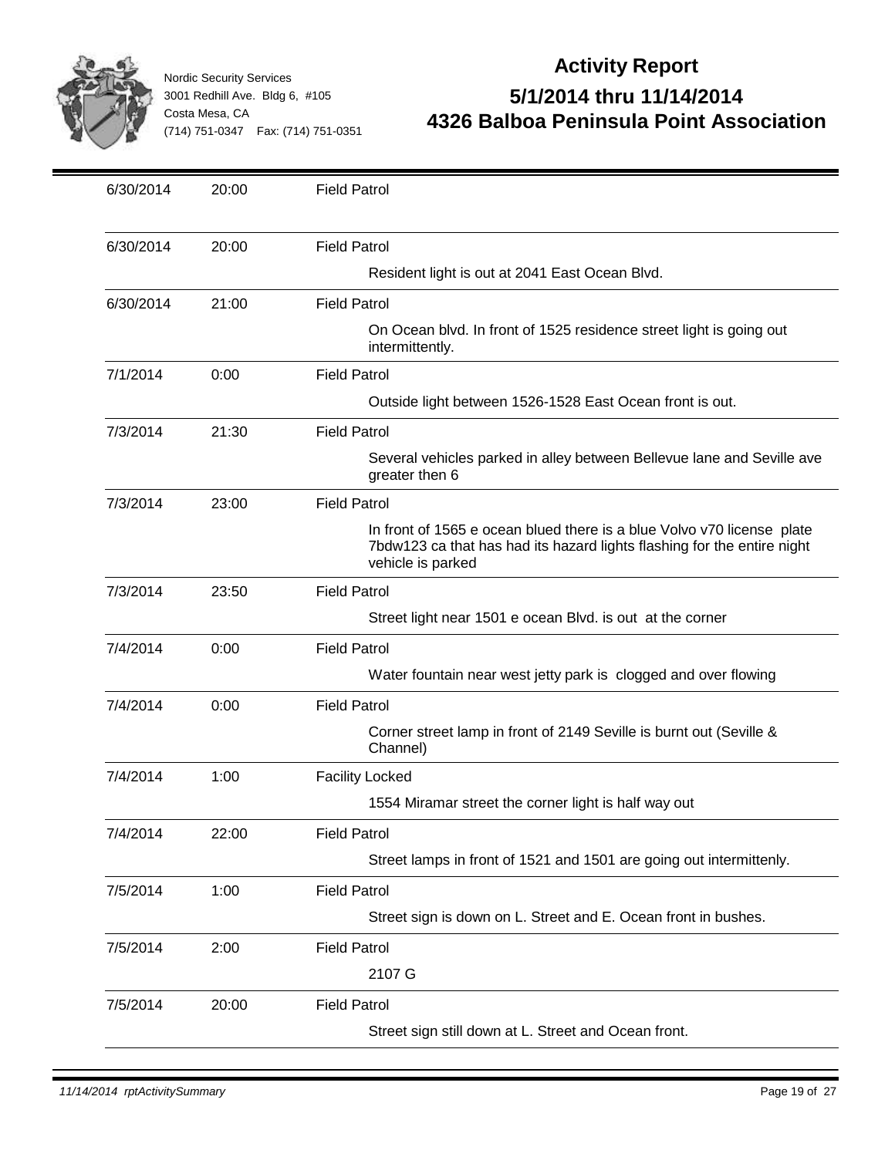

| 6/30/2014 | 20:00 | <b>Field Patrol</b>                                                                                                                                                    |
|-----------|-------|------------------------------------------------------------------------------------------------------------------------------------------------------------------------|
| 6/30/2014 | 20:00 | <b>Field Patrol</b>                                                                                                                                                    |
|           |       | Resident light is out at 2041 East Ocean Blvd.                                                                                                                         |
| 6/30/2014 | 21:00 | <b>Field Patrol</b>                                                                                                                                                    |
|           |       | On Ocean blvd. In front of 1525 residence street light is going out<br>intermittently.                                                                                 |
| 7/1/2014  | 0:00  | <b>Field Patrol</b>                                                                                                                                                    |
|           |       | Outside light between 1526-1528 East Ocean front is out.                                                                                                               |
| 7/3/2014  | 21:30 | <b>Field Patrol</b>                                                                                                                                                    |
|           |       | Several vehicles parked in alley between Bellevue lane and Seville ave<br>greater then 6                                                                               |
| 7/3/2014  | 23:00 | <b>Field Patrol</b>                                                                                                                                                    |
|           |       | In front of 1565 e ocean blued there is a blue Volvo v70 license plate<br>7bdw123 ca that has had its hazard lights flashing for the entire night<br>vehicle is parked |
| 7/3/2014  | 23:50 | <b>Field Patrol</b>                                                                                                                                                    |
|           |       | Street light near 1501 e ocean Blvd. is out at the corner                                                                                                              |
| 7/4/2014  | 0:00  | <b>Field Patrol</b>                                                                                                                                                    |
|           |       | Water fountain near west jetty park is clogged and over flowing                                                                                                        |
| 7/4/2014  | 0:00  | <b>Field Patrol</b>                                                                                                                                                    |
|           |       | Corner street lamp in front of 2149 Seville is burnt out (Seville &<br>Channel)                                                                                        |
| 7/4/2014  | 1:00  | <b>Facility Locked</b>                                                                                                                                                 |
|           |       | 1554 Miramar street the corner light is half way out                                                                                                                   |
| 7/4/2014  | 22:00 | <b>Field Patrol</b>                                                                                                                                                    |
|           |       | Street lamps in front of 1521 and 1501 are going out intermittenly.                                                                                                    |
| 7/5/2014  | 1:00  | <b>Field Patrol</b>                                                                                                                                                    |
|           |       | Street sign is down on L. Street and E. Ocean front in bushes.                                                                                                         |
| 7/5/2014  | 2:00  | <b>Field Patrol</b>                                                                                                                                                    |
|           |       | 2107 G                                                                                                                                                                 |
| 7/5/2014  | 20:00 | <b>Field Patrol</b>                                                                                                                                                    |
|           |       | Street sign still down at L. Street and Ocean front.                                                                                                                   |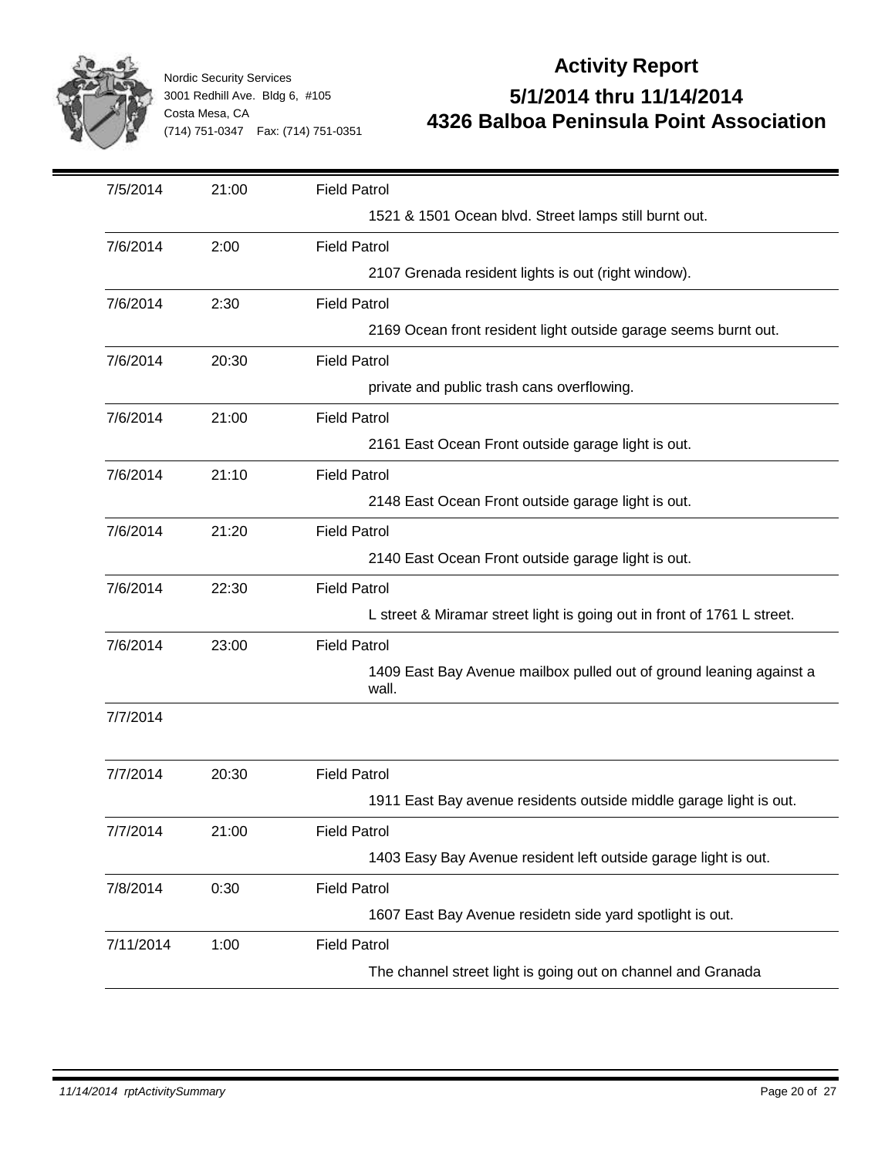

| 7/5/2014  | 21:00 | <b>Field Patrol</b>                                                          |
|-----------|-------|------------------------------------------------------------------------------|
|           |       | 1521 & 1501 Ocean blvd. Street lamps still burnt out.                        |
| 7/6/2014  | 2:00  | <b>Field Patrol</b>                                                          |
|           |       | 2107 Grenada resident lights is out (right window).                          |
| 7/6/2014  | 2:30  | <b>Field Patrol</b>                                                          |
|           |       | 2169 Ocean front resident light outside garage seems burnt out.              |
| 7/6/2014  | 20:30 | <b>Field Patrol</b>                                                          |
|           |       | private and public trash cans overflowing.                                   |
| 7/6/2014  | 21:00 | <b>Field Patrol</b>                                                          |
|           |       | 2161 East Ocean Front outside garage light is out.                           |
| 7/6/2014  | 21:10 | <b>Field Patrol</b>                                                          |
|           |       | 2148 East Ocean Front outside garage light is out.                           |
| 7/6/2014  | 21:20 | <b>Field Patrol</b>                                                          |
|           |       | 2140 East Ocean Front outside garage light is out.                           |
| 7/6/2014  | 22:30 | <b>Field Patrol</b>                                                          |
|           |       | L street & Miramar street light is going out in front of 1761 L street.      |
| 7/6/2014  | 23:00 | <b>Field Patrol</b>                                                          |
|           |       | 1409 East Bay Avenue mailbox pulled out of ground leaning against a<br>wall. |
| 7/7/2014  |       |                                                                              |
|           |       |                                                                              |
| 7/7/2014  | 20:30 | <b>Field Patrol</b>                                                          |
|           |       | 1911 East Bay avenue residents outside middle garage light is out.           |
| 7/7/2014  | 21:00 | <b>Field Patrol</b>                                                          |
|           |       | 1403 Easy Bay Avenue resident left outside garage light is out.              |
| 7/8/2014  | 0:30  | <b>Field Patrol</b>                                                          |
|           |       | 1607 East Bay Avenue residetn side yard spotlight is out.                    |
| 7/11/2014 | 1:00  | <b>Field Patrol</b>                                                          |
|           |       | The channel street light is going out on channel and Granada                 |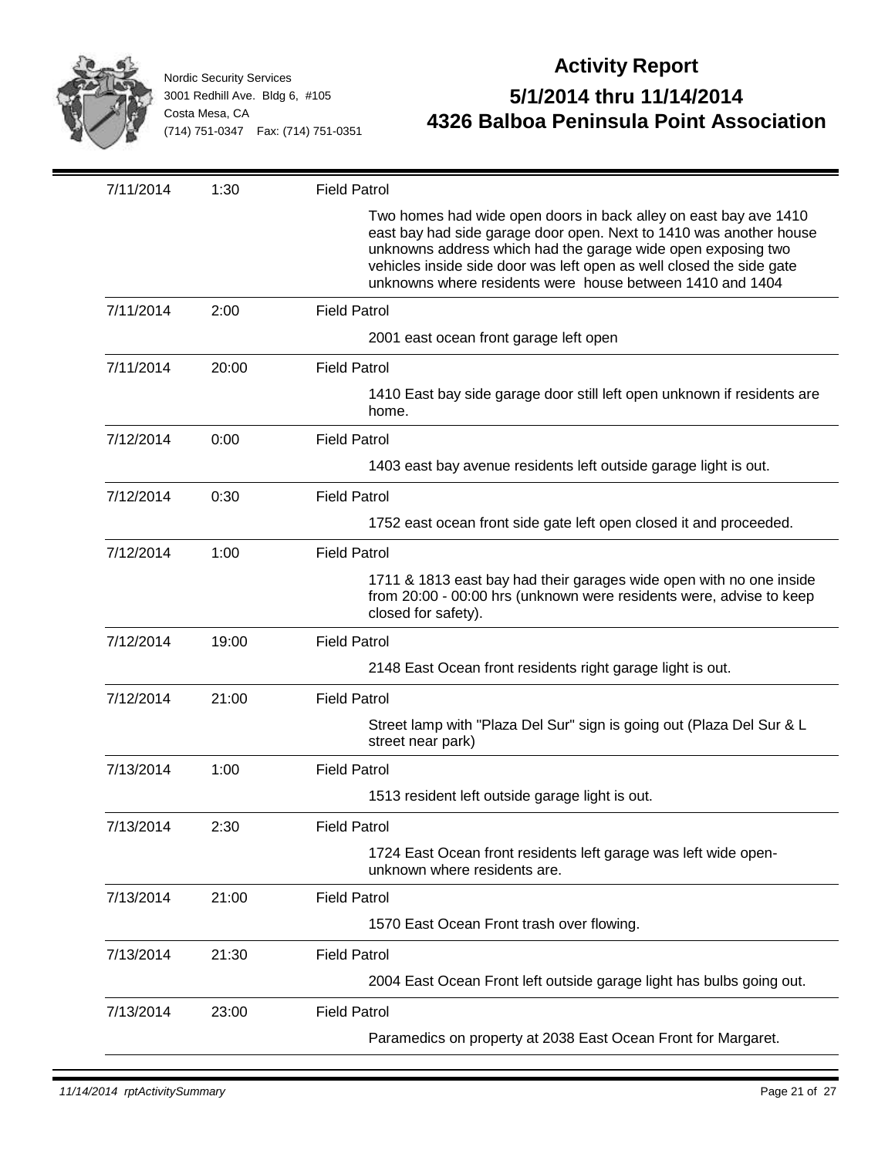

| 7/11/2014 | 1:30  | <b>Field Patrol</b>                                                                                                                                                                                                                                                                                                                         |
|-----------|-------|---------------------------------------------------------------------------------------------------------------------------------------------------------------------------------------------------------------------------------------------------------------------------------------------------------------------------------------------|
|           |       | Two homes had wide open doors in back alley on east bay ave 1410<br>east bay had side garage door open. Next to 1410 was another house<br>unknowns address which had the garage wide open exposing two<br>vehicles inside side door was left open as well closed the side gate<br>unknowns where residents were house between 1410 and 1404 |
| 7/11/2014 | 2:00  | <b>Field Patrol</b>                                                                                                                                                                                                                                                                                                                         |
|           |       | 2001 east ocean front garage left open                                                                                                                                                                                                                                                                                                      |
| 7/11/2014 | 20:00 | <b>Field Patrol</b>                                                                                                                                                                                                                                                                                                                         |
|           |       | 1410 East bay side garage door still left open unknown if residents are<br>home.                                                                                                                                                                                                                                                            |
| 7/12/2014 | 0:00  | <b>Field Patrol</b>                                                                                                                                                                                                                                                                                                                         |
|           |       | 1403 east bay avenue residents left outside garage light is out.                                                                                                                                                                                                                                                                            |
| 7/12/2014 | 0:30  | <b>Field Patrol</b>                                                                                                                                                                                                                                                                                                                         |
|           |       | 1752 east ocean front side gate left open closed it and proceeded.                                                                                                                                                                                                                                                                          |
| 7/12/2014 | 1:00  | <b>Field Patrol</b>                                                                                                                                                                                                                                                                                                                         |
|           |       | 1711 & 1813 east bay had their garages wide open with no one inside<br>from 20:00 - 00:00 hrs (unknown were residents were, advise to keep<br>closed for safety).                                                                                                                                                                           |
| 7/12/2014 | 19:00 | <b>Field Patrol</b>                                                                                                                                                                                                                                                                                                                         |
|           |       | 2148 East Ocean front residents right garage light is out.                                                                                                                                                                                                                                                                                  |
| 7/12/2014 | 21:00 | <b>Field Patrol</b>                                                                                                                                                                                                                                                                                                                         |
|           |       | Street lamp with "Plaza Del Sur" sign is going out (Plaza Del Sur & L<br>street near park)                                                                                                                                                                                                                                                  |
| 7/13/2014 | 1:00  | <b>Field Patrol</b>                                                                                                                                                                                                                                                                                                                         |
|           |       | 1513 resident left outside garage light is out.                                                                                                                                                                                                                                                                                             |
| 7/13/2014 | 2:30  | <b>Field Patrol</b>                                                                                                                                                                                                                                                                                                                         |
|           |       | 1724 East Ocean front residents left garage was left wide open-<br>unknown where residents are.                                                                                                                                                                                                                                             |
| 7/13/2014 | 21:00 | <b>Field Patrol</b>                                                                                                                                                                                                                                                                                                                         |
|           |       | 1570 East Ocean Front trash over flowing.                                                                                                                                                                                                                                                                                                   |
| 7/13/2014 | 21:30 | <b>Field Patrol</b>                                                                                                                                                                                                                                                                                                                         |
|           |       | 2004 East Ocean Front left outside garage light has bulbs going out.                                                                                                                                                                                                                                                                        |
| 7/13/2014 | 23:00 | <b>Field Patrol</b>                                                                                                                                                                                                                                                                                                                         |
|           |       | Paramedics on property at 2038 East Ocean Front for Margaret.                                                                                                                                                                                                                                                                               |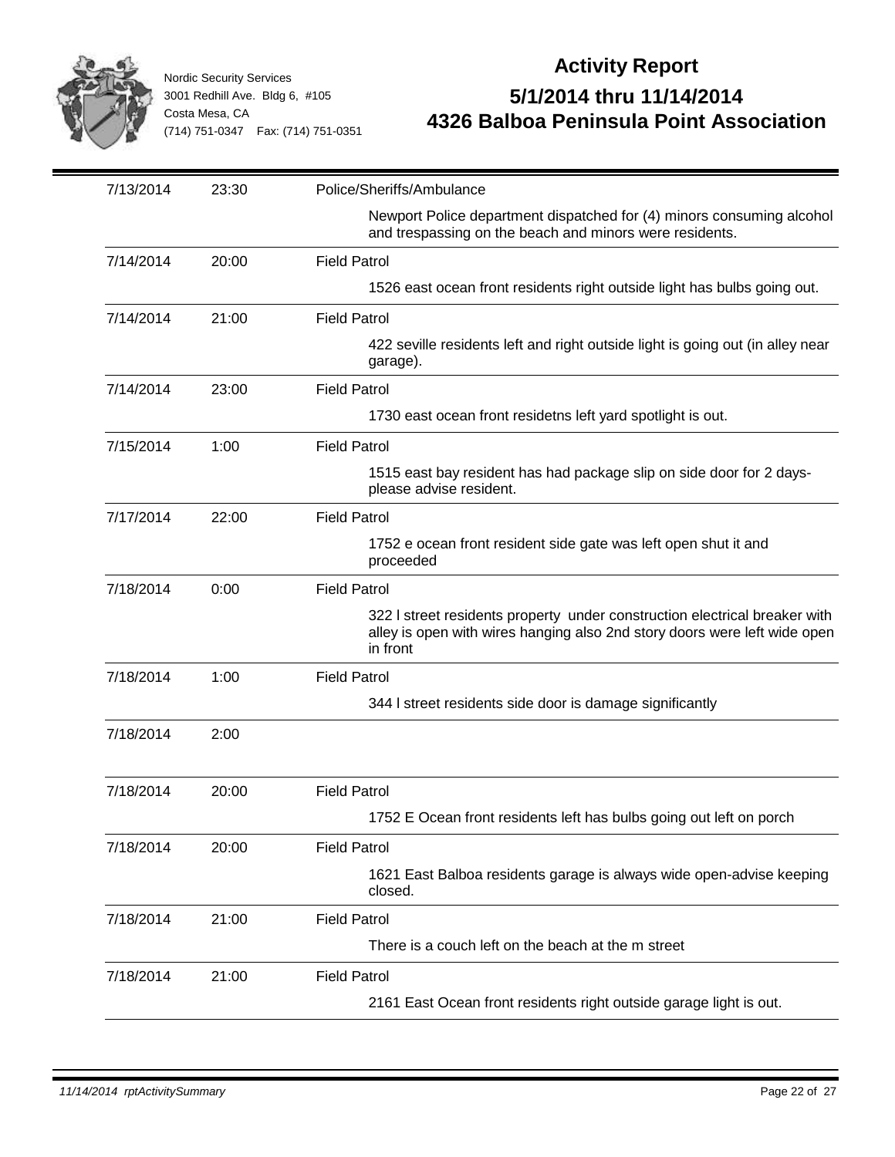

| 7/13/2014 | 23:30 | Police/Sheriffs/Ambulance                                                                                                                                           |
|-----------|-------|---------------------------------------------------------------------------------------------------------------------------------------------------------------------|
|           |       | Newport Police department dispatched for (4) minors consuming alcohol<br>and trespassing on the beach and minors were residents.                                    |
| 7/14/2014 | 20:00 | <b>Field Patrol</b>                                                                                                                                                 |
|           |       | 1526 east ocean front residents right outside light has bulbs going out.                                                                                            |
| 7/14/2014 | 21:00 | <b>Field Patrol</b>                                                                                                                                                 |
|           |       | 422 seville residents left and right outside light is going out (in alley near<br>garage).                                                                          |
| 7/14/2014 | 23:00 | <b>Field Patrol</b>                                                                                                                                                 |
|           |       | 1730 east ocean front residetns left yard spotlight is out.                                                                                                         |
| 7/15/2014 | 1:00  | <b>Field Patrol</b>                                                                                                                                                 |
|           |       | 1515 east bay resident has had package slip on side door for 2 days-<br>please advise resident.                                                                     |
| 7/17/2014 | 22:00 | <b>Field Patrol</b>                                                                                                                                                 |
|           |       | 1752 e ocean front resident side gate was left open shut it and<br>proceeded                                                                                        |
| 7/18/2014 | 0:00  | <b>Field Patrol</b>                                                                                                                                                 |
|           |       | 322 I street residents property under construction electrical breaker with<br>alley is open with wires hanging also 2nd story doors were left wide open<br>in front |
| 7/18/2014 | 1:00  | <b>Field Patrol</b>                                                                                                                                                 |
|           |       | 344 I street residents side door is damage significantly                                                                                                            |
| 7/18/2014 | 2:00  |                                                                                                                                                                     |
| 7/18/2014 | 20:00 | <b>Field Patrol</b>                                                                                                                                                 |
|           |       | 1752 E Ocean front residents left has bulbs going out left on porch                                                                                                 |
| 7/18/2014 | 20:00 | <b>Field Patrol</b>                                                                                                                                                 |
|           |       | 1621 East Balboa residents garage is always wide open-advise keeping<br>closed.                                                                                     |
| 7/18/2014 | 21:00 | <b>Field Patrol</b>                                                                                                                                                 |
|           |       | There is a couch left on the beach at the m street                                                                                                                  |
| 7/18/2014 | 21:00 | <b>Field Patrol</b>                                                                                                                                                 |
|           |       | 2161 East Ocean front residents right outside garage light is out.                                                                                                  |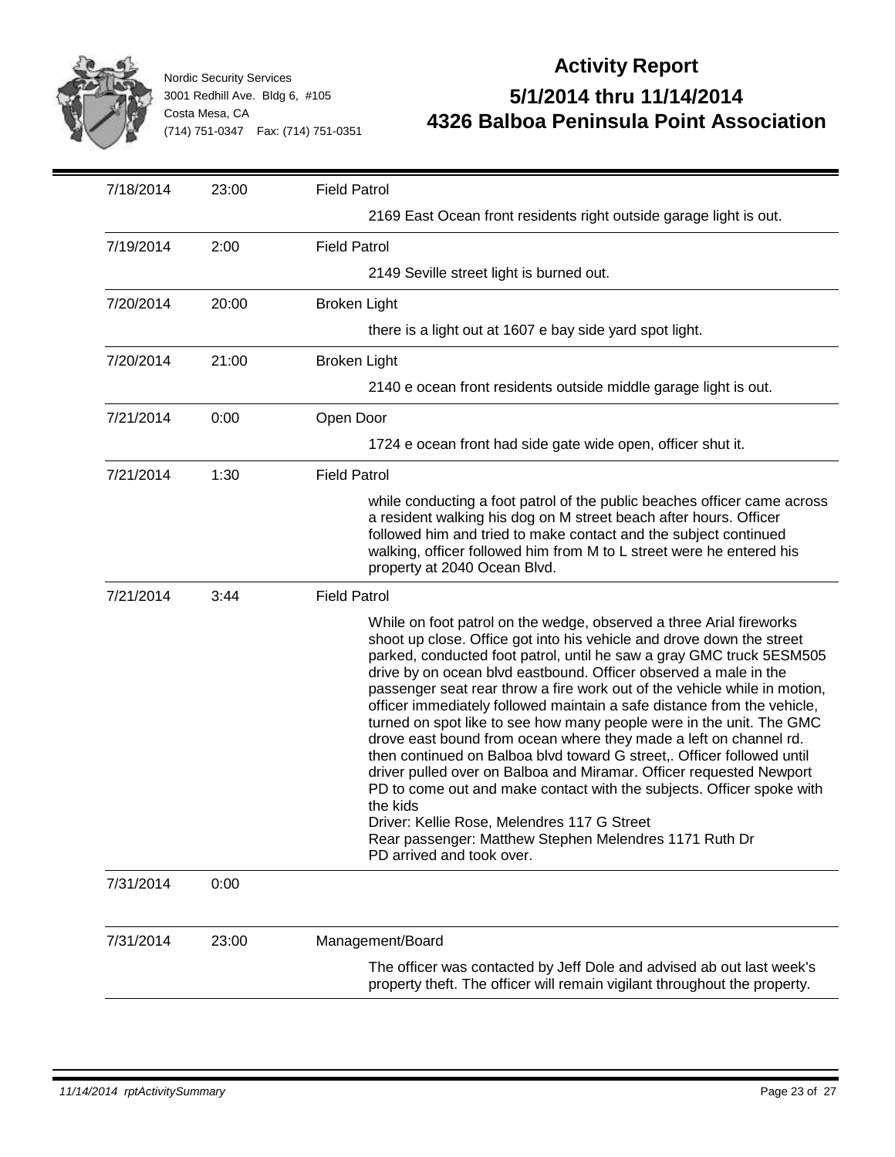

| 7/18/2014 | 23:00 | <b>Field Patrol</b>                                                                                                                                                                                                                                                                                                                                                                                                                                                                                                                                                                                                                                                                                                                                                                                                                                                                                                                                                       |
|-----------|-------|---------------------------------------------------------------------------------------------------------------------------------------------------------------------------------------------------------------------------------------------------------------------------------------------------------------------------------------------------------------------------------------------------------------------------------------------------------------------------------------------------------------------------------------------------------------------------------------------------------------------------------------------------------------------------------------------------------------------------------------------------------------------------------------------------------------------------------------------------------------------------------------------------------------------------------------------------------------------------|
|           |       | 2169 East Ocean front residents right outside garage light is out.                                                                                                                                                                                                                                                                                                                                                                                                                                                                                                                                                                                                                                                                                                                                                                                                                                                                                                        |
| 7/19/2014 | 2:00  | <b>Field Patrol</b>                                                                                                                                                                                                                                                                                                                                                                                                                                                                                                                                                                                                                                                                                                                                                                                                                                                                                                                                                       |
|           |       | 2149 Seville street light is burned out.                                                                                                                                                                                                                                                                                                                                                                                                                                                                                                                                                                                                                                                                                                                                                                                                                                                                                                                                  |
| 7/20/2014 | 20:00 | <b>Broken Light</b>                                                                                                                                                                                                                                                                                                                                                                                                                                                                                                                                                                                                                                                                                                                                                                                                                                                                                                                                                       |
|           |       | there is a light out at 1607 e bay side yard spot light.                                                                                                                                                                                                                                                                                                                                                                                                                                                                                                                                                                                                                                                                                                                                                                                                                                                                                                                  |
| 7/20/2014 | 21:00 | <b>Broken Light</b>                                                                                                                                                                                                                                                                                                                                                                                                                                                                                                                                                                                                                                                                                                                                                                                                                                                                                                                                                       |
|           |       | 2140 e ocean front residents outside middle garage light is out.                                                                                                                                                                                                                                                                                                                                                                                                                                                                                                                                                                                                                                                                                                                                                                                                                                                                                                          |
| 7/21/2014 | 0:00  | Open Door                                                                                                                                                                                                                                                                                                                                                                                                                                                                                                                                                                                                                                                                                                                                                                                                                                                                                                                                                                 |
|           |       | 1724 e ocean front had side gate wide open, officer shut it.                                                                                                                                                                                                                                                                                                                                                                                                                                                                                                                                                                                                                                                                                                                                                                                                                                                                                                              |
| 7/21/2014 | 1:30  | <b>Field Patrol</b>                                                                                                                                                                                                                                                                                                                                                                                                                                                                                                                                                                                                                                                                                                                                                                                                                                                                                                                                                       |
|           |       | while conducting a foot patrol of the public beaches officer came across<br>a resident walking his dog on M street beach after hours. Officer<br>followed him and tried to make contact and the subject continued<br>walking, officer followed him from M to L street were he entered his<br>property at 2040 Ocean Blvd.                                                                                                                                                                                                                                                                                                                                                                                                                                                                                                                                                                                                                                                 |
| 7/21/2014 | 3:44  | <b>Field Patrol</b>                                                                                                                                                                                                                                                                                                                                                                                                                                                                                                                                                                                                                                                                                                                                                                                                                                                                                                                                                       |
|           |       | While on foot patrol on the wedge, observed a three Arial fireworks<br>shoot up close. Office got into his vehicle and drove down the street<br>parked, conducted foot patrol, until he saw a gray GMC truck 5ESM505<br>drive by on ocean blvd eastbound. Officer observed a male in the<br>passenger seat rear throw a fire work out of the vehicle while in motion,<br>officer immediately followed maintain a safe distance from the vehicle,<br>turned on spot like to see how many people were in the unit. The GMC<br>drove east bound from ocean where they made a left on channel rd.<br>then continued on Balboa blvd toward G street,. Officer followed until<br>driver pulled over on Balboa and Miramar. Officer requested Newport<br>PD to come out and make contact with the subjects. Officer spoke with<br>the kids<br>Driver: Kellie Rose, Melendres 117 G Street<br>Rear passenger: Matthew Stephen Melendres 1171 Ruth Dr<br>PD arrived and took over. |
| 7/31/2014 | 0:00  |                                                                                                                                                                                                                                                                                                                                                                                                                                                                                                                                                                                                                                                                                                                                                                                                                                                                                                                                                                           |
| 7/31/2014 | 23:00 | Management/Board                                                                                                                                                                                                                                                                                                                                                                                                                                                                                                                                                                                                                                                                                                                                                                                                                                                                                                                                                          |
|           |       | The officer was contacted by Jeff Dole and advised ab out last week's<br>property theft. The officer will remain vigilant throughout the property.                                                                                                                                                                                                                                                                                                                                                                                                                                                                                                                                                                                                                                                                                                                                                                                                                        |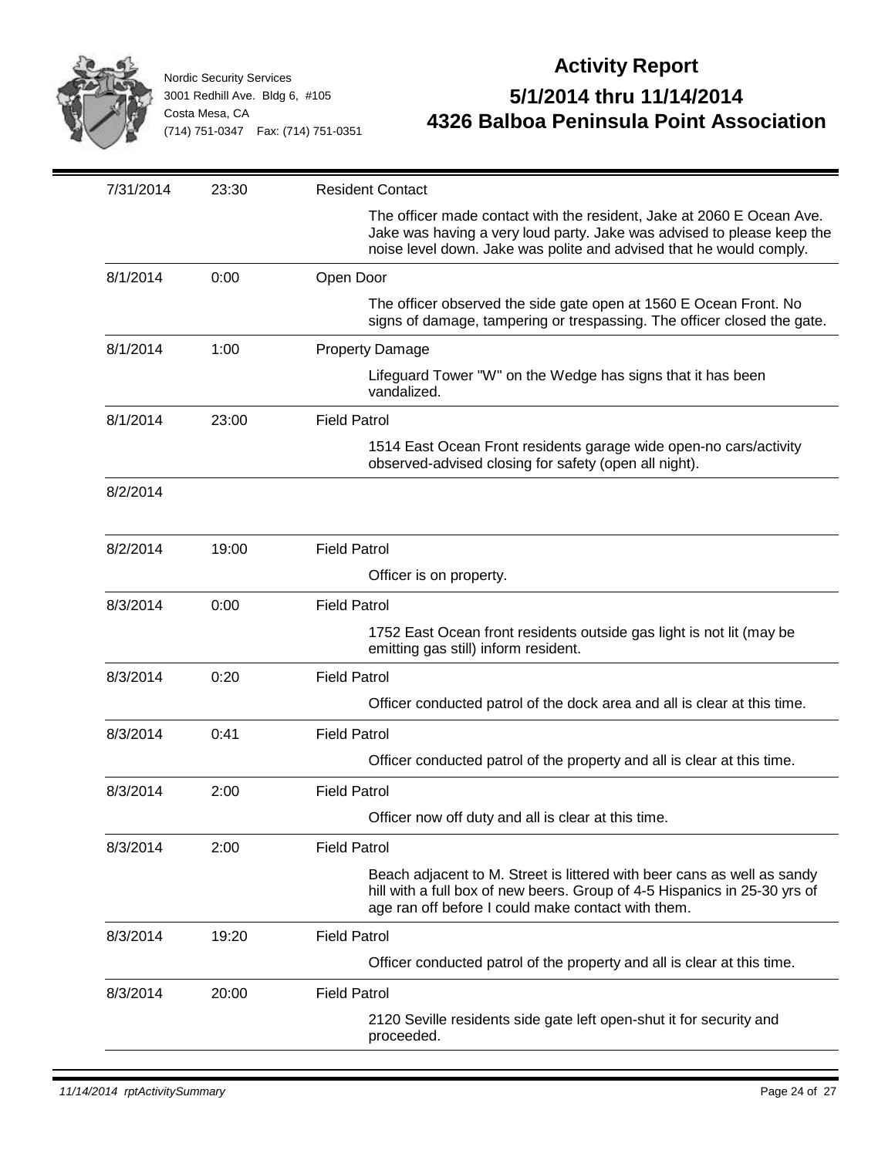

| 7/31/2014 | 23:30 | <b>Resident Contact</b>                                                                                                                                                                                                |
|-----------|-------|------------------------------------------------------------------------------------------------------------------------------------------------------------------------------------------------------------------------|
|           |       | The officer made contact with the resident, Jake at 2060 E Ocean Ave.<br>Jake was having a very loud party. Jake was advised to please keep the<br>noise level down. Jake was polite and advised that he would comply. |
| 8/1/2014  | 0:00  | Open Door                                                                                                                                                                                                              |
|           |       | The officer observed the side gate open at 1560 E Ocean Front. No<br>signs of damage, tampering or trespassing. The officer closed the gate.                                                                           |
| 8/1/2014  | 1:00  | <b>Property Damage</b>                                                                                                                                                                                                 |
|           |       | Lifeguard Tower "W" on the Wedge has signs that it has been<br>vandalized.                                                                                                                                             |
| 8/1/2014  | 23:00 | <b>Field Patrol</b>                                                                                                                                                                                                    |
|           |       | 1514 East Ocean Front residents garage wide open-no cars/activity<br>observed-advised closing for safety (open all night).                                                                                             |
| 8/2/2014  |       |                                                                                                                                                                                                                        |
| 8/2/2014  | 19:00 | <b>Field Patrol</b>                                                                                                                                                                                                    |
|           |       | Officer is on property.                                                                                                                                                                                                |
| 8/3/2014  | 0:00  | <b>Field Patrol</b>                                                                                                                                                                                                    |
|           |       | 1752 East Ocean front residents outside gas light is not lit (may be<br>emitting gas still) inform resident.                                                                                                           |
| 8/3/2014  | 0:20  | <b>Field Patrol</b>                                                                                                                                                                                                    |
|           |       | Officer conducted patrol of the dock area and all is clear at this time.                                                                                                                                               |
| 8/3/2014  | 0:41  | <b>Field Patrol</b>                                                                                                                                                                                                    |
|           |       | Officer conducted patrol of the property and all is clear at this time.                                                                                                                                                |
| 8/3/2014  | 2:00  | <b>Field Patrol</b>                                                                                                                                                                                                    |
|           |       | Officer now off duty and all is clear at this time.                                                                                                                                                                    |
| 8/3/2014  | 2:00  | <b>Field Patrol</b>                                                                                                                                                                                                    |
|           |       | Beach adjacent to M. Street is littered with beer cans as well as sandy<br>hill with a full box of new beers. Group of 4-5 Hispanics in 25-30 yrs of<br>age ran off before I could make contact with them.             |
| 8/3/2014  | 19:20 | <b>Field Patrol</b>                                                                                                                                                                                                    |
|           |       | Officer conducted patrol of the property and all is clear at this time.                                                                                                                                                |
| 8/3/2014  | 20:00 | <b>Field Patrol</b>                                                                                                                                                                                                    |
|           |       | 2120 Seville residents side gate left open-shut it for security and<br>proceeded.                                                                                                                                      |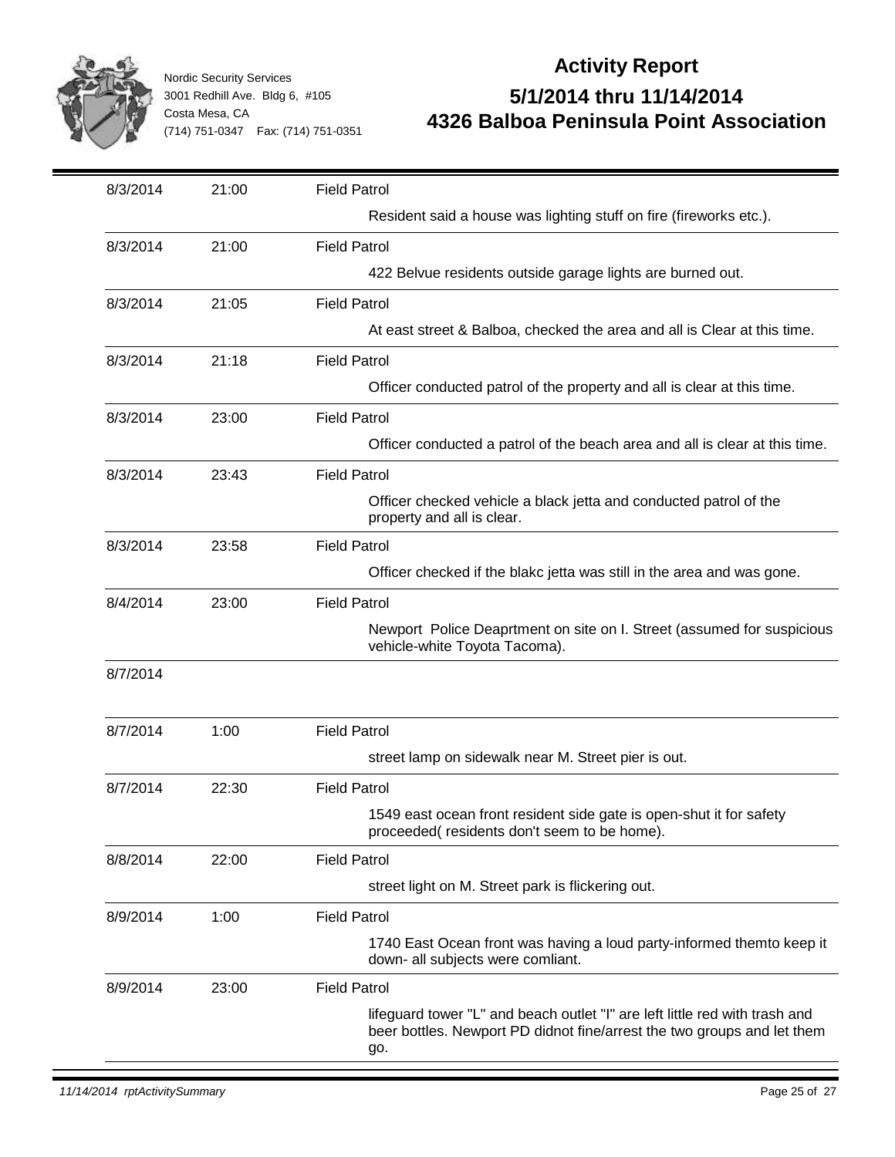

| 8/3/2014 | 21:00 | <b>Field Patrol</b>                                                                                                                                           |
|----------|-------|---------------------------------------------------------------------------------------------------------------------------------------------------------------|
|          |       | Resident said a house was lighting stuff on fire (fireworks etc.).                                                                                            |
| 8/3/2014 | 21:00 | <b>Field Patrol</b>                                                                                                                                           |
|          |       | 422 Belvue residents outside garage lights are burned out.                                                                                                    |
| 8/3/2014 | 21:05 | <b>Field Patrol</b>                                                                                                                                           |
|          |       | At east street & Balboa, checked the area and all is Clear at this time.                                                                                      |
| 8/3/2014 | 21:18 | <b>Field Patrol</b>                                                                                                                                           |
|          |       | Officer conducted patrol of the property and all is clear at this time.                                                                                       |
| 8/3/2014 | 23:00 | <b>Field Patrol</b>                                                                                                                                           |
|          |       | Officer conducted a patrol of the beach area and all is clear at this time.                                                                                   |
| 8/3/2014 | 23:43 | <b>Field Patrol</b>                                                                                                                                           |
|          |       | Officer checked vehicle a black jetta and conducted patrol of the<br>property and all is clear.                                                               |
| 8/3/2014 | 23:58 | <b>Field Patrol</b>                                                                                                                                           |
|          |       | Officer checked if the blakc jetta was still in the area and was gone.                                                                                        |
| 8/4/2014 | 23:00 | <b>Field Patrol</b>                                                                                                                                           |
|          |       | Newport Police Deaprtment on site on I. Street (assumed for suspicious<br>vehicle-white Toyota Tacoma).                                                       |
| 8/7/2014 |       |                                                                                                                                                               |
| 8/7/2014 | 1:00  | <b>Field Patrol</b>                                                                                                                                           |
|          |       | street lamp on sidewalk near M. Street pier is out.                                                                                                           |
| 8/7/2014 | 22:30 | <b>Field Patrol</b>                                                                                                                                           |
|          |       | 1549 east ocean front resident side gate is open-shut it for safety<br>proceeded(residents don't seem to be home).                                            |
| 8/8/2014 | 22:00 | <b>Field Patrol</b>                                                                                                                                           |
|          |       | street light on M. Street park is flickering out.                                                                                                             |
| 8/9/2014 | 1:00  | <b>Field Patrol</b>                                                                                                                                           |
|          |       | 1740 East Ocean front was having a loud party-informed themto keep it<br>down- all subjects were comliant.                                                    |
| 8/9/2014 | 23:00 | <b>Field Patrol</b>                                                                                                                                           |
|          |       | lifeguard tower "L" and beach outlet "I" are left little red with trash and<br>beer bottles. Newport PD didnot fine/arrest the two groups and let them<br>go. |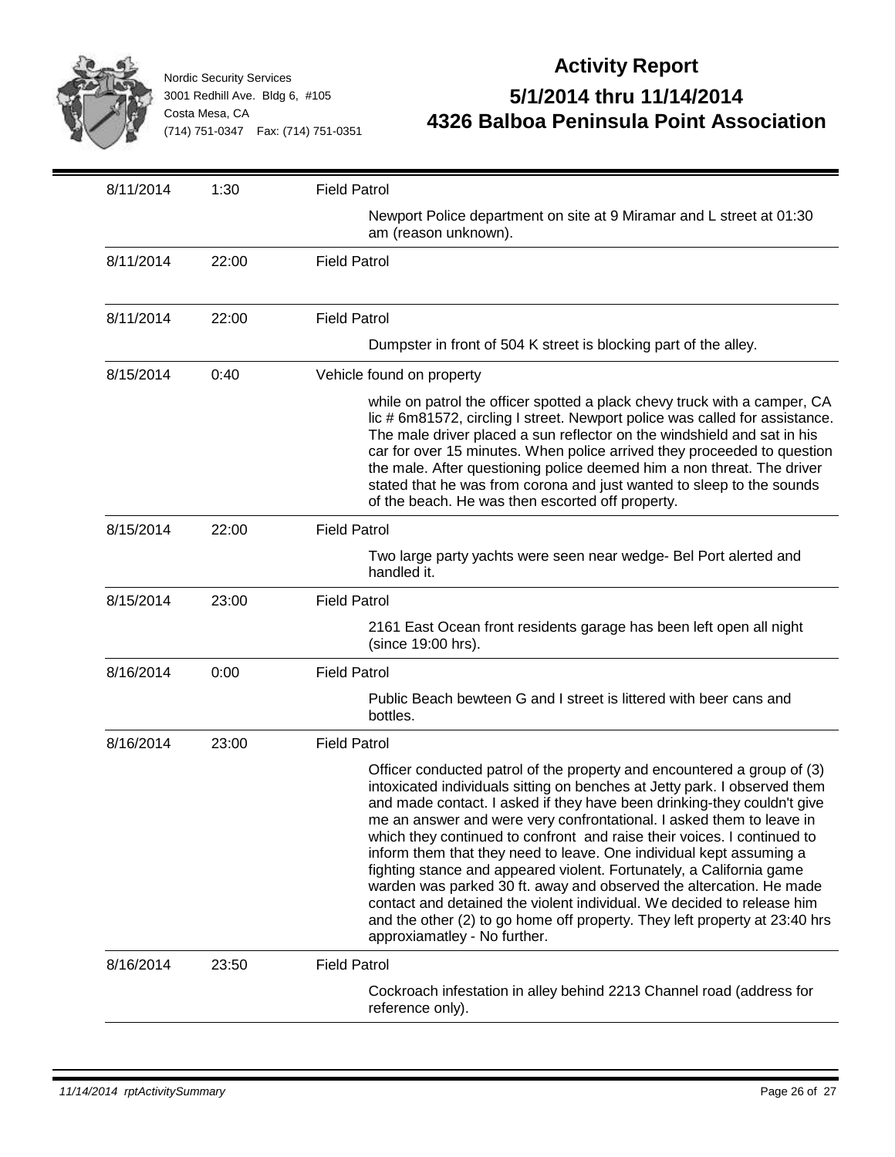

| 8/11/2014 | 1:30  | <b>Field Patrol</b>                                                                                                                                                                                                                                                                                                                                                                                                                                                                                                                                                                                                                                                                                                                                                                              |
|-----------|-------|--------------------------------------------------------------------------------------------------------------------------------------------------------------------------------------------------------------------------------------------------------------------------------------------------------------------------------------------------------------------------------------------------------------------------------------------------------------------------------------------------------------------------------------------------------------------------------------------------------------------------------------------------------------------------------------------------------------------------------------------------------------------------------------------------|
|           |       | Newport Police department on site at 9 Miramar and L street at 01:30<br>am (reason unknown).                                                                                                                                                                                                                                                                                                                                                                                                                                                                                                                                                                                                                                                                                                     |
| 8/11/2014 | 22:00 | <b>Field Patrol</b>                                                                                                                                                                                                                                                                                                                                                                                                                                                                                                                                                                                                                                                                                                                                                                              |
| 8/11/2014 | 22:00 | <b>Field Patrol</b>                                                                                                                                                                                                                                                                                                                                                                                                                                                                                                                                                                                                                                                                                                                                                                              |
|           |       | Dumpster in front of 504 K street is blocking part of the alley.                                                                                                                                                                                                                                                                                                                                                                                                                                                                                                                                                                                                                                                                                                                                 |
| 8/15/2014 | 0:40  | Vehicle found on property                                                                                                                                                                                                                                                                                                                                                                                                                                                                                                                                                                                                                                                                                                                                                                        |
|           |       | while on patrol the officer spotted a plack chevy truck with a camper, CA<br>lic # 6m81572, circling I street. Newport police was called for assistance.<br>The male driver placed a sun reflector on the windshield and sat in his<br>car for over 15 minutes. When police arrived they proceeded to question<br>the male. After questioning police deemed him a non threat. The driver<br>stated that he was from corona and just wanted to sleep to the sounds<br>of the beach. He was then escorted off property.                                                                                                                                                                                                                                                                            |
| 8/15/2014 | 22:00 | <b>Field Patrol</b>                                                                                                                                                                                                                                                                                                                                                                                                                                                                                                                                                                                                                                                                                                                                                                              |
|           |       | Two large party yachts were seen near wedge- Bel Port alerted and<br>handled it.                                                                                                                                                                                                                                                                                                                                                                                                                                                                                                                                                                                                                                                                                                                 |
| 8/15/2014 | 23:00 | <b>Field Patrol</b>                                                                                                                                                                                                                                                                                                                                                                                                                                                                                                                                                                                                                                                                                                                                                                              |
|           |       | 2161 East Ocean front residents garage has been left open all night<br>(since 19:00 hrs).                                                                                                                                                                                                                                                                                                                                                                                                                                                                                                                                                                                                                                                                                                        |
| 8/16/2014 | 0:00  | <b>Field Patrol</b>                                                                                                                                                                                                                                                                                                                                                                                                                                                                                                                                                                                                                                                                                                                                                                              |
|           |       | Public Beach bewteen G and I street is littered with beer cans and<br>bottles.                                                                                                                                                                                                                                                                                                                                                                                                                                                                                                                                                                                                                                                                                                                   |
| 8/16/2014 | 23:00 | <b>Field Patrol</b>                                                                                                                                                                                                                                                                                                                                                                                                                                                                                                                                                                                                                                                                                                                                                                              |
|           |       | Officer conducted patrol of the property and encountered a group of (3)<br>intoxicated individuals sitting on benches at Jetty park. I observed them<br>and made contact. I asked if they have been drinking-they couldn't give<br>me an answer and were very confrontational. I asked them to leave in<br>which they continued to confront and raise their voices. I continued to<br>inform them that they need to leave. One individual kept assuming a<br>fighting stance and appeared violent. Fortunately, a California game<br>warden was parked 30 ft. away and observed the altercation. He made<br>contact and detained the violent individual. We decided to release him<br>and the other (2) to go home off property. They left property at 23:40 hrs<br>approxiamatley - No further. |
| 8/16/2014 | 23:50 | <b>Field Patrol</b>                                                                                                                                                                                                                                                                                                                                                                                                                                                                                                                                                                                                                                                                                                                                                                              |
|           |       | Cockroach infestation in alley behind 2213 Channel road (address for<br>reference only).                                                                                                                                                                                                                                                                                                                                                                                                                                                                                                                                                                                                                                                                                                         |